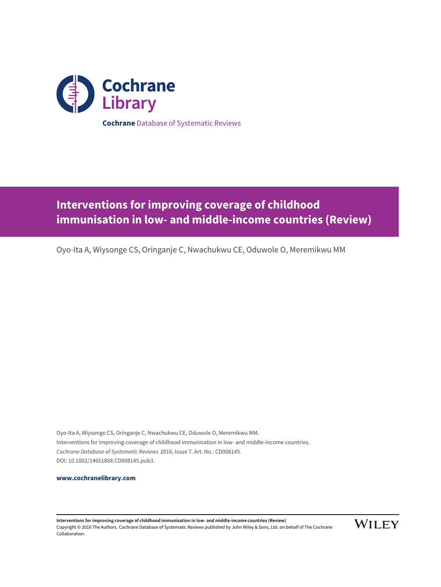

# **Interventions for improving coverage of childhood immunisation in low- and middle-income countries (Review)**

Oyo-Ita A, Wiysonge CS, Oringanje C, Nwachukwu CE, Oduwole O, Meremikwu MM

Oyo-Ita A, Wiysonge CS, Oringanje C, Nwachukwu CE, Oduwole O, Meremikwu MM. Interventions for improving coverage of childhood immunisation in low- and middle-income countries. Cochrane Database of Systematic Reviews 2016, Issue 7. Art. No.: CD008145. DOI: 10.1002/14651858.CD008145.pub3.

**[www.cochranelibrary.com](http://www.cochranelibrary.com)**

**Interventions for improving coverage of childhood immunisation in low- and middle-income countries (Review)** Copyright © 2016 The Authors. Cochrane Database of Systematic Reviews published by John Wiley & Sons, Ltd. on behalf of The Cochrane Collaboration.

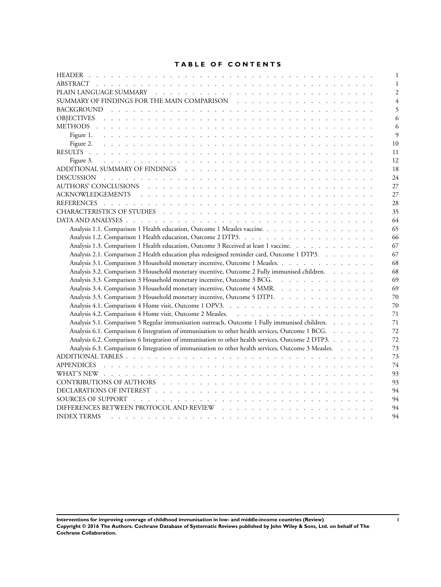# **TABLE OF CONTENTS**

| $\mathbf{1}$                                                                                                                                                                                                                                              |
|-----------------------------------------------------------------------------------------------------------------------------------------------------------------------------------------------------------------------------------------------------------|
| $\mathbf{1}$                                                                                                                                                                                                                                              |
| $\overline{2}$                                                                                                                                                                                                                                            |
| 4                                                                                                                                                                                                                                                         |
| 5                                                                                                                                                                                                                                                         |
| 6                                                                                                                                                                                                                                                         |
| 6                                                                                                                                                                                                                                                         |
| $\mathbf{Q}$                                                                                                                                                                                                                                              |
| 10                                                                                                                                                                                                                                                        |
| 11                                                                                                                                                                                                                                                        |
| 12                                                                                                                                                                                                                                                        |
| 18                                                                                                                                                                                                                                                        |
| 24                                                                                                                                                                                                                                                        |
| AUTHORS' CONCLUSIONS research and the contract of the contract of the contract of the contract of the contract of the contract of the contract of the contract of the contract of the contract of the contract of the contract<br>27                      |
| 27                                                                                                                                                                                                                                                        |
| 28                                                                                                                                                                                                                                                        |
| 35                                                                                                                                                                                                                                                        |
| 64                                                                                                                                                                                                                                                        |
| Analysis 1.1. Comparison 1 Health education, Outcome 1 Measles vaccine.<br>65                                                                                                                                                                             |
| 66                                                                                                                                                                                                                                                        |
| Analysis 1.3. Comparison 1 Health education, Outcome 3 Received at least 1 vaccine.<br>67                                                                                                                                                                 |
| Analysis 2.1. Comparison 2 Health education plus redesigned reminder card, Outcome 1 DTP3.<br>67                                                                                                                                                          |
| Analysis 3.1. Comparison 3 Household monetary incentive, Outcome 1 Measles.<br>68                                                                                                                                                                         |
| Analysis 3.2. Comparison 3 Household monetary incentive, Outcome 2 Fully immunised children.<br>68                                                                                                                                                        |
| Analysis 3.3. Comparison 3 Household monetary incentive, Outcome 3 BCG.<br>69                                                                                                                                                                             |
| Analysis 3.4. Comparison 3 Household monetary incentive, Outcome 4 MMR.<br>69                                                                                                                                                                             |
| Analysis 3.5. Comparison 3 Household monetary incentive, Outcome 5 DTP1.<br>70                                                                                                                                                                            |
| 70                                                                                                                                                                                                                                                        |
| 71                                                                                                                                                                                                                                                        |
| Analysis 5.1. Comparison 5 Regular immunisation outreach, Outcome 1 Fully immunised children.<br>71                                                                                                                                                       |
| Analysis 6.1. Comparison 6 Integration of immunisation to other health services, Outcome 1 BCG.<br>72                                                                                                                                                     |
| Analysis 6.2. Comparison 6 Integration of immunisation to other health services, Outcome 2 DTP3.<br>72                                                                                                                                                    |
| Analysis 6.3. Comparison 6 Integration of immunisation to other health services, Outcome 3 Measles.<br>73                                                                                                                                                 |
| 73                                                                                                                                                                                                                                                        |
| 74                                                                                                                                                                                                                                                        |
| WHAT'S NEW responsive to the contract of the contract of the contract of the contract of the contract of the contract of the contract of the contract of the contract of the contract of the contract of the contract of the c<br>93                      |
| CONTRIBUTIONS OF AUTHORS (CONTRIBUTIONS CONTRIBUTIONS OF AUTHORS)<br>93                                                                                                                                                                                   |
| 94                                                                                                                                                                                                                                                        |
| 94                                                                                                                                                                                                                                                        |
| 94                                                                                                                                                                                                                                                        |
| 94<br><b>INDEX TERMS</b><br>and a constitution of the constitution of the constitution of the constitution of the constitution of the constitution of the constitution of the constitution of the constitution of the constitution of the constitution of |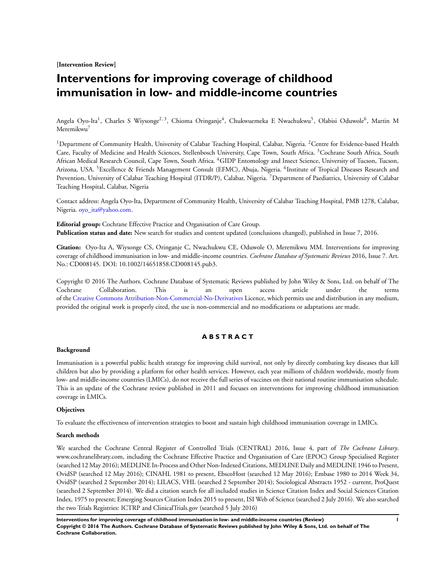**[Intervention Review]**

# **Interventions for improving coverage of childhood immunisation in low- and middle-income countries**

Angela Oyo-Ita<sup>1</sup>, Charles S Wiysonge<sup>2,3</sup>, Chioma Oringanje<sup>4</sup>, Chukwuemeka E Nwachukwu<sup>5</sup>, Olabisi Oduwole<sup>6</sup>, Martin M Meremikwu<sup>7</sup>

<sup>1</sup>Department of Community Health, University of Calabar Teaching Hospital, Calabar, Nigeria. <sup>2</sup>Centre for Evidence-based Health Care, Faculty of Medicine and Health Sciences, Stellenbosch University, Cape Town, South Africa. <sup>3</sup>Cochrane South Africa, South African Medical Research Council, Cape Town, South Africa. <sup>4</sup>GIDP Entomology and Insect Science, University of Tucson, Tucson, Arizona, USA. <sup>5</sup>Excellence & Friends Management Consult (EFMC), Abuja, Nigeria. <sup>6</sup>Institute of Tropical Diseases Research and Prevention, University of Calabar Teaching Hospital (ITDR/P), Calabar, Nigeria. <sup>7</sup>Department of Paediatrics, University of Calabar Teaching Hospital, Calabar, Nigeria

Contact address: Angela Oyo-Ita, Department of Community Health, University of Calabar Teaching Hospital, PMB 1278, Calabar, Nigeria. [oyo\\_ita@yahoo.com](mailto:oyochar "A8penalty z@ ita@yahoo.com).

**Editorial group:** Cochrane Effective Practice and Organisation of Care Group. **Publication status and date:** New search for studies and content updated (conclusions changed), published in Issue 7, 2016.

**Citation:** Oyo-Ita A, Wiysonge CS, Oringanje C, Nwachukwu CE, Oduwole O, Meremikwu MM. Interventions for improving coverage of childhood immunisation in low- and middle-income countries. *Cochrane Database of Systematic Reviews* 2016, Issue 7. Art. No.: CD008145. DOI: 10.1002/14651858.CD008145.pub3.

Copyright © 2016 The Authors. Cochrane Database of Systematic Reviews published by John Wiley & Sons, Ltd. on behalf of The Cochrane Collaboration. This is an open access article under the terms of the [Creative Commons Attribution-Non-Commercial-No-Derivatives](http://creativecommons.org/licenses/by-nc-nd/4.0/) Licence, which permits use and distribution in any medium, provided the original work is properly cited, the use is non-commercial and no modifications or adaptations are made.

# **A B S T R A C T**

#### **Background**

Immunisation is a powerful public health strategy for improving child survival, not only by directly combating key diseases that kill children but also by providing a platform for other health services. However, each year millions of children worldwide, mostly from low- and middle-income countries (LMICs), do not receive the full series of vaccines on their national routine immunisation schedule. This is an update of the Cochrane review published in 2011 and focuses on interventions for improving childhood immunisation coverage in LMICs.

#### **Objectives**

To evaluate the effectiveness of intervention strategies to boost and sustain high childhood immunisation coverage in LMICs.

#### **Search methods**

We searched the Cochrane Central Register of Controlled Trials (CENTRAL) 2016, Issue 4, part of *The Cochrane Library*. www.cochranelibrary.com, including the Cochrane Effective Practice and Organisation of Care (EPOC) Group Specialised Register (searched 12 May 2016); MEDLINE In-Process and Other Non-Indexed Citations, MEDLINE Daily and MEDLINE 1946 to Present, OvidSP (searched 12 May 2016); CINAHL 1981 to present, EbscoHost (searched 12 May 2016); Embase 1980 to 2014 Week 34, OvidSP (searched 2 September 2014); LILACS, VHL (searched 2 September 2014); Sociological Abstracts 1952 - current, ProQuest (searched 2 September 2014). We did a citation search for all included studies in Science Citation Index and Social Sciences Citation Index, 1975 to present; Emerging Sources Citation Index 2015 to present, ISI Web of Science (searched 2 July 2016). We also searched the two Trials Registries: ICTRP and ClinicalTrials.gov (searched 5 July 2016)

**Interventions for improving coverage of childhood immunisation in low- and middle-income countries (Review) 1 Copyright © 2016 The Authors. Cochrane Database of Systematic Reviews published by John Wiley & Sons, Ltd. on behalf of The Cochrane Collaboration.**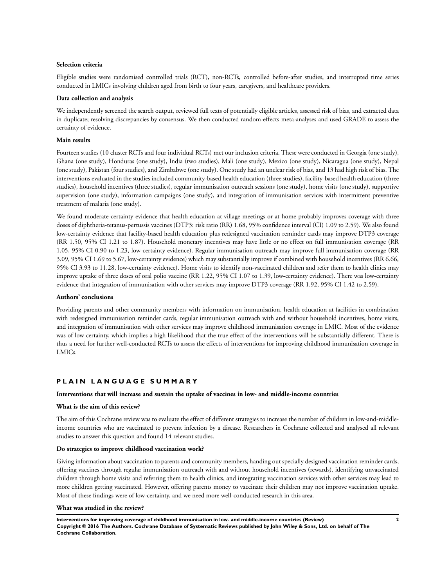# **Selection criteria**

Eligible studies were randomised controlled trials (RCT), non-RCTs, controlled before-after studies, and interrupted time series conducted in LMICs involving children aged from birth to four years, caregivers, and healthcare providers.

#### **Data collection and analysis**

We independently screened the search output, reviewed full texts of potentially eligible articles, assessed risk of bias, and extracted data in duplicate; resolving discrepancies by consensus. We then conducted random-effects meta-analyses and used GRADE to assess the certainty of evidence.

#### **Main results**

Fourteen studies (10 cluster RCTs and four individual RCTs) met our inclusion criteria. These were conducted in Georgia (one study), Ghana (one study), Honduras (one study), India (two studies), Mali (one study), Mexico (one study), Nicaragua (one study), Nepal (one study), Pakistan (four studies), and Zimbabwe (one study). One study had an unclear risk of bias, and 13 had high risk of bias. The interventions evaluated in the studies included community-based health education (three studies), facility-based health education (three studies), household incentives (three studies), regular immunisation outreach sessions (one study), home visits (one study), supportive supervision (one study), information campaigns (one study), and integration of immunisation services with intermittent preventive treatment of malaria (one study).

We found moderate-certainty evidence that health education at village meetings or at home probably improves coverage with three doses of diphtheria-tetanus-pertussis vaccines (DTP3: risk ratio (RR) 1.68, 95% confidence interval (CI) 1.09 to 2.59). We also found low-certainty evidence that facility-based health education plus redesigned vaccination reminder cards may improve DTP3 coverage (RR 1.50, 95% CI 1.21 to 1.87). Household monetary incentives may have little or no effect on full immunisation coverage (RR 1.05, 95% CI 0.90 to 1.23, low-certainty evidence). Regular immunisation outreach may improve full immunisation coverage (RR 3.09, 95% CI 1.69 to 5.67, low-certainty evidence) which may substantially improve if combined with household incentives (RR 6.66, 95% CI 3.93 to 11.28, low-certainty evidence). Home visits to identify non-vaccinated children and refer them to health clinics may improve uptake of three doses of oral polio vaccine (RR 1.22, 95% CI 1.07 to 1.39, low-certainty evidence). There was low-certainty evidence that integration of immunisation with other services may improve DTP3 coverage (RR 1.92, 95% CI 1.42 to 2.59).

#### **Authors' conclusions**

Providing parents and other community members with information on immunisation, health education at facilities in combination with redesigned immunisation reminder cards, regular immunisation outreach with and without household incentives, home visits, and integration of immunisation with other services may improve childhood immunisation coverage in LMIC. Most of the evidence was of low certainty, which implies a high likelihood that the true effect of the interventions will be substantially different. There is thus a need for further well-conducted RCTs to assess the effects of interventions for improving childhood immunisation coverage in LMICs.

### **P L A I N L A N G U A G E S U M M A R Y**

#### **Interventions that will increase and sustain the uptake of vaccines in low- and middle-income countries**

#### **What is the aim of this review?**

The aim of this Cochrane review was to evaluate the effect of different strategies to increase the number of children in low-and-middleincome countries who are vaccinated to prevent infection by a disease. Researchers in Cochrane collected and analysed all relevant studies to answer this question and found 14 relevant studies.

#### **Do strategies to improve childhood vaccination work?**

Giving information about vaccination to parents and community members, handing out specially designed vaccination reminder cards, offering vaccines through regular immunisation outreach with and without household incentives (rewards), identifying unvaccinated children through home visits and referring them to health clinics, and integrating vaccination services with other services may lead to more children getting vaccinated. However, offering parents money to vaccinate their children may not improve vaccination uptake. Most of these findings were of low-certainty, and we need more well-conducted research in this area.

#### **What was studied in the review?**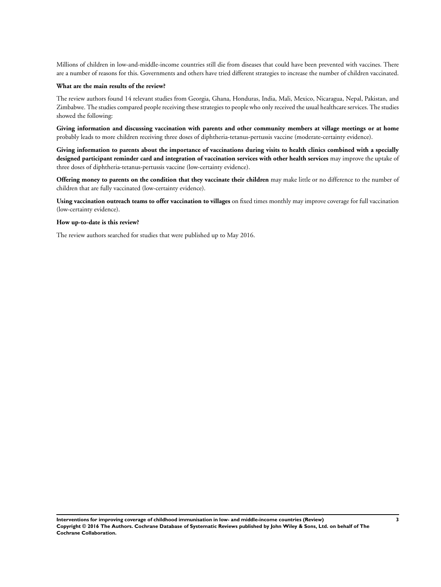Millions of children in low-and-middle-income countries still die from diseases that could have been prevented with vaccines. There are a number of reasons for this. Governments and others have tried different strategies to increase the number of children vaccinated.

### **What are the main results of the review?**

The review authors found 14 relevant studies from Georgia, Ghana, Honduras, India, Mali, Mexico, Nicaragua, Nepal, Pakistan, and Zimbabwe. The studies compared people receiving these strategies to people who only received the usual healthcare services. The studies showed the following:

**Giving information and discussing vaccination with parents and other community members at village meetings or at home** probably leads to more children receiving three doses of diphtheria-tetanus-pertussis vaccine (moderate-certainty evidence).

**Giving information to parents about the importance of vaccinations during visits to health clinics combined with a specially designed participant reminder card and integration of vaccination services with other health services** may improve the uptake of three doses of diphtheria-tetanus-pertussis vaccine (low-certainty evidence).

**Offering money to parents on the condition that they vaccinate their children** may make little or no difference to the number of children that are fully vaccinated (low-certainty evidence).

**Using vaccination outreach teams to offer vaccination to villages** on fixed times monthly may improve coverage for full vaccination (low-certainty evidence).

#### **How up-to-date is this review?**

The review authors searched for studies that were published up to May 2016.

**Interventions for improving coverage of childhood immunisation in low- and middle-income countries (Review) 3 Copyright © 2016 The Authors. Cochrane Database of Systematic Reviews published by John Wiley & Sons, Ltd. on behalf of The Cochrane Collaboration.**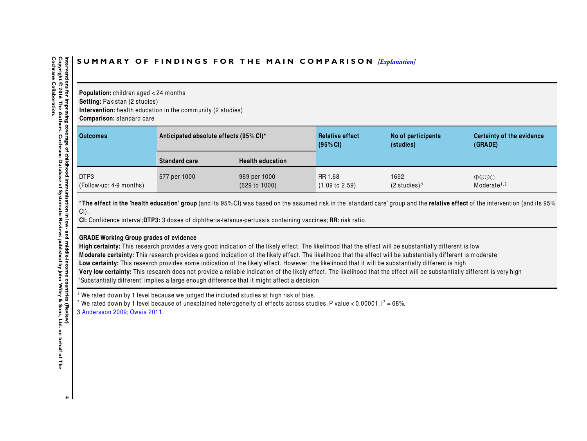# <span id="page-5-0"></span>SUMMARY OF FINDINGS FOR THE MAIN COMPARISON *[\[Explanation\]](http://www.thecochranelibrary.com/view/0/SummaryFindings.html)*

**Population:** children aged <sup>&</sup>lt; <sup>24</sup> months **Setting:** Pakistan (2 studies)

**Intervention:** health education in the community (2 studies)

**Comparison:** standard care

| <b>Outcomes</b>                             | Anticipated absolute effects (95% CI)* |                               | <b>Relative effect</b><br>$(95\% \, \text{Cl})$ | No of participants<br>(studies) | Certainty of the evidence<br>(GRADE)                 |
|---------------------------------------------|----------------------------------------|-------------------------------|-------------------------------------------------|---------------------------------|------------------------------------------------------|
|                                             | <b>Standard care</b>                   | <b>Health education</b>       |                                                 |                                 |                                                      |
| DTP <sub>3</sub><br>(Follow-up: 4-9 months) | 577 per 1000                           | 969 per 1000<br>(629 to 1000) | RR 1.68<br>$(1.09 \text{ to } 2.59)$            | 1692<br>$(2 \text{ studies})^3$ | $\oplus \oplus \oplus \bigcirc$<br>$M$ oderate $1,2$ |

\***The effect in the 'health education' group** (and its 95%Cl) was based on the assumed risk in the 'standard care' group and the **relative effect** of the intervention (and its 95%<br>Cl\ CI).

**CI:** Conf idence interval;**DTP3:** <sup>3</sup> doses of diphtheria-tetanus-pertussis containing vaccines; **RR:** risk ratio.

# **GRADE Working Group grades of evidence**

**High certainty:** This research provides <sup>a</sup> very good indication of the likely effect. The likelihood that the effect will be substantially different is low **<sup>M</sup> oderate certainty:** This research provides <sup>a</sup> good indication of the likely effect. The likelihood that the effect will be substantially different is moderate **Low certainty:** This research provides some indication of the likely effect. However, the likelihood that it will be substantially different is high Very low certainty: This research does not provide a reliable indication of the likely effect. The likelihood that the effect will be substantially different is very high 'Substantially different' implies <sup>a</sup> large enough difference that it <sup>m</sup> ight affect <sup>a</sup> decision

 $^{\rm 1}$  We rated down by 1 level because we judged the included studies at high risk of bias.

 $^2$  We rated down by 1 level because of unexplained heterogeneity of effects across studies, P value < 0.00001, l<sup>2</sup> = 68%.

3 [Andersson](#page-29-0) [2009](#page-29-0); [Owais](#page-29-0) [2011](#page-29-0).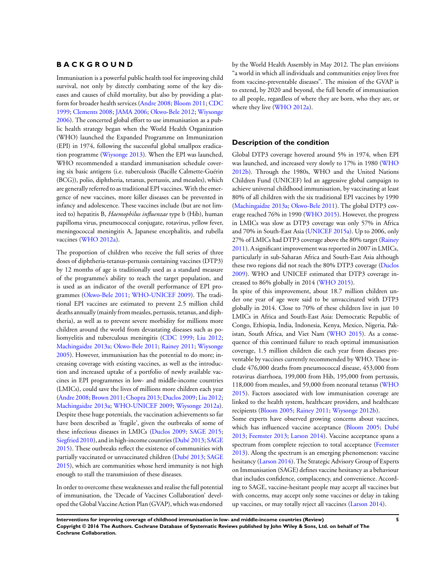# **B A C K G R O U N D**

Immunisation is a powerful public health tool for improving child survival, not only by directly combating some of the key diseases and causes of child mortality, but also by providing a platform for broader health services [\(Andre 2008](#page-29-0); [Bloom 2011;](#page-29-0) [CDC](#page-29-0) [1999](#page-29-0); [Clements 2008;](#page-29-0) [JAMA 2006;](#page-29-0) [Okwo-Bele 2012](#page-29-0); [Wiysonge](#page-29-0) [2006](#page-29-0)). The concerted global effort to use immunisation as a public health strategy began when the World Health Organization (WHO) launched the Expanded Programme on Immunization (EPI) in 1974, following the successful global smallpox eradication programme ([Wiysonge 2013\)](#page-29-0). When the EPI was launched, WHO recommended a standard immunisation schedule covering six basic antigens (i.e. tuberculosis (Bacille Calmette-Guérin (BCG)), polio, diphtheria, tetanus, pertussis, and measles), which are generally referred to as traditional EPI vaccines. With the emergence of new vaccines, more killer diseases can be prevented in infancy and adolescence. These vaccines include (but are not limited to) hepatitis B, *Haemophilus influenzae* type b (Hib), human papilloma virus, pneumococcal conjugate, rotavirus, yellow fever, meningococcal meningitis A, Japanese encephalitis, and rubella vaccines ([WHO 2012a](#page-29-0)).

The proportion of children who receive the full series of three doses of diphtheria-tetanus-pertussis containing vaccines (DTP3) by 12 months of age is traditionally used as a standard measure of the programme's ability to reach the target population, and is used as an indicator of the overall performance of EPI programmes ([Okwo-Bele 2011;](#page-29-0) [WHO-UNICEF 2009\)](#page-29-0). The traditional EPI vaccines are estimated to prevent 2.5 million child deaths annually (mainly from measles, pertussis, tetanus, and diphtheria), as well as to prevent severe morbidity for millions more children around the world from devastating diseases such as poliomyelitis and tuberculous meningitis [\(CDC 1999](#page-29-0); [Liu 2012;](#page-29-0) [Machingaidze 2013a;](#page-29-0) [Okwo-Bele 2011](#page-29-0); [Rainey 2011](#page-29-0); [Wiysonge](#page-29-0) [2005](#page-29-0)). However, immunisation has the potential to do more; increasing coverage with existing vaccines, as well as the introduction and increased uptake of a portfolio of newly available vaccines in EPI programmes in low- and middle-income countries (LMICs), could save the lives of millions more children each year [\(Andre 2008;](#page-29-0) [Brown 2011](#page-29-0);[Chopra 2013](#page-29-0); [Duclos 2009;](#page-29-0) [Liu 2012;](#page-29-0) [Machingaidze 2013a;](#page-29-0) [WHO-UNICEF 2009;](#page-29-0) [Wiysonge 2012a](#page-29-0)). Despite these huge potentials, the vaccination achievements so far have been described as 'fragile', given the outbreaks of some of these infectious diseases in LMICs ([Duclos 2009;](#page-29-0) [SAGE 2015;](#page-29-0) [Siegfried 2010\)](#page-29-0), and in high-income countries [\(Dubé 2013;](#page-29-0) [SAGE](#page-29-0) [2015](#page-29-0)). These outbreaks reflect the existence of communities with partially vaccinated or unvaccinated children [\(Dubé 2013](#page-29-0); [SAGE](#page-29-0) [2015](#page-29-0)), which are communities whose herd immunity is not high enough to stall the transmission of these diseases.

In order to overcome these weaknesses and realise the full potential of immunisation, the 'Decade of Vaccines Collaboration' developed the Global Vaccine Action Plan (GVAP), which was endorsed by the World Health Assembly in May 2012. The plan envisions "a world in which all individuals and communities enjoy lives free from vaccine-preventable diseases". The mission of the GVAP is to extend, by 2020 and beyond, the full benefit of immunisation to all people, regardless of where they are born, who they are, or where they live [\(WHO 2012a](#page-29-0)).

# **Description of the condition**

Global DTP3 coverage hovered around 5% in 1974, when EPI was launched, and increased very slowly to 17% in 1980 [\(WHO](#page-29-0) [2012b\)](#page-29-0). Through the 1980s, WHO and the United Nations Children Fund (UNICEF) led an aggressive global campaign to achieve universal childhood immunisation, by vaccinating at least 80% of all children with the six traditional EPI vaccines by 1990 [\(Machingaidze 2013a](#page-29-0); [Okwo-Bele 2011](#page-29-0)). The global DTP3 coverage reached 76% in 1990 ([WHO 2015](#page-29-0)). However, the progress in LMICs was slow as DTP3 coverage was only 57% in Africa and 70% in South-East Asia ([UNICEF 2015a\)](#page-29-0). Up to 2006, only 27% of LMICs had DTP3 coverage above the 80% target [\(Rainey](#page-29-0) [2011](#page-29-0)). A significant improvement was reported in 2007 in LMICs, particularly in sub-Saharan Africa and South-East Asia although these two regions did not reach the 80% DTP3 coverage ([Duclos](#page-29-0) [2009](#page-29-0)). WHO and UNICEF estimated that DTP3 coverage increased to 86% globally in 2014 [\(WHO 2015\)](#page-29-0).

In spite of this improvement, about 18.7 million children under one year of age were said to be unvaccinated with DTP3 globally in 2014. Close to 70% of these children live in just 10 LMICs in Africa and South-East Asia: Democratic Republic of Congo, Ethiopia, India, Indonesia, Kenya, Mexico, Nigeria, Pakistan, South Africa, and Viet Nam ([WHO 2015\)](#page-29-0). As a consequence of this continued failure to reach optimal immunisation coverage, 1.5 million children die each year from diseases preventable by vaccines currently recommended by WHO. These include 476,000 deaths from pneumococcal disease, 453,000 from rotavirus diarrhoea, 199,000 from Hib, 195,000 from pertussis, 118,000 from measles, and 59,000 from neonatal tetanus [\(WHO](#page-29-0) [2015](#page-29-0)). Factors associated with low immunisation coverage are linked to the health system, healthcare providers, and healthcare recipients [\(Bloom 2005](#page-29-0); [Rainey 2011;](#page-29-0) [Wiysonge 2012b\)](#page-29-0).

Some experts have observed growing concerns about vaccines, which has influenced vaccine acceptance [\(Bloom 2005](#page-29-0); [Dubé](#page-29-0) [2013](#page-29-0); [Feemster 2013](#page-29-0); [Larson 2014](#page-29-0)). Vaccine acceptance spans a spectrum from complete rejection to total acceptance [\(Feemster](#page-29-0) [2013](#page-29-0)). Along the spectrum is an emerging phenomenon: vaccine hesitancy ([Larson 2014](#page-29-0)). The Strategic Advisory Group of Experts on Immunisation (SAGE) defines vaccine hesitancy as a behaviour that includes confidence, complacency, and convenience. According to SAGE, vaccine-hesitant people may accept all vaccines but with concerns, may accept only some vaccines or delay in taking up vaccines, or may totally reject all vaccines ([Larson 2014](#page-29-0)).

**Interventions for improving coverage of childhood immunisation in low- and middle-income countries (Review) 5 Copyright © 2016 The Authors. Cochrane Database of Systematic Reviews published by John Wiley & Sons, Ltd. on behalf of The Cochrane Collaboration.**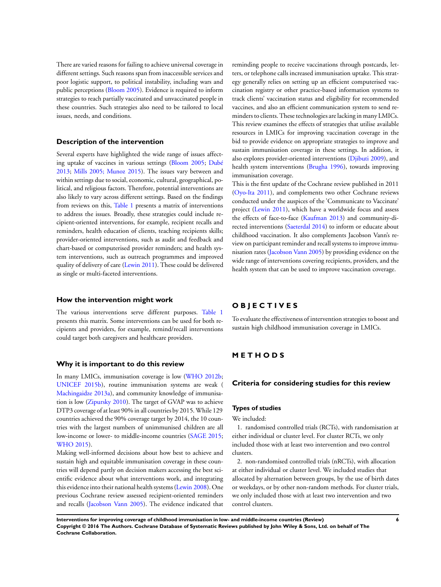There are varied reasons for failing to achieve universal coverage in different settings. Such reasons span from inaccessible services and poor logistic support, to political instability, including wars and public perceptions [\(Bloom 2005\)](#page-29-0). Evidence is required to inform strategies to reach partially vaccinated and unvaccinated people in these countries. Such strategies also need to be tailored to local issues, needs, and conditions.

# **Description of the intervention**

Several experts have highlighted the wide range of issues affecting uptake of vaccines in various settings ([Bloom 2005;](#page-29-0) [Dubé](#page-29-0) [2013](#page-29-0); [Mills 2005; Munoz 2015](#page-29-0)). The issues vary between and within settings due to social, economic, cultural, geographical, political, and religious factors. Therefore, potential interventions are also likely to vary across different settings. Based on the findings from reviews on this, [Table 1](#page-74-0) presents a matrix of interventions to address the issues. Broadly, these strategies could include recipient-oriented interventions, for example, recipient recalls and reminders, health education of clients, teaching recipients skills; provider-oriented interventions, such as audit and feedback and chart-based or computerised provider reminders; and health system interventions, such as outreach programmes and improved quality of delivery of care ([Lewin 2011](#page-29-0)). These could be delivered as single or multi-faceted interventions.

#### **How the intervention might work**

The various interventions serve different purposes. [Table 1](#page-74-0) presents this matrix. Some interventions can be used for both recipients and providers, for example, remind/recall interventions could target both caregivers and healthcare providers.

#### **Why it is important to do this review**

In many LMICs, immunisation coverage is low [\(WHO 2012b;](#page-29-0) [UNICEF 2015b\)](#page-29-0), routine immunisation systems are weak ( [Machingaidze 2013a\)](#page-29-0), and community knowledge of immunisation is low [\(Zipursky 2010](#page-29-0)). The target of GVAP was to achieve DTP3 coverage of at least 90% in all countries by 2015. While 129 countries achieved the 90% coverage target by 2014, the 10 countries with the largest numbers of unimmunised children are all low-income or lower- to middle-income countries [\(SAGE 2015;](#page-29-0) **[WHO 2015\)](#page-29-0)**.

Making well-informed decisions about how best to achieve and sustain high and equitable immunisation coverage in these countries will depend partly on decision makers accessing the best scientific evidence about what interventions work, and integrating this evidence into their national health systems ([Lewin 2008](#page-29-0)). One previous Cochrane review assessed recipient-oriented reminders and recalls ([Jacobson Vann 2005](#page-29-0)). The evidence indicated that reminding people to receive vaccinations through postcards, letters, or telephone calls increased immunisation uptake. This strategy generally relies on setting up an efficient computerised vaccination registry or other practice-based information systems to track clients' vaccination status and eligibility for recommended vaccines, and also an efficient communication system to send reminders to clients. These technologies are lacking in many LMICs. This review examines the effects of strategies that utilise available resources in LMICs for improving vaccination coverage in the bid to provide evidence on appropriate strategies to improve and sustain immunisation coverage in these settings. In addition, it also explores provider-oriented interventions [\(Djibuti 2009](#page-29-0)), and health system interventions ([Brugha 1996](#page-29-0)), towards improving immunisation coverage.

This is the first update of the Cochrane review published in 2011 [\(Oyo-Ita 2011\)](#page-29-0), and complements two other Cochrane reviews conducted under the auspices of the 'Communicate to Vaccinate' project [\(Lewin 2011\)](#page-29-0), which have a worldwide focus and assess the effects of face-to-face ([Kaufman 2013](#page-29-0)) and community-directed interventions [\(Saeterdal 2014\)](#page-29-0) to inform or educate about childhood vaccination. It also complements Jacobson Vann's review on participant reminder and recall systems to improve immunisation rates [\(Jacobson Vann 2005](#page-29-0)) by providing evidence on the wide range of interventions covering recipients, providers, and the health system that can be used to improve vaccination coverage.

# **O B J E C T I V E S**

To evaluate the effectiveness of intervention strategies to boost and sustain high childhood immunisation coverage in LMICs.

# **M E T H O D S**

# **Criteria for considering studies for this review**

#### **Types of studies**

We included:

1. randomised controlled trials (RCTs), with randomisation at either individual or cluster level. For cluster RCTs, we only included those with at least two intervention and two control clusters.

2. non-randomised controlled trials (nRCTs), with allocation at either individual or cluster level. We included studies that allocated by alternation between groups, by the use of birth dates or weekdays, or by other non-random methods. For cluster trials, we only included those with at least two intervention and two control clusters.

**Interventions for improving coverage of childhood immunisation in low- and middle-income countries (Review) 6 Copyright © 2016 The Authors. Cochrane Database of Systematic Reviews published by John Wiley & Sons, Ltd. on behalf of The Cochrane Collaboration.**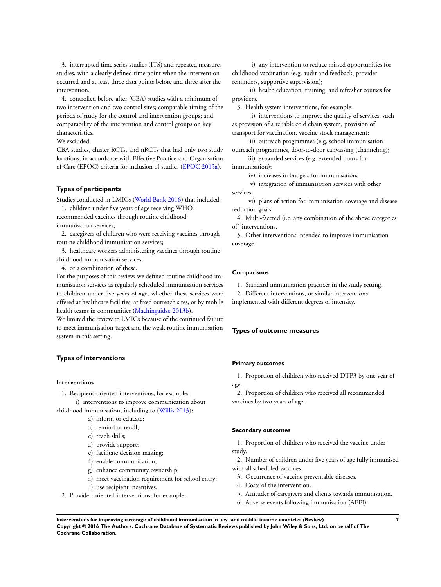3. interrupted time series studies (ITS) and repeated measures studies, with a clearly defined time point when the intervention occurred and at least three data points before and three after the intervention.

4. controlled before-after (CBA) studies with a minimum of two intervention and two control sites; comparable timing of the periods of study for the control and intervention groups; and comparability of the intervention and control groups on key characteristics.

We excluded:

CBA studies, cluster RCTs, and nRCTs that had only two study locations, in accordance with Effective Practice and Organisation of Care (EPOC) criteria for inclusion of studies [\(EPOC 2015a\)](#page-29-0).

#### **Types of participants**

Studies conducted in LMICs ([World Bank 2016](#page-29-0)) that included:

1. children under five years of age receiving WHOrecommended vaccines through routine childhood immunisation services;

2. caregivers of children who were receiving vaccines through routine childhood immunisation services;

3. healthcare workers administering vaccines through routine childhood immunisation services;

4. or a combination of these.

For the purposes of this review, we defined routine childhood immunisation services as regularly scheduled immunisation services to children under five years of age, whether these services were offered at healthcare facilities, at fixed outreach sites, or by mobile health teams in communities ([Machingaidze 2013b](#page-29-0)).

We limited the review to LMICs because of the continued failure to meet immunisation target and the weak routine immunisation system in this setting.

# **Types of interventions**

### **Interventions**

1. Recipient-oriented interventions, for example:

i) interventions to improve communication about childhood immunisation, including to ([Willis 2013](#page-29-0)):

- a) inform or educate;
- b) remind or recall;
- c) teach skills;
- d) provide support;
- e) facilitate decision making;
- f) enable communication;
- g) enhance community ownership;
- h) meet vaccination requirement for school entry;
- i) use recipient incentives.

2. Provider-oriented interventions, for example:

i) any intervention to reduce missed opportunities for childhood vaccination (e.g. audit and feedback, provider reminders, supportive supervision);

ii) health education, training, and refresher courses for providers.

3. Health system interventions, for example:

i) interventions to improve the quality of services, such as provision of a reliable cold chain system, provision of transport for vaccination, vaccine stock management;

ii) outreach programmes (e.g. school immunisation outreach programmes, door-to-door canvassing (channeling);

iii) expanded services (e.g. extended hours for immunisation);

iv) increases in budgets for immunisation;

v) integration of immunisation services with other services;

vi) plans of action for immunisation coverage and disease reduction goals.

4. Multi-faceted (i.e. any combination of the above categories of) interventions.

5. Other interventions intended to improve immunisation coverage.

# **Comparisons**

1. Standard immunisation practices in the study setting.

2. Different interventions, or similar interventions

implemented with different degrees of intensity.

#### **Types of outcome measures**

#### **Primary outcomes**

1. Proportion of children who received DTP3 by one year of age.

2. Proportion of children who received all recommended vaccines by two years of age.

#### **Secondary outcomes**

1. Proportion of children who received the vaccine under study.

2. Number of children under five years of age fully immunised with all scheduled vaccines.

- 3. Occurrence of vaccine preventable diseases.
- 4. Costs of the intervention.
- 5. Attitudes of caregivers and clients towards immunisation.
- 6. Adverse events following immunisation (AEFI).

**Interventions for improving coverage of childhood immunisation in low- and middle-income countries (Review) 7 Copyright © 2016 The Authors. Cochrane Database of Systematic Reviews published by John Wiley & Sons, Ltd. on behalf of The Cochrane Collaboration.**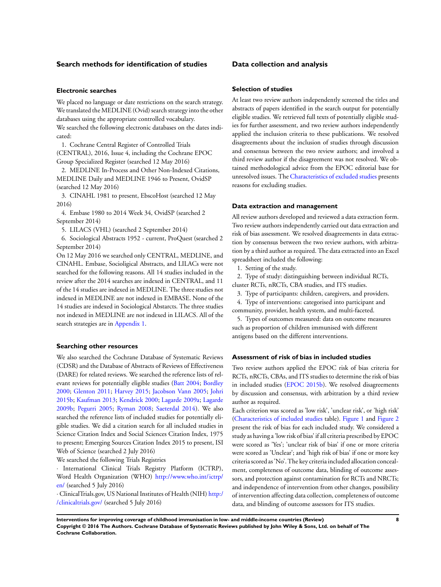# **Search methods for identification of studies**

#### **Electronic searches**

We placed no language or date restrictions on the search strategy. We translated the MEDLINE (Ovid) search strategy into the other databases using the appropriate controlled vocabulary.

We searched the following electronic databases on the dates indicated:

1. Cochrane Central Register of Controlled Trials (CENTRAL), 2016, Issue 4, including the Cochrane EPOC Group Specialized Register (searched 12 May 2016)

2. MEDLINE In-Process and Other Non-Indexed Citations, MEDLINE Daily and MEDLINE 1946 to Present, OvidSP (searched 12 May 2016)

3. CINAHL 1981 to present, EbscoHost (searched 12 May 2016)

4. Embase 1980 to 2014 Week 34, OvidSP (searched 2 September 2014)

5. LILACS (VHL) (searched 2 September 2014)

6. Sociological Abstracts 1952 - current, ProQuest (searched 2 September 2014)

On 12 May 2016 we searched only CENTRAL, MEDLINE, and CINAHL. Embase, Socioligical Abstracts, and LILACs were not searched for the following reasons. All 14 studies included in the review after the 2014 searches are indexed in CENTRAL, and 11 of the 14 studies are indexed in MEDLINE. The three studies not indexed in MEDLINE are not indexed in EMBASE. None of the 14 studies are indexed in Sociological Abstarcts. The three studies not indexed in MEDLINE are not indexed in LILACS. All of the search strategies are in [Appendix 1](#page-75-0).

#### **Searching other resources**

We also searched the Cochrane Database of Systematic Reviews (CDSR) and the Database of Abstracts of Reviews of Effectiveness (DARE) for related reviews. We searched the reference lists of relevant reviews for potentially eligible studies [\(Batt 2004](#page-29-0); [Bordley](#page-29-0) [2000](#page-29-0); [Glenton 2011](#page-29-0); [Harvey 2015;](#page-29-0) [Jacobson Vann 2005;](#page-29-0) [Johri](#page-29-0) [2015b;](#page-29-0) [Kaufman 2013](#page-29-0); [Kendrick 2000](#page-29-0); [Lagarde 2009a](#page-29-0); [Lagarde](#page-29-0) [2009b;](#page-29-0) [Pegurri 2005;](#page-29-0) [Ryman 2008;](#page-29-0) [Saeterdal 2014\)](#page-29-0). We also searched the reference lists of included studies for potentially eligible studies. We did a citation search for all included studies in Science Citation Index and Social Sciences Citation Index, 1975 to present; Emerging Sources Citation Index 2015 to present, ISI Web of Science (searched 2 July 2016)

We searched the following Trials Registries

· International Clinical Trials Registry Platform (ICTRP), Word Health Organization (WHO) [http://www.who.int/ictrp/](http://www.who.int/ictrp/en/) [en/](http://www.who.int/ictrp/en/) (searched 5 July 2016)

· ClinicalTrials.gov, US National Institutes of Health (NIH) [http:/](http://clinicaltrials.gov/) [/clinicaltrials.gov/](http://clinicaltrials.gov/) (searched 5 July 2016)

# **Data collection and analysis**

#### **Selection of studies**

At least two review authors independently screened the titles and abstracts of papers identified in the search output for potentially eligible studies. We retrieved full texts of potentially eligible studies for further assessment, and two review authors independently applied the inclusion criteria to these publications. We resolved disagreements about the inclusion of studies through discussion and consensus between the two review authors; and involved a third review author if the disagreement was not resolved. We obtained methodological advice from the EPOC editorial base for unresolved issues. The [Characteristics of excluded studies](#page-58-0) presents reasons for excluding studies.

#### **Data extraction and management**

All review authors developed and reviewed a data extraction form. Two review authors independently carried out data extraction and risk of bias assessment. We resolved disagreements in data extraction by consensus between the two review authors, with arbitration by a third author as required. The data extracted into an Excel spreadsheet included the following:

1. Setting of the study.

2. Type of study: distinguishing between individual RCTs, cluster RCTs, nRCTs, CBA studies, and ITS studies.

3. Type of participants: children, caregivers, and providers.

4. Type of interventions: categorised into participant and

community, provider, health system, and multi-faceted.

5. Types of outcomes measured: data on outcome measures such as proportion of children immunised with different antigens based on the different interventions.

#### **Assessment of risk of bias in included studies**

Two review authors applied the EPOC risk of bias criteria for RCTs, nRCTs, CBAs, and ITS studies to determine the risk of bias in included studies [\(EPOC 2015b\)](#page-29-0). We resolved disagreements by discussion and consensus, with arbitration by a third review author as required.

Each criterion was scored as 'low risk', 'unclear risk', or 'high risk' [\(Characteristics of included studies](#page-37-0) table). [Figure 1](#page-10-0) and [Figure 2](#page-11-0) present the risk of bias for each included study. We considered a study as having a 'low risk of bias' if all criteria prescribed by EPOC were scored as 'Yes'; 'unclear risk of bias' if one or more criteria were scored as 'Unclear'; and 'high risk of bias' if one or more key criteria scored as 'No'. The key criteria included allocation concealment, completeness of outcome data, blinding of outcome assessors, and protection against contamination for RCTs and NRCTs; and independence of intervention from other changes, possibility of intervention affecting data collection, completeness of outcome data, and blinding of outcome assessors for ITS studies.

**Interventions for improving coverage of childhood immunisation in low- and middle-income countries (Review) 8 Copyright © 2016 The Authors. Cochrane Database of Systematic Reviews published by John Wiley & Sons, Ltd. on behalf of The Cochrane Collaboration.**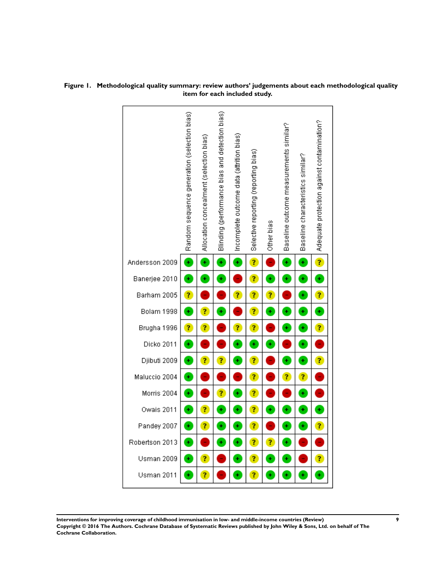Blinding (performance bias and detection bias) Random sequence generation (selection bias) Adequate protection against contamination? Baseline outcome measurements similar? Incomplete outcome data (attrition bias) Allocation concealment (selection bias) Selective reporting (reporting bias) Baseline characteristics similar? Other bias  $\overline{?}$ Andersson 2009  $\overline{\mathbf{r}}$ Ŧ Œ Ŧ ÷  $\color{red}+$ ÷ Banerjee 2010  $\overline{\mathbf{r}}$ ٠ Ŧ  $\ddot{}$  $\ddot{}$ Ŧ ÷ ÷ Barham 2005  $\overline{?}$  $\overline{r}$  $\overline{\mathbf{r}}$  $\overline{ }$ 7 Ŧ **Bolam 1998**  $\overline{?}$  $\overline{\mathbf{r}}$  $\ddot{}$  $\ddot{}$ ÷ ÷ ٠  $\overline{\mathbf{r}}$ Ÿ, Brugha 1996 ? 3  $\overline{\mathbf{r}}$ Ŧ Dicko 2011  $\pm$ Ð ÷ ٠ ٠ Djibuti 2009 7  $\color{red}+$ 3 3  $\pm$ 3 ÷ ¥ Maluccio 2004 ÷ ? 3 ? Morris 2004 <sup>2</sup> 7 ÷ Owais 2011 3 ? ÷ ٠ Pandey 2007 3 7 7  $\color{red}+$  $\ddot{}$ ÷. ÷ ÷ Robertson 2013 ? ÷  $\left| \cdot \right|$ 3 Usman 2009 3 3 7  $\color{red}+$  $\ddot{\phantom{1}}$ ÷ Usman 2011  $\overline{?}$ <sub>2</sub> ÷

<span id="page-10-0"></span>**Figure 1. Methodological quality summary: review authors' judgements about each methodological quality item for each included study.**

**Interventions for improving coverage of childhood immunisation in low- and middle-income countries (Review) 9 Copyright © 2016 The Authors. Cochrane Database of Systematic Reviews published by John Wiley & Sons, Ltd. on behalf of The Cochrane Collaboration.**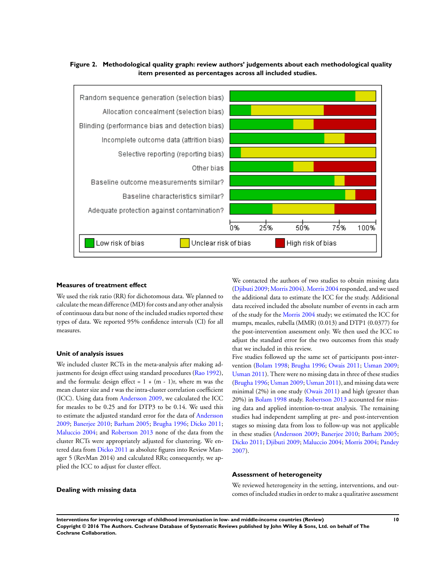# <span id="page-11-0"></span>**Figure 2. Methodological quality graph: review authors' judgements about each methodological quality item presented as percentages across all included studies.**



#### **Measures of treatment effect**

We used the risk ratio (RR) for dichotomous data. We planned to calculate the mean difference (MD) for costs and any other analysis of continuous data but none of the included studies reported these types of data. We reported 95% confidence intervals (CI) for all measures.

# **Unit of analysis issues**

We included cluster RCTs in the meta-analysis after making ad-justments for design effect using standard procedures [\(Rao 1992](#page-29-0)), and the formula: design effect =  $1 + (m - 1)r$ , where m was the mean cluster size and r was the intra-cluster correlation coefficient (ICC). Using data from [Andersson 2009,](#page-29-0) we calculated the ICC for measles to be 0.25 and for DTP3 to be 0.14. We used this to estimate the adjusted standard error for the data of [Andersson](#page-29-0) [2009](#page-29-0); [Banerjee 2010](#page-29-0); [Barham 2005;](#page-29-0) [Brugha 1996](#page-29-0); [Dicko 2011;](#page-29-0) [Maluccio 2004](#page-29-0); and [Robertson 2013](#page-29-0) none of the data from the cluster RCTs were appropriately adjusted for clustering. We entered data from [Dicko 2011](#page-29-0) as absolute figures into Review Manager 5 (RevMan 2014) and calculated RRs; consequently, we applied the ICC to adjust for cluster effect.

# We contacted the authors of two studies to obtain missing data [\(Djibuti 2009](#page-29-0); [Morris 2004\)](#page-29-0). [Morris 2004](#page-29-0) responded, and we used the additional data to estimate the ICC for the study. Additional data received included the absolute number of events in each arm of the study for the [Morris 2004](#page-29-0) study; we estimated the ICC for mumps, measles, rubella (MMR) (0.013) and DTP1 (0.0377) for the post-intervention assessment only. We then used the ICC to adjust the standard error for the two outcomes from this study that we included in this review.

Five studies followed up the same set of participants post-intervention ([Bolam 1998](#page-29-0); [Brugha 1996;](#page-29-0) [Owais 2011;](#page-29-0) [Usman 2009;](#page-29-0) [Usman 2011\)](#page-29-0). There were no missing data in three of these studies [\(Brugha 1996;](#page-29-0) [Usman 2009](#page-29-0); [Usman 2011](#page-29-0)), and missing data were minimal (2%) in one study [\(Owais 2011\)](#page-29-0) and high (greater than 20%) in [Bolam 1998](#page-29-0) study. [Robertson 2013](#page-29-0) accounted for missing data and applied intention-to-treat analysis. The remaining studies had independent sampling at pre- and post-intervention stages so missing data from loss to follow-up was not applicable in these studies ([Andersson 2009;](#page-29-0) [Banerjee 2010](#page-29-0); [Barham 2005;](#page-29-0) [Dicko 2011;](#page-29-0) [Djibuti 2009;](#page-29-0) [Maluccio 2004](#page-29-0); [Morris 2004;](#page-29-0) [Pandey](#page-29-0) [2007](#page-29-0)).

#### **Assessment of heterogeneity**

**Dealing with missing data**

We reviewed heterogeneity in the setting, interventions, and outcomes of included studies in order to make a qualitative assessment

**Interventions for improving coverage of childhood immunisation in low- and middle-income countries (Review) 10 Copyright © 2016 The Authors. Cochrane Database of Systematic Reviews published by John Wiley & Sons, Ltd. on behalf of The Cochrane Collaboration.**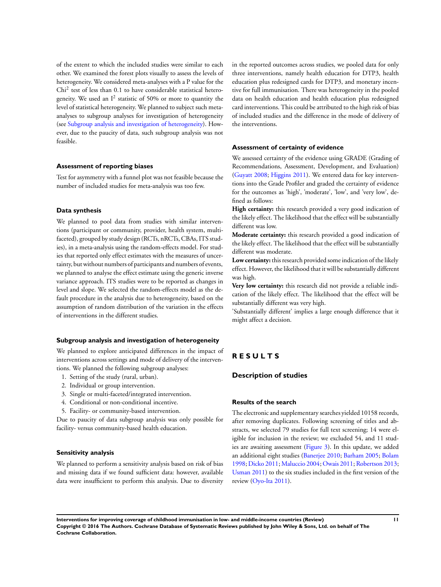of the extent to which the included studies were similar to each other. We examined the forest plots visually to assess the levels of heterogeneity. We considered meta-analyses with a P value for the Chi<sup>2</sup> test of less than 0.1 to have considerable statistical heterogeneity. We used an  $I^2$  statistic of 50% or more to quantity the level of statistical heterogeneity. We planned to subject such metaanalyses to subgroup analyses for investigation of heterogeneity (see [Subgroup analysis and investigation of heterogeneity\)](#page-11-0). However, due to the paucity of data, such subgroup analysis was not feasible.

# **Assessment of reporting biases**

Test for asymmetry with a funnel plot was not feasible because the number of included studies for meta-analysis was too few.

#### **Data synthesis**

We planned to pool data from studies with similar interventions (participant or community, provider, health system, multifaceted), grouped by study design (RCTs, nRCTs, CBAs, ITS studies), in a meta-analysis using the random-effects model. For studies that reported only effect estimates with the measures of uncertainty, but without numbers of participants and numbers of events, we planned to analyse the effect estimate using the generic inverse variance approach. ITS studies were to be reported as changes in level and slope. We selected the random-effects model as the default procedure in the analysis due to heterogeneity, based on the assumption of random distribution of the variation in the effects of interventions in the different studies.

#### **Subgroup analysis and investigation of heterogeneity**

We planned to explore anticipated differences in the impact of interventions across settings and mode of delivery of the interventions. We planned the following subgroup analyses:

- 1. Setting of the study (rural, urban).
- 2. Individual or group intervention.
- 3. Single or multi-faceted/integrated intervention.
- 4. Conditional or non-conditional incentive.
- 5. Facility- or community-based intervention.

Due to paucity of data subgroup analysis was only possible for facility- versus community-based health education.

#### **Sensitivity analysis**

We planned to perform a sensitivity analysis based on risk of bias and missing data if we found sufficient data: however, available data were insufficient to perform this analysis. Due to diversity in the reported outcomes across studies, we pooled data for only three interventions, namely health education for DTP3, health education plus redesigned cards for DTP3, and monetary incentive for full immunisation. There was heterogeneity in the pooled data on health education and health education plus redesigned card interventions. This could be attributed to the high risk of bias of included studies and the difference in the mode of delivery of the interventions.

#### **Assessment of certainty of evidence**

We assessed certainty of the evidence using GRADE (Grading of Recommendations, Assessment, Development, and Evaluation) [\(Guyatt 2008;](#page-29-0) [Higgins 2011](#page-29-0)). We entered data for key interventions into the Grade Profiler and graded the certainty of evidence for the outcomes as 'high', 'moderate', 'low', and 'very low', defined as follows:

**High certainty:** this research provided a very good indication of the likely effect. The likelihood that the effect will be substantially different was low.

**Moderate certainty:** this research provided a good indication of the likely effect. The likelihood that the effect will be substantially different was moderate.

**Low certainty:**this research provided some indication of the likely effect. However, the likelihood that it will be substantially different was high.

**Very low certainty:** this research did not provide a reliable indication of the likely effect. The likelihood that the effect will be substantially different was very high.

'Substantially different' implies a large enough difference that it might affect a decision.

# **R E S U L T S**

# **Description of studies**

# **Results of the search**

The electronic and supplementary searches yielded 10158 records, after removing duplicates. Following screening of titles and abstracts, we selected 79 studies for full text screening; 14 were eligible for inclusion in the review; we excluded 54, and 11 studies are awaiting assessment ([Figure 3](#page-13-0)). In this update, we added an additional eight studies [\(Banerjee 2010](#page-29-0); [Barham 2005;](#page-29-0) [Bolam](#page-29-0) [1998](#page-29-0); [Dicko 2011;](#page-29-0) [Maluccio 2004;](#page-29-0) [Owais 2011;](#page-29-0) [Robertson 2013;](#page-29-0) [Usman 2011\)](#page-29-0) to the six studies included in the first version of the review ([Oyo-Ita 2011](#page-29-0)).

**Interventions for improving coverage of childhood immunisation in low- and middle-income countries (Review) 11 Copyright © 2016 The Authors. Cochrane Database of Systematic Reviews published by John Wiley & Sons, Ltd. on behalf of The Cochrane Collaboration.**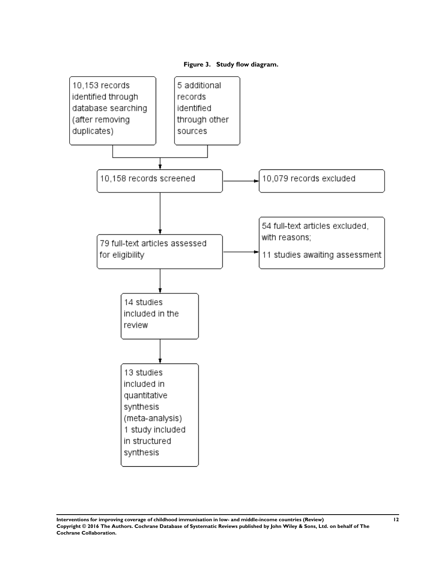

<span id="page-13-0"></span>

**Interventions for improving coverage of childhood immunisation in low- and middle-income countries (Review) 12 Copyright © 2016 The Authors. Cochrane Database of Systematic Reviews published by John Wiley & Sons, Ltd. on behalf of The Cochrane Collaboration.**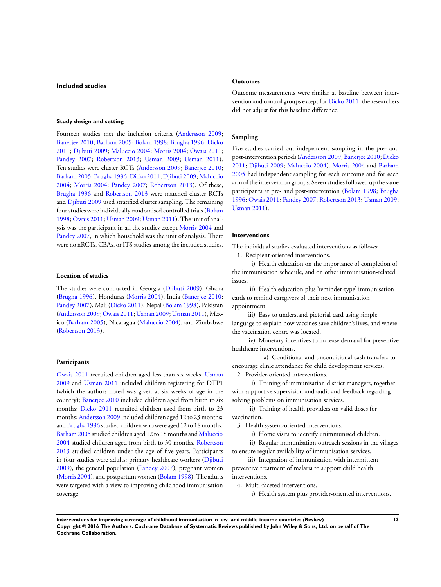# **Included studies**

# **Study design and setting**

Fourteen studies met the inclusion criteria [\(Andersson 2009;](#page-29-0) [Banerjee 2010](#page-29-0); [Barham 2005;](#page-29-0) [Bolam 1998](#page-29-0); [Brugha 1996](#page-29-0); [Dicko](#page-29-0) [2011](#page-29-0); [Djibuti 2009](#page-29-0); [Maluccio 2004;](#page-29-0) [Morris 2004;](#page-29-0) [Owais 2011;](#page-29-0) [Pandey 2007;](#page-29-0) [Robertson 2013;](#page-29-0) [Usman 2009](#page-29-0); [Usman 2011](#page-29-0)). Ten studies were cluster RCTs ([Andersson 2009;](#page-29-0) [Banerjee 2010;](#page-29-0) [Barham 2005](#page-29-0); [Brugha 1996](#page-29-0); [Dicko 2011](#page-29-0); [Djibuti 2009](#page-29-0); [Maluccio](#page-29-0) [2004](#page-29-0); [Morris 2004;](#page-29-0) [Pandey 2007;](#page-29-0) [Robertson 2013\)](#page-29-0). Of these, [Brugha 1996](#page-29-0) and [Robertson 2013](#page-29-0) were matched cluster RCTs and [Djibuti 2009](#page-29-0) used stratified cluster sampling. The remaining four studies were individually randomised controlled trials [\(Bolam](#page-29-0) [1998](#page-29-0); [Owais 2011;](#page-29-0) [Usman 2009](#page-29-0); [Usman 2011\)](#page-29-0). The unit of analysis was the participant in all the studies except [Morris 2004](#page-29-0) and [Pandey 2007](#page-29-0), in which household was the unit of analysis. There were no nRCTs, CBAs, or ITS studies among the included studies.

#### **Location of studies**

The studies were conducted in Georgia ([Djibuti 2009\)](#page-29-0), Ghana [\(Brugha 1996\)](#page-29-0), Honduras [\(Morris 2004](#page-29-0)), India ([Banerjee 2010;](#page-29-0) [Pandey 2007](#page-29-0)), Mali ([Dicko 2011](#page-29-0)), Nepal ([Bolam 1998](#page-29-0)), Pakistan [\(Andersson 2009](#page-29-0); [Owais 2011](#page-29-0); [Usman 2009](#page-29-0); [Usman 2011](#page-29-0)), Mexico ([Barham 2005\)](#page-29-0), Nicaragua [\(Maluccio 2004\)](#page-29-0), and Zimbabwe [\(Robertson 2013](#page-29-0)).

#### **Participants**

[Owais 2011](#page-29-0) recruited children aged less than six weeks; [Usman](#page-29-0) [2009](#page-29-0) and [Usman 2011](#page-29-0) included children registering for DTP1 (which the authors noted was given at six weeks of age in the country); [Banerjee 2010](#page-29-0) included children aged from birth to six months; [Dicko 2011](#page-29-0) recruited children aged from birth to 23 months; [Andersson 2009](#page-29-0) included children aged 12 to 23 months; and [Brugha 1996](#page-29-0) studied children who were aged 12 to 18 months. [Barham 2005](#page-29-0) studied children aged 12 to 18 months and [Maluccio](#page-29-0) [2004](#page-29-0) studied children aged from birth to 30 months. [Robertson](#page-29-0) [2013](#page-29-0) studied children under the age of five years. Participants in four studies were adults: primary healthcare workers [\(Djibuti](#page-29-0) [2009](#page-29-0)), the general population ([Pandey 2007\)](#page-29-0), pregnant women [\(Morris 2004](#page-29-0)), and postpartum women ([Bolam 1998](#page-29-0)). The adults were targeted with a view to improving childhood immunisation coverage.

#### **Outcomes**

Outcome measurements were similar at baseline between intervention and control groups except for [Dicko 2011](#page-29-0); the researchers did not adjust for this baseline difference.

#### **Sampling**

Five studies carried out independent sampling in the pre- and post-intervention periods [\(Andersson 2009](#page-29-0); [Banerjee 2010](#page-29-0); [Dicko](#page-29-0) [2011](#page-29-0); [Djibuti 2009;](#page-29-0) [Maluccio 2004\)](#page-29-0). [Morris 2004](#page-29-0) and [Barham](#page-29-0) [2005](#page-29-0) had independent sampling for each outcome and for each arm of the intervention groups. Seven studies followed up the same participants at pre- and post-intervention [\(Bolam 1998;](#page-29-0) [Brugha](#page-29-0) [1996](#page-29-0); [Owais 2011](#page-29-0); [Pandey 2007;](#page-29-0) [Robertson 2013;](#page-29-0) [Usman 2009;](#page-29-0) [Usman 2011](#page-29-0)).

#### **Interventions**

The individual studies evaluated interventions as follows:

1. Recipient-oriented interventions.

i) Health education on the importance of completion of the immunisation schedule, and on other immunisation-related issues.

ii) Health education plus 'reminder-type' immunisation cards to remind caregivers of their next immunisation appointment.

iii) Easy to understand pictorial card using simple language to explain how vaccines save children's lives, and where the vaccination centre was located.

iv) Monetary incentives to increase demand for preventive healthcare interventions.

a) Conditional and unconditional cash transfers to encourage clinic attendance for child development services. 2. Provider-oriented interventions.

i) Training of immunisation district managers, together with supportive supervision and audit and feedback regarding solving problems on immunisation services.

ii) Training of health providers on valid doses for vaccination.

3. Health system-oriented interventions.

i) Home visits to identify unimmunised children.

ii) Regular immunisation outreach sessions in the villages to ensure regular availability of immunisation services.

iii) Integration of immunisation with intermittent preventive treatment of malaria to support child health interventions.

4. Multi-faceted interventions.

i) Health system plus provider-oriented interventions.

**Interventions for improving coverage of childhood immunisation in low- and middle-income countries (Review) 13 Copyright © 2016 The Authors. Cochrane Database of Systematic Reviews published by John Wiley & Sons, Ltd. on behalf of The Cochrane Collaboration.**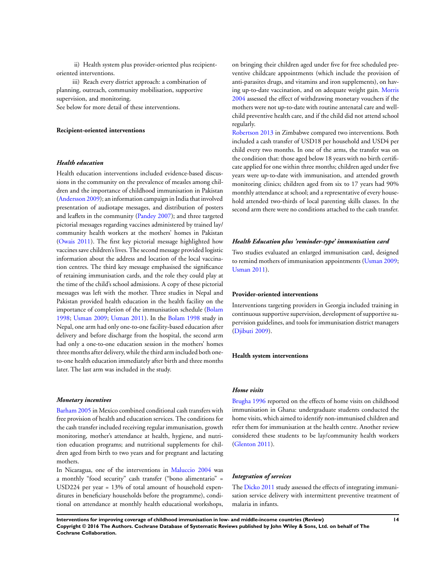ii) Health system plus provider-oriented plus recipientoriented interventions.

iii) Reach every district approach: a combination of planning, outreach, community mobilisation, supportive supervision, and monitoring.

See below for more detail of these interventions.

#### **Recipient-oriented interventions**

# *Health education*

Health education interventions included evidence-based discussions in the community on the prevalence of measles among children and the importance of childhood immunisation in Pakistan [\(Andersson 2009\)](#page-29-0); an information campaign in India that involved presentation of audiotape messages, and distribution of posters and leaflets in the community ([Pandey 2007\)](#page-29-0); and three targeted pictorial messages regarding vaccines administered by trained lay/ community health workers at the mothers' homes in Pakistan [\(Owais 2011](#page-29-0)). The first key pictorial message highlighted how vaccines save children's lives. The second message provided logistic information about the address and location of the local vaccination centres. The third key message emphasised the significance of retaining immunisation cards, and the role they could play at the time of the child's school admissions. A copy of these pictorial messages was left with the mother. Three studies in Nepal and Pakistan provided health education in the health facility on the importance of completion of the immunisation schedule [\(Bolam](#page-29-0) [1998](#page-29-0); [Usman 2009;](#page-29-0) [Usman 2011\)](#page-29-0). In the [Bolam 1998](#page-29-0) study in Nepal, one arm had only one-to-one facility-based education after delivery and before discharge from the hospital, the second arm had only a one-to-one education session in the mothers' homes three months after delivery, while the third arm included both oneto-one health education immediately after birth and three months later. The last arm was included in the study.

#### *Monetary incentives*

[Barham 2005](#page-29-0) in Mexico combined conditional cash transfers with free provision of health and education services. The conditions for the cash transfer included receiving regular immunisation, growth monitoring, mother's attendance at health, hygiene, and nutrition education programs; and nutritional supplements for children aged from birth to two years and for pregnant and lactating mothers.

In Nicaragua, one of the interventions in [Maluccio 2004](#page-29-0) was a monthly "food security" cash transfer ("bono alimentario" = USD224 per year = 13% of total amount of household expenditures in beneficiary households before the programme), conditional on attendance at monthly health educational workshops, on bringing their children aged under five for free scheduled preventive childcare appointments (which include the provision of anti-parasites drugs, and vitamins and iron supplements), on having up-to-date vaccination, and on adequate weight gain. [Morris](#page-29-0) [2004](#page-29-0) assessed the effect of withdrawing monetary vouchers if the mothers were not up-to-date with routine antenatal care and wellchild preventive health care, and if the child did not attend school regularly.

[Robertson 2013](#page-29-0) in Zimbabwe compared two interventions. Both included a cash transfer of USD18 per household and USD4 per child every two months. In one of the arms, the transfer was on the condition that: those aged below 18 years with no birth certificate applied for one within three months; children aged under five years were up-to-date with immunisation, and attended growth monitoring clinics; children aged from six to 17 years had 90% monthly attendance at school; and a representative of every household attended two-thirds of local parenting skills classes. In the second arm there were no conditions attached to the cash transfer.

#### *Health Education plus 'reminder-type' immunisation card*

Two studies evaluated an enlarged immunisation card, designed to remind mothers of immunisation appointments [\(Usman 2009;](#page-29-0) [Usman 2011](#page-29-0)).

#### **Provider-oriented interventions**

Interventions targeting providers in Georgia included training in continuous supportive supervision, development of supportive supervision guidelines, and tools for immunisation district managers [\(Djibuti 2009](#page-29-0)).

#### **Health system interventions**

# *Home visits*

[Brugha 1996](#page-29-0) reported on the effects of home visits on childhood immunisation in Ghana: undergraduate students conducted the home visits, which aimed to identify non-immunised children and refer them for immunisation at the health centre. Another review considered these students to be lay/community health workers [\(Glenton 2011](#page-29-0)).

# *Integration of services*

The [Dicko 2011](#page-29-0) study assessed the effects of integrating immunisation service delivery with intermittent preventive treatment of malaria in infants.

**Interventions for improving coverage of childhood immunisation in low- and middle-income countries (Review) 14 Copyright © 2016 The Authors. Cochrane Database of Systematic Reviews published by John Wiley & Sons, Ltd. on behalf of The Cochrane Collaboration.**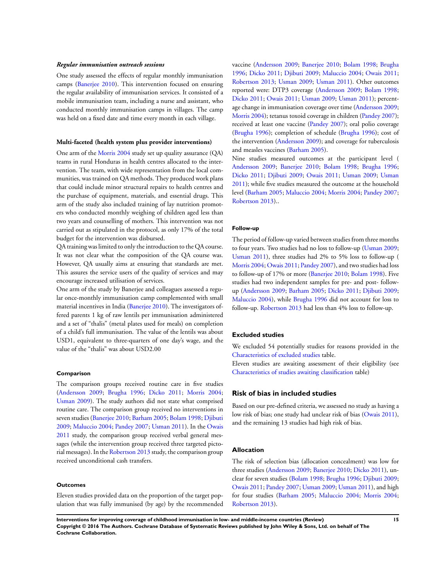#### *Regular immunisation outreach sessions*

One study assessed the effects of regular monthly immunisation camps [\(Banerjee 2010](#page-29-0)). This intervention focused on ensuring the regular availability of immunisation services. It consisted of a mobile immunisation team, including a nurse and assistant, who conducted monthly immunisation camps in villages. The camp was held on a fixed date and time every month in each village.

#### **Multi-faceted (health system plus provider interventions)**

One arm of the [Morris 2004](#page-29-0) study set up quality assurance (QA) teams in rural Honduras in health centres allocated to the intervention. The team, with wide representation from the local communities, was trained on QA methods. They produced work plans that could include minor structural repairs to health centres and the purchase of equipment, materials, and essential drugs. This arm of the study also included training of lay nutrition promoters who conducted monthly weighing of children aged less than two years and counselling of mothers. This intervention was not carried out as stipulated in the protocol, as only 17% of the total budget for the intervention was disbursed.

QA training was limited to only the introduction to the QA course. It was not clear what the composition of the QA course was. However, QA usually aims at ensuring that standards are met. This assures the service users of the quality of services and may encourage increased utilisation of services.

One arm of the study by Banerjee and colleagues assessed a regular once-monthly immunisation camp complemented with small material incentives in India [\(Banerjee 2010\)](#page-29-0). The investigators offered parents 1 kg of raw lentils per immunisation administered and a set of "thalis" (metal plates used for meals) on completion of a child's full immunisation. The value of the lentils was about USD1, equivalent to three-quarters of one day's wage, and the value of the "thalis" was about USD2.00

#### **Comparison**

The comparison groups received routine care in five studies [\(Andersson 2009](#page-29-0); [Brugha 1996;](#page-29-0) [Dicko 2011](#page-29-0); [Morris 2004;](#page-29-0) [Usman 2009\)](#page-29-0). The study authors did not state what comprised routine care. The comparison group received no interventions in seven studies ([Banerjee 2010](#page-29-0); [Barham 2005](#page-29-0); [Bolam 1998](#page-29-0); [Djibuti](#page-29-0) [2009](#page-29-0); [Maluccio 2004;](#page-29-0) [Pandey 2007](#page-29-0); [Usman 2011](#page-29-0)). In the [Owais](#page-29-0) [2011](#page-29-0) study, the comparison group received verbal general messages (while the intervention group received three targeted pictorial messages). In the [Robertson 2013](#page-29-0) study, the comparison group received unconditional cash transfers.

#### **Outcomes**

Eleven studies provided data on the proportion of the target population that was fully immunised (by age) by the recommended vaccine ([Andersson 2009](#page-29-0); [Banerjee 2010](#page-29-0); [Bolam 1998](#page-29-0); [Brugha](#page-29-0) [1996](#page-29-0); [Dicko 2011](#page-29-0); [Djibuti 2009](#page-29-0); [Maluccio 2004](#page-29-0); [Owais 2011;](#page-29-0) [Robertson 2013](#page-29-0); [Usman 2009](#page-29-0); [Usman 2011\)](#page-29-0). Other outcomes reported were: DTP3 coverage ([Andersson 2009](#page-29-0); [Bolam 1998;](#page-29-0) [Dicko 2011](#page-29-0); [Owais 2011](#page-29-0); [Usman 2009](#page-29-0); [Usman 2011](#page-29-0)); percentage change in immunisation coverage over time ([Andersson 2009;](#page-29-0) [Morris 2004\)](#page-29-0); tetanus toxoid coverage in children [\(Pandey 2007](#page-29-0)); received at least one vaccine ([Pandey 2007\)](#page-29-0); oral polio coverage [\(Brugha 1996\)](#page-29-0); completion of schedule ([Brugha 1996](#page-29-0)); cost of the intervention [\(Andersson 2009\)](#page-29-0); and coverage for tuberculosis and measles vaccines ([Barham 2005](#page-29-0)).

Nine studies measured outcomes at the participant level ( [Andersson 2009;](#page-29-0) [Banerjee 2010](#page-29-0); [Bolam 1998;](#page-29-0) [Brugha 1996;](#page-29-0) [Dicko 2011;](#page-29-0) [Djibuti 2009](#page-29-0); [Owais 2011;](#page-29-0) [Usman 2009;](#page-29-0) [Usman](#page-29-0) [2011](#page-29-0)); while five studies measured the outcome at the household level ([Barham 2005](#page-29-0); [Maluccio 2004](#page-29-0); [Morris 2004](#page-29-0); [Pandey 2007;](#page-29-0) [Robertson 2013](#page-29-0))..

#### **Follow-up**

The period of follow-up varied between studies from three months to four years. Two studies had no loss to follow-up [\(Usman 2009;](#page-29-0) [Usman 2011](#page-29-0)), three studies had 2% to 5% loss to follow-up ( [Morris 2004](#page-29-0); [Owais 2011;](#page-29-0) [Pandey 2007](#page-29-0)), and two studies had loss to follow-up of 17% or more [\(Banerjee 2010](#page-29-0); [Bolam 1998\)](#page-29-0). Five studies had two independent samples for pre- and post- followup ([Andersson 2009;](#page-29-0) [Barham 2005;](#page-29-0) [Dicko 2011;](#page-29-0) [Djibuti 2009;](#page-29-0) [Maluccio 2004](#page-29-0)), while [Brugha 1996](#page-29-0) did not account for loss to follow-up. [Robertson 2013](#page-29-0) had less than 4% loss to follow-up.

# **Excluded studies**

We excluded 54 potentially studies for reasons provided in the [Characteristics of excluded studies](#page-58-0) table.

Eleven studies are awaiting assessment of their eligibility (see [Characteristics of studies awaiting classification](#page-61-0) table)

# **Risk of bias in included studies**

Based on our pre-defined criteria, we assessed no study as having a low risk of bias; one study had unclear risk of bias ([Owais 2011](#page-29-0)), and the remaining 13 studies had high risk of bias.

#### **Allocation**

The risk of selection bias (allocation concealment) was low for three studies ([Andersson 2009](#page-29-0); [Banerjee 2010](#page-29-0); [Dicko 2011\)](#page-29-0), unclear for seven studies ([Bolam 1998;](#page-29-0) [Brugha 1996;](#page-29-0) [Djibuti 2009;](#page-29-0) [Owais 2011;](#page-29-0) [Pandey 2007;](#page-29-0) [Usman 2009](#page-29-0); [Usman 2011](#page-29-0)), and high for four studies [\(Barham 2005;](#page-29-0) [Maluccio 2004;](#page-29-0) [Morris 2004;](#page-29-0) [Robertson 2013](#page-29-0)).

**Interventions for improving coverage of childhood immunisation in low- and middle-income countries (Review) 15 Copyright © 2016 The Authors. Cochrane Database of Systematic Reviews published by John Wiley & Sons, Ltd. on behalf of The Cochrane Collaboration.**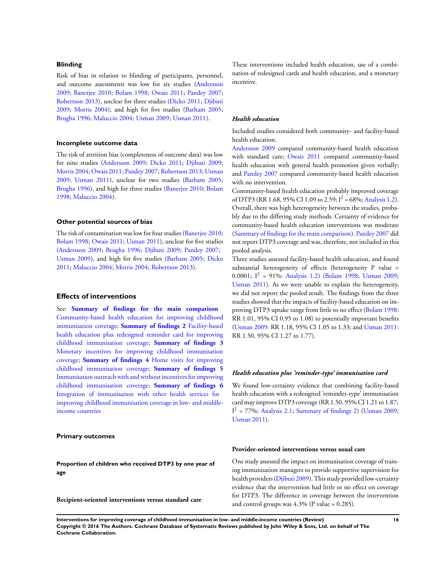#### **Blinding**

Risk of bias in relation to blinding of participants, personnel, and outcome assessments was low for six studies ([Andersson](#page-29-0) [2009](#page-29-0); [Banerjee 2010](#page-29-0); [Bolam 1998](#page-29-0); [Owais 2011;](#page-29-0) [Pandey 2007;](#page-29-0) [Robertson 2013\)](#page-29-0), unclear for three studies ([Dicko 2011;](#page-29-0) [Djibuti](#page-29-0) [2009](#page-29-0); [Morris 2004](#page-29-0)), and high for five studies ([Barham 2005;](#page-29-0) [Brugha 1996;](#page-29-0) [Maluccio 2004;](#page-29-0) [Usman 2009](#page-29-0); [Usman 2011](#page-29-0)).

#### **Incomplete outcome data**

The risk of attrition bias (completeness of outcome data) was low for nine studies ([Andersson 2009;](#page-29-0) [Dicko 2011;](#page-29-0) [Djibuti 2009;](#page-29-0) [Morris 2004](#page-29-0); [Owais 2011;](#page-29-0) [Pandey 2007](#page-29-0); [Robertson 2013;](#page-29-0) [Usman](#page-29-0) [2009](#page-29-0); [Usman 2011\)](#page-29-0), unclear for two studies [\(Barham 2005;](#page-29-0) [Brugha 1996\)](#page-29-0), and high for three studies ([Banerjee 2010;](#page-29-0) [Bolam](#page-29-0) [1998](#page-29-0); [Maluccio 2004](#page-29-0)).

#### **Other potential sources of bias**

The risk of contamination was low for four studies [\(Banerjee 2010;](#page-29-0) [Bolam 1998](#page-29-0); [Owais 2011](#page-29-0); [Usman 2011\)](#page-29-0), unclear for five studies [\(Andersson 2009](#page-29-0); [Brugha 1996;](#page-29-0) [Djibuti 2009](#page-29-0); [Pandey 2007](#page-29-0); [Usman 2009](#page-29-0)), and high for five studies [\(Barham 2005;](#page-29-0) [Dicko](#page-29-0) [2011](#page-29-0); [Maluccio 2004](#page-29-0); [Morris 2004;](#page-29-0) [Robertson 2013](#page-29-0)).

#### **Effects of interventions**

See: **[Summary of findings for the main comparison](#page-5-0)** [Community-based health education for improving childhood](#page-5-0) [immunisation coverage;](#page-5-0) **[Summary of findings 2](#page-20-0)** [Facility-based](#page-20-0) [health education plus redesigned reminder card for improving](#page-20-0) [childhood immunisation coverage](#page-20-0); **[Summary of findings 3](#page-21-0)** [Monetary incentives for improving childhood immunisation](#page-21-0) [coverage;](#page-21-0) **[Summary of findings 4](#page-22-0)** [Home visits for improving](#page-22-0) [childhood immunisation coverage](#page-22-0); **[Summary of findings 5](#page-23-0)** [Immunisation outreach with and without incentives for improving](#page-23-0) [childhood immunisation coverage](#page-23-0); **[Summary of findings 6](#page-24-0)** [Integration of immunisation with other health services for](#page-24-0) [improving childhood immunisation coverage in low- and middle](#page-24-0)[income countries](#page-24-0)

#### **Primary outcomes**

**Proportion of children who received DTP3 by one year of age**

**Recipient-oriented interventions versus standard care**

These interventions included health education, use of a combination of redesigned cards and health education, and a monetary incentive.

#### *Health education*

Included studies considered both community- and facility-based health education.

[Andersson 2009](#page-29-0) compared community-based health education with standard care; [Owais 2011](#page-29-0) compared community-based health education with general health promotion given verbally; and [Pandey 2007](#page-29-0) compared community-based health education with no intervention.

Community-based health education probably improved coverage of DTP3 (RR 1.68, 95% CI 1.09 to 2.59;  $I^2 = 68\%$ ; [Analysis 1.2](#page-67-0)). Overall, there was high heterogeneity between the studies, probably due to the differing study methods. Certainty of evidence for community-based health education interventions was moderate [\(Summary of findings for the main comparison\)](#page-5-0). [Pandey 2007](#page-29-0) did not report DTP3 coverage and was, therefore, not included in this pooled analysis.

Three studies assessed facility-based health education, and found substantial heterogeneity of effects (heterogeneity P value < 0.0001;  $I^2$  = 91%: [Analysis 1.2](#page-67-0)) ([Bolam 1998](#page-29-0); [Usman 2009;](#page-29-0) [Usman 2011](#page-29-0)). As we were unable to explain the heterogeneity, we did not report the pooled result. The findings from the three studies showed that the impacts of facility-based education on improving DTP3 uptake range from little to no effect [\(Bolam 1998:](#page-29-0) RR 1.01, 95% CI 0.95 to 1.08) to potentially important benefits [\(Usman 2009:](#page-29-0) RR 1.18, 95% CI 1.05 to 1.33; and [Usman 2011:](#page-29-0) RR 1.50, 95% CI 1.27 to 1.77).

#### *Health education plus 'reminder-type' immunisation card*

We found low-certainty evidence that combining facility-based health education with a redesigned 'reminder-type' immunisation card may improve DTP3 coverage (RR 1.50, 95% CI 1.21 to 1.87;  $I^2$  = 77%; [Analysis 2.1;](#page-68-0) [Summary of findings 2\)](#page-20-0) [\(Usman 2009;](#page-29-0) [Usman 2011](#page-29-0)).

#### **Provider-oriented interventions versus usual care**

One study assessed the impact on immunisation coverage of training immunisation managers to provide supportive supervision for health providers [\(Djibuti 2009](#page-29-0)). This study provided low-certainty evidence that the intervention had little or no effect on coverage for DTP3. The difference in coverage between the intervention and control groups was  $4.3\%$  (P value = 0.285).

**Interventions for improving coverage of childhood immunisation in low- and middle-income countries (Review) 16 Copyright © 2016 The Authors. Cochrane Database of Systematic Reviews published by John Wiley & Sons, Ltd. on behalf of The Cochrane Collaboration.**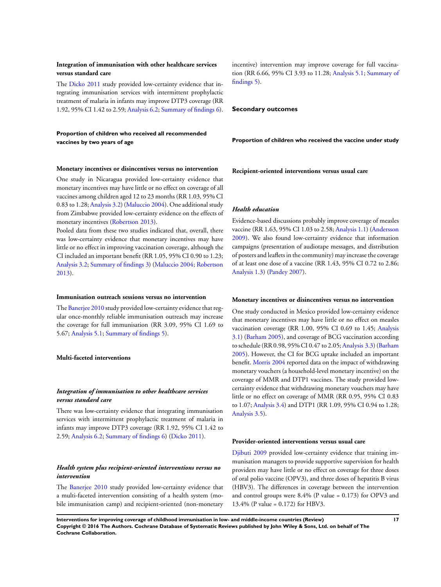# **Integration of immunisation with other healthcare services versus standard care**

The [Dicko 2011](#page-29-0) study provided low-certainty evidence that integrating immunisation services with intermittent prophylactic treatment of malaria in infants may improve DTP3 coverage (RR 1.92, 95% CI 1.42 to 2.59; [Analysis 6.2](#page-73-0); [Summary of findings 6](#page-24-0)).

# **Proportion of children who received all recommended vaccines by two years of age**

#### **Monetary incentives or disincentives versus no intervention**

One study in Nicaragua provided low-certainty evidence that monetary incentives may have little or no effect on coverage of all vaccines among children aged 12 to 23 months (RR 1.03, 95% CI 0.83 to 1.28; [Analysis 3.2\)](#page-69-0) [\(Maluccio 2004](#page-29-0)). One additional study from Zimbabwe provided low-certainty evidence on the effects of monetary incentives [\(Robertson 2013](#page-29-0)).

Pooled data from these two studies indicated that, overall, there was low-certainty evidence that monetary incentives may have little or no effect in improving vaccination coverage, although the CI included an important benefit (RR 1.05, 95% CI 0.90 to 1.23; [Analysis 3.2;](#page-69-0) [Summary of findings 3\)](#page-21-0) ([Maluccio 2004](#page-29-0); [Robertson](#page-29-0) [2013](#page-29-0)).

#### **Immunisation outreach sessions versus no intervention**

The [Banerjee 2010](#page-29-0) study provided low-certainty evidence that regular once-monthly reliable immunisation outreach may increase the coverage for full immunisation (RR 3.09, 95% CI 1.69 to 5.67; [Analysis 5.1](#page-72-0); [Summary of findings 5\)](#page-23-0).

#### **Multi-faceted interventions**

# *Integration of immunisation to other healthcare services versus standard care*

There was low-certainty evidence that integrating immunisation services with intermittent prophylactic treatment of malaria in infants may improve DTP3 coverage (RR 1.92, 95% CI 1.42 to 2.59; [Analysis 6.2](#page-73-0); [Summary of findings 6\)](#page-24-0) ([Dicko 2011](#page-29-0)).

### *Health system plus recipient-oriented interventions versus no intervention*

The [Banerjee 2010](#page-29-0) study provided low-certainty evidence that a multi-faceted intervention consisting of a health system (mobile immunisation camp) and recipient-oriented (non-monetary incentive) intervention may improve coverage for full vaccination (RR 6.66, 95% CI 3.93 to 11.28; [Analysis 5.1;](#page-72-0) [Summary of](#page-23-0) [findings 5\)](#page-23-0).

#### **Secondary outcomes**

**Proportion of children who received the vaccine under study**

**Recipient-oriented interventions versus usual care**

#### *Health education*

Evidence-based discussions probably improve coverage of measles vaccine (RR 1.63, 95% CI 1.03 to 2.58; [Analysis 1.1](#page-67-0)) ([Andersson](#page-29-0) [2009](#page-29-0)). We also found low-certainty evidence that information campaigns (presentation of audiotape messages, and distribution of posters and leaflets in the community) may increase the coverage of at least one dose of a vaccine (RR 1.43, 95% CI 0.72 to 2.86; [Analysis 1.3\)](#page-68-0) [\(Pandey 2007](#page-29-0)).

#### **Monetary incentives or disincentives versus no intervention**

One study conducted in Mexico provided low-certainty evidence that monetary incentives may have little or no effect on measles vaccination coverage (RR 1.00, 95% CI 0.69 to 1.45; [Analysis](#page-69-0) [3.1](#page-69-0)) [\(Barham 2005\)](#page-29-0), and coverage of BCG vaccination according to schedule (RR 0.98, 95% CI 0.47 to 2.05; [Analysis 3.3\)](#page-70-0) ([Barham](#page-29-0) [2005](#page-29-0)). However, the CI for BCG uptake included an important benefit. [Morris 2004](#page-29-0) reported data on the impact of withdrawing monetary vouchers (a household-level monetary incentive) on the coverage of MMR and DTP1 vaccines. The study provided lowcertainty evidence that withdrawing monetary vouchers may have little or no effect on coverage of MMR (RR 0.95, 95% CI 0.83 to 1.07; [Analysis 3.4\)](#page-70-0) and DTP1 (RR 1.09, 95% CI 0.94 to 1.28; [Analysis 3.5\)](#page-71-0).

#### **Provider-oriented interventions versus usual care**

[Djibuti 2009](#page-29-0) provided low-certainty evidence that training immunisation managers to provide supportive supervision for health providers may have little or no effect on coverage for three doses of oral polio vaccine (OPV3), and three doses of hepatitis B virus (HBV3). The differences in coverage between the intervention and control groups were 8.4% (P value = 0.173) for OPV3 and 13.4% (P value = 0.172) for HBV3.

**Interventions for improving coverage of childhood immunisation in low- and middle-income countries (Review) 17 Copyright © 2016 The Authors. Cochrane Database of Systematic Reviews published by John Wiley & Sons, Ltd. on behalf of The Cochrane Collaboration.**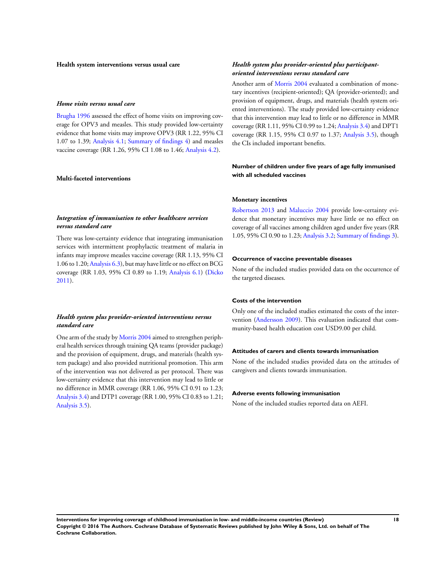**Health system interventions versus usual care**

#### *Home visits versus usual care*

[Brugha 1996](#page-29-0) assessed the effect of home visits on improving coverage for OPV3 and measles. This study provided low-certainty evidence that home visits may improve OPV3 (RR 1.22, 95% CI 1.07 to 1.39; [Analysis 4.1;](#page-71-0) [Summary of findings 4](#page-22-0)) and measles vaccine coverage (RR 1.26, 95% CI 1.08 to 1.46; [Analysis 4.2](#page-72-0)).

# **Multi-faceted interventions**

# *Integration of immunisation to other healthcare services versus standard care*

There was low-certainty evidence that integrating immunisation services with intermittent prophylactic treatment of malaria in infants may improve measles vaccine coverage (RR 1.13, 95% CI 1.06 to 1.20; [Analysis 6.3](#page-74-0)), but may have little or no effect on BCG coverage (RR 1.03, 95% CI 0.89 to 1.19; [Analysis 6.1\)](#page-73-0) ([Dicko](#page-29-0) [2011](#page-29-0)).

# *Health system plus provider-oriented interventions versus standard care*

One arm of the study by [Morris 2004](#page-29-0) aimed to strengthen peripheral health services through training QA teams (provider package) and the provision of equipment, drugs, and materials (health system package) and also provided nutritional promotion. This arm of the intervention was not delivered as per protocol. There was low-certainty evidence that this intervention may lead to little or no difference in MMR coverage (RR 1.06, 95% CI 0.91 to 1.23; [Analysis 3.4](#page-70-0)) and DTP1 coverage (RR 1.00, 95% CI 0.83 to 1.21; [Analysis 3.5\)](#page-71-0).

# *Health system plus provider-oriented plus participantoriented interventions versus standard care*

Another arm of [Morris 2004](#page-29-0) evaluated a combination of monetary incentives (recipient-oriented); QA (provider-oriented); and provision of equipment, drugs, and materials (health system oriented interventions). The study provided low-certainty evidence that this intervention may lead to little or no difference in MMR coverage (RR 1.11, 95% CI 0.99 to 1.24; [Analysis 3.4\)](#page-70-0) and DPT1 coverage (RR 1.15, 95% CI 0.97 to 1.37; [Analysis 3.5](#page-71-0)), though the CIs included important benefits.

# **Number of children under five years of age fully immunised with all scheduled vaccines**

# **Monetary incentives**

[Robertson 2013](#page-29-0) and [Maluccio 2004](#page-29-0) provide low-certainty evidence that monetary incentives may have little or no effect on coverage of all vaccines among children aged under five years (RR 1.05, 95% CI 0.90 to 1.23; [Analysis 3.2](#page-69-0); [Summary of findings 3](#page-21-0)).

#### **Occurrence of vaccine preventable diseases**

None of the included studies provided data on the occurrence of the targeted diseases.

#### **Costs of the intervention**

Only one of the included studies estimated the costs of the intervention [\(Andersson 2009\)](#page-29-0). This evaluation indicated that community-based health education cost USD9.00 per child.

#### **Attitudes of carers and clients towards immunisation**

None of the included studies provided data on the attitudes of caregivers and clients towards immunisation.

#### **Adverse events following immunisation**

None of the included studies reported data on AEFI.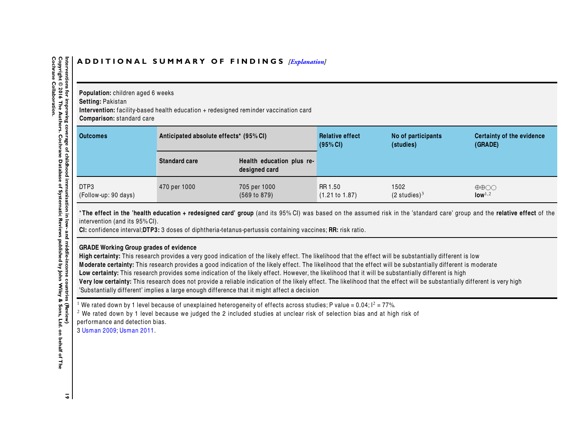# <span id="page-20-0"></span>ADDITIONAL SUMMARY OF FINDINGS *[\[Explanation\]](http://www.thecochranelibrary.com/view/0/SummaryFindings.html)*

**Population:** children aged <sup>6</sup> weeks

**Setting:** Pakistan

**Intervention:** facility-based health education <sup>+</sup> redesigned rem inder vaccination card

**Comparison:** standard care

| <b>Outcomes</b>              | Anticipated absolute effects* (95% CI) |                                            | <b>Relative effect</b><br>$(95\% \, \text{Cl})$ | No of participants<br>(studies) | Certainty of the evidence<br>(GRADE)              |
|------------------------------|----------------------------------------|--------------------------------------------|-------------------------------------------------|---------------------------------|---------------------------------------------------|
|                              | <b>Standard care</b>                   | Health education plus re-<br>designed card |                                                 |                                 |                                                   |
| DTP3<br>(Follow-up: 90 days) | 470 per 1000                           | 705 per 1000<br>(569 to 879)               | RR 1.50<br>(1.21 to 1.87)                       | 1502<br>$(2 \text{ studies})^3$ | $\oplus \oplus \odot \odot$<br>low <sup>1,2</sup> |

\***The effect in the 'health education + redesigned card' group** (and its 95%Cl) was based on the assumed risk in the 'standard care' group and the **relative effect** of the<br>intervention (and its 95%Cl) intervention (and its 95% CI).

**CI:** conf idence interval;**DTP3:** <sup>3</sup> doses of diphtheria-tetanus-pertussis containing vaccines; **RR:** risk ratio.

# **GRADE Working Group grades of evidence**

**High certainty:** This research provides a very good indication of the likely effect. The likelihood that the effect will be substantially different is low<br>Moderate certainty: This research provides a good indication of th **<sup>M</sup> oderate certainty:** This research provides <sup>a</sup> good indication of the likely effect. The likelihood that the effect will be substantially different is moderate Low certainty: This research provides some indication of the likely effect. However, the likelihood that it will be substantially different is high Very low certainty: This research does not provide a reliable indication of the likely effect. The likelihood that the effect will be substantially different is very high 'Substantially different' implies a large enough difference that it might affect a decision

<sup>1</sup> We rated down by 1 level because of unexplained heterogeneity of effects across studies; P value = 0.04; l<sup>2</sup> = 77%.

 $^2$  We rated down by 1 level because we judged the 2 included studies at unclear risk of selection bias and at high risk of performance and detection bias.

3 [Usman](#page-29-0) [2009](#page-29-0); [Usman](#page-29-0) [2011](#page-29-0).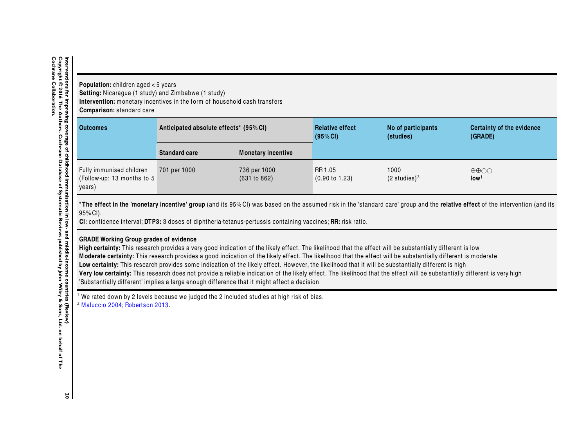<span id="page-21-0"></span>

| <b>Population:</b> children aged < 5 years |  |
|--------------------------------------------|--|
|--------------------------------------------|--|

**Setting:** Nicaragua (1 study) and Zimbabwe (1 study)

**Intervention:** monetary incentives in the form of household cash transfers

**Comparison:** standard care

| <b>Outcomes</b>                                                  | Anticipated absolute effects* (95% CI) |                              | <b>Relative effect</b><br>(95% CI)   | No of participants<br>(studies) | Certainty of the evidence<br>(GRADE)            |
|------------------------------------------------------------------|----------------------------------------|------------------------------|--------------------------------------|---------------------------------|-------------------------------------------------|
|                                                                  | <b>Standard care</b>                   | <b>Monetary incentive</b>    |                                      |                                 |                                                 |
| Fully immunised children<br>(Follow-up: 13 months to 5<br>years) | 701 per 1000                           | 736 per 1000<br>(631 to 862) | RR 1.05<br>$(0.90 \text{ to } 1.23)$ | 1000<br>$(2 \times 1)$          | $\oplus \oplus \odot \odot$<br>low <sup>1</sup> |

\***The effect in the 'monetary incentive' group** (and its 95%Cl) was based on the assumed risk in the 'standard care' group and the **relative effect** of the intervention (and its<br>05%Cl) 95% CI).

**CI:** conf idence interval; **DTP3:** <sup>3</sup> doses of diphtheria-tetanus-pertussis containing vaccines; **RR:** risk ratio.

**GRADE Working Group grades of evidence High certainty:** This research provides a very good indication of the likely effect. The likelihood that the effect will be substantially different is low<br>Moderate certainty: This research provides a good indication of th **Moderate certainty:** This research provides a good indication of the likely effect. The likelihood that the effect will be substantially different is moderate<br>Low certainty: This research provides some indication of the l Low certainty: This research provides some indication of the likely effect. However, the likelihood that it will be substantially different is high Very low certainty: This research does not provide a reliable indication of the likely effect. The likelihood that the effect will be substantially different is very high 'Substantially different' implies <sup>a</sup> large enough difference that it <sup>m</sup> ight affect <sup>a</sup> decision

 $^{\rm 1}$  We rated down by 2 levels because we judged the 2 included studies at high risk of bias. 2 [Maluccio](#page-29-0) [2004](#page-29-0); [Robertson](#page-29-0) [2013](#page-29-0).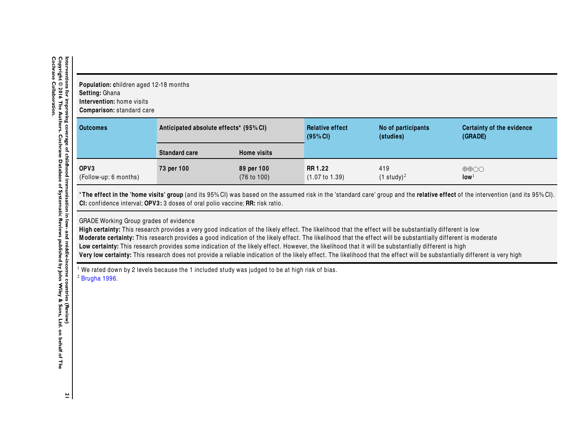<span id="page-22-0"></span>

| <b>Population: c</b> hildren aged 12-18 months |  |  |
|------------------------------------------------|--|--|
| <b>Setting:</b> Ghana                          |  |  |

**Intervention:** home visits

**Comparison:** standard care

| <b>Outcomes</b>                           | Anticipated absolute effects* (95% CI) |                           | <b>Relative effect</b><br>$(95\%$ CI)       | No of participants<br>(studies) | Certainty of the evidence<br>(GRADE)                  |
|-------------------------------------------|----------------------------------------|---------------------------|---------------------------------------------|---------------------------------|-------------------------------------------------------|
|                                           | <b>Standard care</b>                   | <b>Home visits</b>        |                                             |                                 |                                                       |
| OPV <sub>3</sub><br>(Follow-up: 6 months) | 73 per 100                             | 89 per 100<br>(76 to 100) | <b>RR 1.22</b><br>$(1.07 \text{ to } 1.39)$ | 419<br>$(1$ study) <sup>2</sup> | $\oplus \oplus \bigcirc \bigcirc$<br>low <sup>1</sup> |

\***The effect in the 'home visits' group** (and its 95%Cl) was based on the assumed risk in the 'standard care' group and the **relative effect** of the intervention (and its 95%Cl).<br>Chronfidence interval: OPV3: 3 doses of ora **CI:** conf idence interval; **OPV3:** <sup>3</sup> doses of oral polio vaccine; **RR:** risk ratio.

GRADE Working Group grades of evidence

**High certainty:** This research provides <sup>a</sup> very good indication of the likely effect. The likelihood that the effect will be substantially different is low **Moderate certainty:** This research provides a good indication of the likely effect. The likelihood that the effect will be substantially different is moderate<br>Low certainty: This research provides some indication of the l **Low certainty:** This research provides some indication of the likely effect. However, the likelihood that it will be substantially different is high<br>Very low certainty: This research does not provide a reliable indication **Very low certainty:** This research does not provide <sup>a</sup> reliable indication of the likely effect. The likelihood that the effect will be substantially different is very high

 $^{\rm 1}$  We rated down by 2 levels because the 1 included study was judged to be at high risk of bias.  $^2$  [Brugha](#page-29-0) [1996](#page-29-0).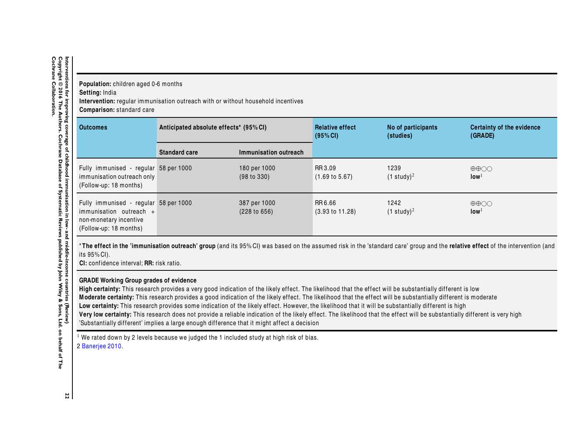<span id="page-23-0"></span>

| Population: children aged 0-6 months |  |  |
|--------------------------------------|--|--|
|--------------------------------------|--|--|

**Setting:** India

**Intervention:** regular immunisation outreach with or without household incentives

**Comparison:** standard care

| <b>Outcomes</b>                                                                                                          | Anticipated absolute effects* (95% CI) |                              | <b>Relative effect</b><br>(95% CI)    | No of participants<br>(studies)  | <b>Certainty of the evidence</b><br>(GRADE)           |
|--------------------------------------------------------------------------------------------------------------------------|----------------------------------------|------------------------------|---------------------------------------|----------------------------------|-------------------------------------------------------|
|                                                                                                                          | <b>Standard care</b>                   | Immunisation outreach        |                                       |                                  |                                                       |
| Fully immunised - regular 58 per 1000<br>immunisation outreach only<br>(Follow-up: 18 months)                            |                                        | 180 per 1000<br>(98 to 330)  | RR 3.09<br>$(1.69 \text{ to } 5.67)$  | 1239<br>$(1$ study) <sup>2</sup> | $\oplus \oplus \bigcirc \bigcirc$<br>low <sup>1</sup> |
| Fully immunised - regular 58 per 1000<br>$immunisation$ outreach $+$<br>non-monetary incentive<br>(Follow-up: 18 months) |                                        | 387 per 1000<br>(228 to 656) | RR 6.66<br>$(3.93 \text{ to } 11.28)$ | 1242<br>$(1$ study) <sup>2</sup> | $\oplus \oplus \bigcirc \bigcirc$<br>low <sup>1</sup> |

\***The effect in the 'immunisation outreach' group** (and its 95% Cl) was based on the assumed risk in the 'standard care' group and the **relative effect** of the intervention (and<br>its 95% Cl) its 95% CI).

**CI:** conf idence interval; **RR:** risk ratio.

# **GRADE Working Group grades of evidence**

High certainty: This research provides a very good indication of the likely effect. The likelihood that the effect will be substantially different is low **<sup>M</sup> oderate certainty:** This research provides <sup>a</sup> good indication of the likely effect. The likelihood that the effect will be substantially different is moderate Low certainty: This research provides some indication of the likely effect. However, the likelihood that it will be substantially different is high Very low certainty: This research does not provide a reliable indication of the likely effect. The likelihood that the effect will be substantially different is very high 'Substantially different' implies <sup>a</sup> large enough difference that it <sup>m</sup> ight affect <sup>a</sup> decision

 $^{\rm 1}$  We rated down by 2 levels because we judged the 1 included study at high risk of bias. 2 [Banerjee](#page-29-0) [2010](#page-29-0).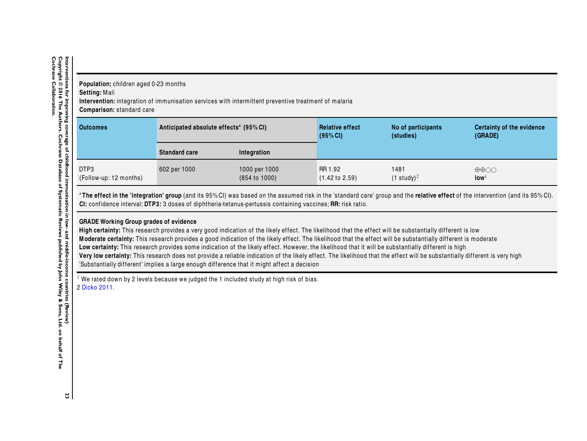<span id="page-24-0"></span>

| Population: children aged 0-23 months |  |
|---------------------------------------|--|
|---------------------------------------|--|

**Setting:** Mali

**Intervention:** integration of immunisation services with interm ittent preventive treatment of malaria

**Comparison:** standard care

| <b>Outcomes</b>                | Anticipated absolute effects* (95% CI) |                                           | <b>Relative effect</b><br>$(95\% \, \text{Cl})$ | No of participants<br>(studies)  | Certainty of the evidence<br>(GRADE)            |
|--------------------------------|----------------------------------------|-------------------------------------------|-------------------------------------------------|----------------------------------|-------------------------------------------------|
|                                | <b>Standard care</b>                   | Integration                               |                                                 |                                  |                                                 |
| DTP3<br>(Follow-up: 12 months) | 602 per 1000                           | 1000 per 1000<br>$(854 \text{ to } 1000)$ | RR 1.92<br>$(1.42 \text{ to } 2.59)$            | 1481<br>$(1$ study) <sup>2</sup> | $\oplus \oplus \odot \odot$<br>low <sup>1</sup> |

\***The effect in the 'integration' group** (and its 95%Cl) was based on the assumed risk in the 'standard care' group and the **relative effect** of the intervention (and its 95%Cl).<br>Chronfidence interval: DTP3: 3 doses of dip **CI:** conf idence interval; **DTP3:** <sup>3</sup> doses of diphtheria-tetanus-pertussis containing vaccines; **RR:** risk ratio.

# **GRADE Working Group grades of evidence**

**High certainty:** This research provides <sup>a</sup> very good indication of the likely effect. The likelihood that the effect will be substantially different is low **<sup>M</sup> oderate certainty:** This research provides <sup>a</sup> good indication of the likely effect. The likelihood that the effect will be substantially different is moderate Low certainty: This research provides some indication of the likely effect. However, the likelihood that it will be substantially different is high Very low certainty: This research does not provide a reliable indication of the likely effect. The likelihood that the effect will be substantially different is very high 'Substantially different' implies a large enough difference that it might affect a decision

 $^{\rm 1}$  We rated down by 2 levels because we judged the 1 included study at high risk of bias. 2 [Dicko](#page-29-0) [2011](#page-29-0).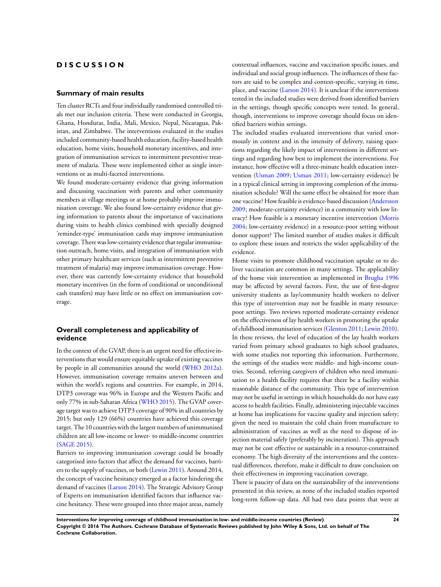# **D I S C U S S I O N**

#### **Summary of main results**

Ten cluster RCTs and four individually randomised controlled trials met our inclusion criteria. These were conducted in Georgia, Ghana, Honduras, India, Mali, Mexico, Nepal, Nicaragua, Pakistan, and Zimbabwe. The interventions evaluated in the studies included community-based health education, facility-based health education, home visits, household monetary incentives, and integration of immunisation services to intermittent preventive treatment of malaria. These were implemented either as single interventions or as multi-faceted interventions.

We found moderate-certainty evidence that giving information and discussing vaccination with parents and other community members at village meetings or at home probably improve immunisation coverage. We also found low-certainty evidence that giving information to parents about the importance of vaccinations during visits to health clinics combined with specially designed 'reminder-type' immunisation cards may improve immunisation coverage. There was low-certainty evidence that regular immunisation outreach, home visits, and integration of immunisation with other primary healthcare services (such as intermittent preventive treatment of malaria) may improve immunisation coverage. However, there was currently low-certainty evidence that household monetary incentives (in the form of conditional or unconditional cash transfers) may have little or no effect on immunisation coverage.

# **Overall completeness and applicability of evidence**

In the context of the GVAP, there is an urgent need for effective interventions that would ensure equitable uptake of existing vaccines by people in all communities around the world ([WHO 2012a](#page-29-0)). However, immunisation coverage remains uneven between and within the world's regions and countries. For example, in 2014, DTP3 coverage was 96% in Europe and the Western Pacific and only 77% in sub-Saharan Africa [\(WHO 2015\)](#page-29-0). The GVAP coverage target was to achieve DTP3 coverage of 90% in all countries by 2015; but only 129 (66%) countries have achieved this coverage target. The 10 countries with the largest numbers of unimmunised children are all low-income or lower- to middle-income countries [\(SAGE 2015](#page-29-0)).

Barriers to improving immunisation coverage could be broadly categorised into factors that affect the demand for vaccines, barriers to the supply of vaccines, or both [\(Lewin 2011\)](#page-29-0). Around 2014, the concept of vaccine hesitancy emerged as a factor hindering the demand of vaccines ([Larson 2014](#page-29-0)). The Strategic Advisory Group of Experts on immunisation identified factors that influence vaccine hesitancy. These were grouped into three major areas, namely contextual influences, vaccine and vaccination specific issues, and individual and social group influences. The influences of these factors are said to be complex and context-specific, varying in time, place, and vaccine [\(Larson 2014\)](#page-29-0). It is unclear if the interventions tested in the included studies were derived from identified barriers in the settings, though specific concepts were tested. In general, though, interventions to improve coverage should focus on identified barriers within settings.

The included studies evaluated interventions that varied enormously in content and in the intensity of delivery, raising questions regarding the likely impact of interventions in different settings and regarding how best to implement the interventions. For instance, how effective will a three-minute health education intervention [\(Usman 2009;](#page-29-0) [Usman 2011](#page-29-0); low-certainty evidence) be in a typical clinical setting in improving completion of the immunisation schedule? Will the same effect be obtained for more than one vaccine? How feasible is evidence-based discussion [\(Andersson](#page-29-0) [2009](#page-29-0); moderate-certainty evidence) in a community with low literacy? How feasible is a monetary incentive intervention ([Morris](#page-29-0) [2004](#page-29-0); low-certainty evidence) in a resource-poor setting without donor support? The limited number of studies makes it difficult to explore these issues and restricts the wider applicability of the evidence.

Home visits to promote childhood vaccination uptake or to deliver vaccination are common in many settings. The applicability of the home visit intervention as implemented in [Brugha 1996](#page-29-0) may be affected by several factors. First, the use of first-degree university students as lay/community health workers to deliver this type of intervention may not be feasible in many resourcepoor settings. Two reviews reported moderate-certainty evidence on the effectiveness of lay health workers in promoting the uptake of childhood immunisation services [\(Glenton 2011](#page-29-0); [Lewin 2010](#page-29-0)). In these reviews, the level of education of the lay health workers varied from primary school graduates to high school graduates, with some studies not reporting this information. Furthermore, the settings of the studies were middle- and high-income countries. Second, referring caregivers of children who need immunisation to a health facility requires that there be a facility within reasonable distance of the community. This type of intervention may not be useful in settings in which households do not have easy access to health facilities. Finally, administering injectable vaccines at home has implications for vaccine quality and injection safety; given the need to maintain the cold chain from manufacture to administration of vaccines as well as the need to dispose of injection material safely (preferably by incineration). This approach may not be cost effective or sustainable in a resource-constrained economy. The high diversity of the interventions and the contextual differences, therefore, make it difficult to draw conclusion on their effectiveness in improving vaccination coverage.

There is paucity of data on the sustainability of the interventions presented in this review, as none of the included studies reported long-term follow-up data. All had two data points that were at

**Interventions for improving coverage of childhood immunisation in low- and middle-income countries (Review) 24 Copyright © 2016 The Authors. Cochrane Database of Systematic Reviews published by John Wiley & Sons, Ltd. on behalf of The Cochrane Collaboration.**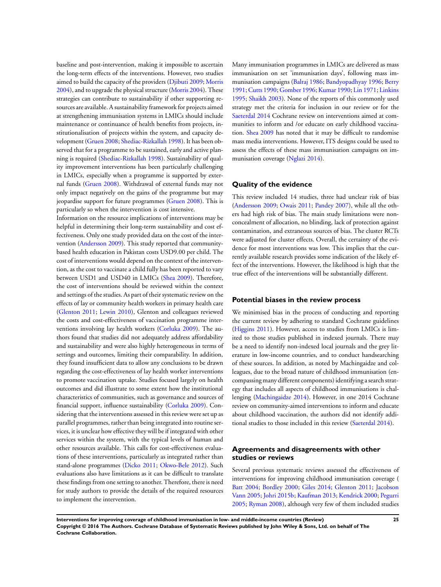baseline and post-intervention, making it impossible to ascertain the long-term effects of the interventions. However, two studies aimed to build the capacity of the providers [\(Djibuti 2009;](#page-29-0) [Morris](#page-29-0) [2004](#page-29-0)), and to upgrade the physical structure ([Morris 2004\)](#page-29-0). These strategies can contribute to sustainability if other supporting resources are available. A sustainability framework for projects aimed at strengthening immunisation systems in LMICs should include maintenance or continuance of health benefits from projects, institutionalisation of projects within the system, and capacity development [\(Gruen 2008](#page-29-0); [Shediac-Rizkallah 1998\)](#page-29-0). It has been observed that for a programme to be sustained, early and active planning is required ([Shediac-Rizkallah 1998\)](#page-29-0). Sustainability of quality improvement interventions has been particularly challenging in LMICs, especially when a programme is supported by external funds ([Gruen 2008\)](#page-29-0). Withdrawal of external funds may not only impact negatively on the gains of the programme but may jeopardise support for future programmes [\(Gruen 2008](#page-29-0)). This is particularly so when the intervention is cost intensive.

Information on the resource implications of interventions may be helpful in determining their long-term sustainability and cost effectiveness. Only one study provided data on the cost of the intervention ([Andersson 2009](#page-29-0)). This study reported that communitybased health education in Pakistan costs USD9.00 per child. The cost of interventions would depend on the context of the intervention, as the cost to vaccinate a child fully has been reported to vary between USD1 and USD40 in LMICs ([Shea 2009\)](#page-29-0). Therefore, the cost of interventions should be reviewed within the context and settings of the studies. As part of their systematic review on the effects of lay or community health workers in primary health care [\(Glenton 2011](#page-29-0); [Lewin 2010](#page-29-0)), Glenton and colleagues reviewed the costs and cost-effectiveness of vaccination programme interventions involving lay health workers ([Corluka 2009](#page-29-0)). The authors found that studies did not adequately address affordability and sustainability and were also highly heterogeneous in terms of settings and outcomes, limiting their comparability. In addition, they found insufficient data to allow any conclusions to be drawn regarding the cost-effectiveness of lay health worker interventions to promote vaccination uptake. Studies focused largely on health outcomes and did illustrate to some extent how the institutional characteristics of communities, such as governance and sources of financial support, influence sustainability ([Corluka 2009](#page-29-0)). Considering that the interventions assessed in this review were set up as parallel programmes, rather than being integrated into routine services, it is unclear how effective they will be if integrated with other services within the system, with the typical levels of human and other resources available. This calls for cost-effectiveness evaluations of these interventions, particularly as integrated rather than stand-alone programmes [\(Dicko 2011;](#page-29-0) [Okwo-Bele 2012](#page-29-0)). Such evaluations also have limitations as it can be difficult to translate these findings from one setting to another. Therefore, there is need for study authors to provide the details of the required resources to implement the intervention.

Many immunisation programmes in LMICs are delivered as mass immunisation on set 'immunisation days', following mass immunisation campaigns ([Balraj 1986;](#page-29-0) [Bandyopadhyay 1996](#page-29-0); [Berry](#page-29-0) [1991](#page-29-0);[Cutts 1990](#page-29-0); [Gomber 1996;Kumar 1990](#page-29-0); [Lin 1971](#page-29-0); [Linkins](#page-29-0) [1995](#page-29-0); [Shaikh 2003](#page-29-0)). None of the reports of this commonly used strategy met the criteria for inclusion in our review or for the [Saeterdal 2014](#page-29-0) Cochrane review on interventions aimed at communities to inform and /or educate on early childhood vaccination. [Shea 2009](#page-29-0) has noted that it may be difficult to randomise mass media interventions. However, ITS designs could be used to assess the effects of these mass immunisation campaigns on immunisation coverage [\(Nglazi 2014](#page-29-0)).

# **Quality of the evidence**

This review included 14 studies, three had unclear risk of bias [\(Andersson 2009;](#page-29-0) [Owais 2011](#page-29-0); [Pandey 2007\)](#page-29-0), while all the others had high risk of bias. The main study limitations were nonconcealment of allocation, no blinding, lack of protection against contamination, and extraneous sources of bias. The cluster RCTs were adjusted for cluster effects. Overall, the certainty of the evidence for most interventions was low. This implies that the currently available research provides some indication of the likely effect of the interventions. However, the likelihood is high that the true effect of the interventions will be substantially different.

#### **Potential biases in the review process**

We minimised bias in the process of conducting and reporting the current review by adhering to standard Cochrane guidelines [\(Higgins 2011](#page-29-0)). However, access to studies from LMICs is limited to those studies published in indexed journals. There may be a need to identify non-indexed local journals and the grey literature in low-income countries, and to conduct handsearching of these sources. In addition, as noted by Machingaidze and colleagues, due to the broad nature of childhood immunisation (encompassing many different components) identifying a search strategy that includes all aspects of childhood immunisations is challenging ([Machingaidze 2014](#page-29-0)). However, in one 2014 Cochrane review on community-aimed interventions to inform and educate about childhood vaccination, the authors did not identify additional studies to those included in this review [\(Saeterdal 2014\)](#page-29-0).

# **Agreements and disagreements with other studies or reviews**

Several previous systematic reviews assessed the effectiveness of interventions for improving childhood immunisation coverage ( [Batt 2004;](#page-29-0) [Bordley 2000](#page-29-0); [Giles 2014](#page-29-0); [Glenton 2011;](#page-29-0) [Jacobson](#page-29-0) [Vann 2005](#page-29-0); [Johri 2015b;](#page-29-0) [Kaufman 2013](#page-29-0); [Kendrick 2000](#page-29-0); [Pegurri](#page-29-0) [2005](#page-29-0); [Ryman 2008\)](#page-29-0), although very few of them included studies

**Interventions for improving coverage of childhood immunisation in low- and middle-income countries (Review) 25 Copyright © 2016 The Authors. Cochrane Database of Systematic Reviews published by John Wiley & Sons, Ltd. on behalf of The Cochrane Collaboration.**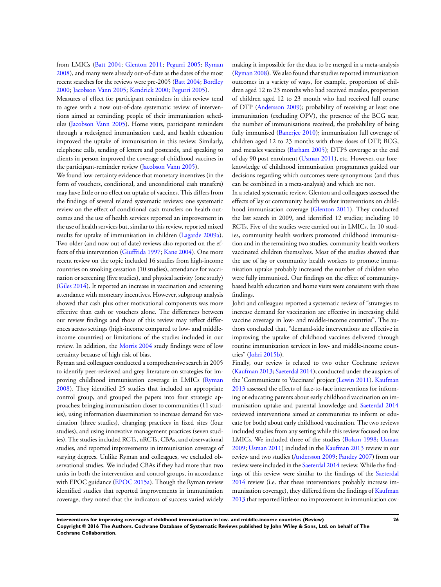from LMICs ([Batt 2004;](#page-29-0) [Glenton 2011](#page-29-0); [Pegurri 2005;](#page-29-0) [Ryman](#page-29-0) [2008](#page-29-0)), and many were already out-of-date as the dates of the most recent searches for the reviews were pre-2005 ([Batt 2004](#page-29-0); [Bordley](#page-29-0) [2000](#page-29-0); [Jacobson Vann 2005;](#page-29-0) [Kendrick 2000](#page-29-0); [Pegurri 2005](#page-29-0)).

Measures of effect for participant reminders in this review tend to agree with a now out-of-date systematic review of interventions aimed at reminding people of their immunisation schedules ([Jacobson Vann 2005](#page-29-0)). Home visits, participant reminders through a redesigned immunisation card, and health education improved the uptake of immunisation in this review. Similarly, telephone calls, sending of letters and postcards, and speaking to clients in person improved the coverage of childhood vaccines in the participant-reminder review ([Jacobson Vann 2005](#page-29-0)).

We found low-certainty evidence that monetary incentives (in the form of vouchers, conditional, and unconditional cash transfers) may have little or no effect on uptake of vaccines. This differs from the findings of several related systematic reviews: one systematic review on the effect of conditional cash transfers on health outcomes and the use of health services reported an improvement in the use of health services but, similar to this review, reported mixed results for uptake of immunisation in children [\(Lagarde 2009a](#page-29-0)). Two older (and now out of date) reviews also reported on the effects of this intervention ([Giuffrida 1997;](#page-29-0) [Kane 2004\)](#page-29-0). One more recent review on the topic included 16 studies from high-income countries on smoking cessation (10 studies), attendance for vaccination or screening (five studies), and physical activity (one study) [\(Giles 2014\)](#page-29-0). It reported an increase in vaccination and screening attendance with monetary incentives. However, subgroup analysis showed that cash plus other motivational components was more effective than cash or vouchers alone. The differences between our review findings and those of this review may reflect differences across settings (high-income compared to low- and middleincome countries) or limitations of the studies included in our review. In addition, the [Morris 2004](#page-29-0) study findings were of low certainty because of high risk of bias.

Ryman and colleagues conducted a comprehensive search in 2005 to identify peer-reviewed and grey literature on strategies for improving childhood immunisation coverage in LMICs [\(Ryman](#page-29-0) [2008](#page-29-0)). They identified 25 studies that included an appropriate control group, and grouped the papers into four strategic approaches: bringing immunisation closer to communities (11 studies), using information dissemination to increase demand for vaccination (three studies), changing practices in fixed sites (four studies), and using innovative management practices (seven studies). The studies included RCTs, nRCTs, CBAs, and observational studies, and reported improvements in immunisation coverage of varying degrees. Unlike Ryman and colleagues, we excluded observational studies. We included CBAs if they had more than two units in both the intervention and control groups, in accordance with EPOC guidance [\(EPOC 2015a](#page-29-0)). Though the Ryman review identified studies that reported improvements in immunisation coverage, they noted that the indicators of success varied widely making it impossible for the data to be merged in a meta-analysis [\(Ryman 2008\)](#page-29-0). We also found that studies reported immunisation outcomes in a variety of ways, for example, proportion of children aged 12 to 23 months who had received measles, proportion of children aged 12 to 23 month who had received full course of DTP [\(Andersson 2009\)](#page-29-0); probability of receiving at least one immunisation (excluding OPV), the presence of the BCG scar, the number of immunisations received, the probability of being fully immunised ([Banerjee 2010](#page-29-0)); immunisation full coverage of children aged 12 to 23 months with three doses of DTP, BCG, and measles vaccines ([Barham 2005](#page-29-0)); DTP3 coverage at the end of day 90 post-enrolment [\(Usman 2011](#page-29-0)), etc. However, our foreknowledge of childhood immunisation programmes guided our decisions regarding which outcomes were synonymous (and thus can be combined in a meta-analysis) and which are not.

In a related systematic review, Glenton and colleagues assessed the effects of lay or community health worker interventions on childhood immunisation coverage ([Glenton 2011](#page-29-0)). They conducted the last search in 2009, and identified 12 studies; including 10 RCTs. Five of the studies were carried out in LMICs. In 10 studies, community health workers promoted childhood immunisation and in the remaining two studies, community health workers vaccinated children themselves. Most of the studies showed that the use of lay or community health workers to promote immunisation uptake probably increased the number of children who were fully immunised. Our findings on the effect of communitybased health education and home visits were consistent with these findings.

Johri and colleagues reported a systematic review of "strategies to increase demand for vaccination are effective in increasing child vaccine coverage in low- and middle-income countries". The authors concluded that, "demand-side interventions are effective in improving the uptake of childhood vaccines delivered through routine immunization services in low- and middle-income countries" [\(Johri 2015b](#page-29-0)).

Finally, our review is related to two other Cochrane reviews [\(Kaufman 2013](#page-29-0); [Saeterdal 2014](#page-29-0)); conducted under the auspices of the 'Communicate to Vaccinate' project ([Lewin 2011](#page-29-0)). [Kaufman](#page-29-0) [2013](#page-29-0) assessed the effects of face-to-face interventions for informing or educating parents about early childhood vaccination on immunisation uptake and parental knowledge and [Saeterdal 2014](#page-29-0) reviewed interventions aimed at communities to inform or educate (or both) about early childhood vaccination. The two reviews included studies from any setting while this review focused on low LMICs. We included three of the studies ([Bolam 1998](#page-29-0); [Usman](#page-29-0) [2009](#page-29-0); [Usman 2011](#page-29-0)) included in the [Kaufman 2013](#page-29-0) review in our review and two studies [\(Andersson 2009;](#page-29-0) [Pandey 2007](#page-29-0)) from our review were included in the [Saeterdal 2014](#page-29-0) review. While the findings of this review were similar to the findings of the [Saeterdal](#page-29-0) [2014](#page-29-0) review (i.e. that these interventions probably increase immunisation coverage), they differed from the findings of [Kaufman](#page-29-0) [2013](#page-29-0) that reported little or no improvement in immunisation cov-

**Interventions for improving coverage of childhood immunisation in low- and middle-income countries (Review) 26 Copyright © 2016 The Authors. Cochrane Database of Systematic Reviews published by John Wiley & Sons, Ltd. on behalf of The Cochrane Collaboration.**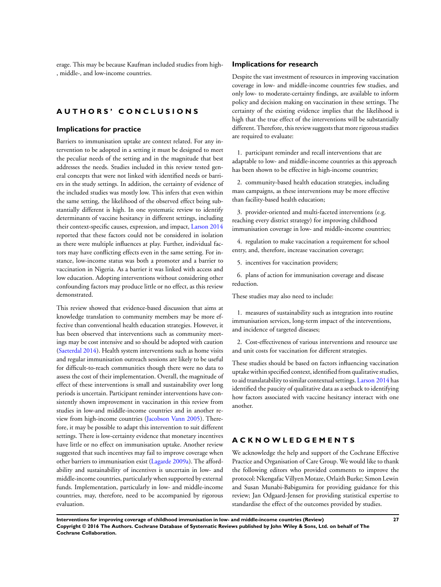erage. This may be because Kaufman included studies from high- , middle-, and low-income countries.

# **A U T H O R S ' C O N C L U S I O N S**

#### **Implications for practice**

Barriers to immunisation uptake are context related. For any intervention to be adopted in a setting it must be designed to meet the peculiar needs of the setting and in the magnitude that best addresses the needs. Studies included in this review tested general concepts that were not linked with identified needs or barriers in the study settings. In addition, the certainty of evidence of the included studies was mostly low. This infers that even within the same setting, the likelihood of the observed effect being substantially different is high. In one systematic review to identify determinants of vaccine hesitancy in different settings, including their context-specific causes, expression, and impact, [Larson 2014](#page-29-0) reported that these factors could not be considered in isolation as there were multiple influences at play. Further, individual factors may have conflicting effects even in the same setting. For instance, low-income status was both a promoter and a barrier to vaccination in Nigeria. As a barrier it was linked with access and low education. Adopting interventions without considering other confounding factors may produce little or no effect, as this review demonstrated.

This review showed that evidence-based discussion that aims at knowledge translation to community members may be more effective than conventional health education strategies. However, it has been observed that interventions such as community meetings may be cost intensive and so should be adopted with caution [\(Saeterdal 2014](#page-29-0)). Health system interventions such as home visits and regular immunisation outreach sessions are likely to be useful for difficult-to-reach communities though there were no data to assess the cost of their implementation. Overall, the magnitude of effect of these interventions is small and sustainability over long periods is uncertain. Participant reminder interventions have consistently shown improvement in vaccination in this review from studies in low-and middle-income countries and in another review from high-income countries ([Jacobson Vann 2005](#page-29-0)). Therefore, it may be possible to adapt this intervention to suit different settings. There is low-certainty evidence that monetary incentives have little or no effect on immunisation uptake. Another review suggested that such incentives may fail to improve coverage when other barriers to immunisation exist ([Lagarde 2009a\)](#page-29-0). The affordability and sustainability of incentives is uncertain in low- and middle-income countries, particularly when supported by external funds. Implementation, particularly in low- and middle-income countries, may, therefore, need to be accompanied by rigorous evaluation.

#### **Implications for research**

Despite the vast investment of resources in improving vaccination coverage in low- and middle-income countries few studies, and only low- to moderate-certainty findings, are available to inform policy and decision making on vaccination in these settings. The certainty of the existing evidence implies that the likelihood is high that the true effect of the interventions will be substantially different. Therefore, this review suggests that more rigorous studies are required to evaluate:

1. participant reminder and recall interventions that are adaptable to low- and middle-income countries as this approach has been shown to be effective in high-income countries;

2. community-based health education strategies, including mass campaigns, as these interventions may be more effective than facility-based health education;

3. provider-oriented and multi-faceted interventions (e.g. reaching every district strategy) for improving childhood immunisation coverage in low- and middle-income countries;

4. regulation to make vaccination a requirement for school entry, and, therefore, increase vaccination coverage;

5. incentives for vaccination providers;

6. plans of action for immunisation coverage and disease reduction.

These studies may also need to include:

1. measures of sustainability such as integration into routine immunisation services, long-term impact of the interventions, and incidence of targeted diseases;

2. Cost-effectiveness of various interventions and resource use and unit costs for vaccination for different strategies.

These studies should be based on factors influencing vaccination uptake within specified context, identified from qualitative studies, to aid translatability to similar contextual settings. [Larson 2014](#page-29-0) has identified the paucity of qualitative data as a setback to identifying how factors associated with vaccine hesitancy interact with one another.

# **A C K N O W L E D G E M E N T S**

We acknowledge the help and support of the Cochrane Effective Practice and Organisation of Care Group. We would like to thank the following editors who provided comments to improve the protocol: Nkengafac Villyen Motaze, Orlaith Burke; Simon Lewin and Susan Munabi-Babigumira for providing guidance for this review; Jan Odgaard-Jensen for providing statistical expertise to standardise the effect of the outcomes provided by studies.

**Interventions for improving coverage of childhood immunisation in low- and middle-income countries (Review) 27 Copyright © 2016 The Authors. Cochrane Database of Systematic Reviews published by John Wiley & Sons, Ltd. on behalf of The Cochrane Collaboration.**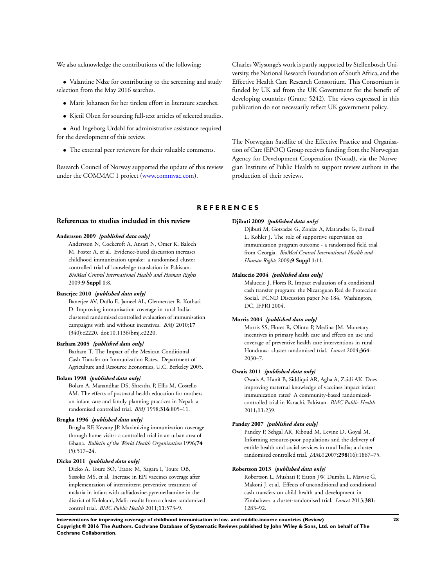<span id="page-29-0"></span>We also acknowledge the contributions of the following:

• Valantine Ndze for contributing to the screening and study selection from the May 2016 searches.

- Marit Johansen for her tireless effort in literature searches.
- Kjetil Olsen for sourcing full-text articles of selected studies.

• Aud Ingeborg Urdahl for administrative assistance required for the development of this review.

• The external peer reviewers for their valuable comments.

Research Council of Norway supported the update of this review under the COMMAC 1 project ([www.commvac.com](http://www.commvac.com)).

Charles Wiysonge's work is partly supported by Stellenbosch University, the National Research Foundation of South Africa, and the Effective Health Care Research Consortium. This Consortium is funded by UK aid from the UK Government for the benefit of developing countries (Grant: 5242). The views expressed in this publication do not necessarily reflect UK government policy.

The Norwegian Satellite of the Effective Practice and Organisation of Care (EPOC) Group receives funding from the Norwegian Agency for Development Cooperation (Norad), via the Norwegian Institute of Public Health to support review authors in the production of their reviews.

### **R E F E R E N C E S**

#### **References to studies included in this review**

#### **Andersson 2009** *{published data only}*

Andersson N, Cockcroft A, Ansari N, Omer K, Baloch M, Foster A, et al. Evidence-based discussion increases childhood immunization uptake: a randomised cluster controlled trial of knowledge translation in Pakistan. *BioMed Central International Health and Human Rights* 2009;**9 Suppl 1**:8.

#### **Banerjee 2010** *{published data only}*

Banerjee AV, Duflo E, Jameel AL, Glennerster R, Kothari D. Improving immunisation coverage in rural India: clustered randomised controlled evaluation of immunisation campaigns with and without incentives. *BMJ* 2010;**17** (340):c2220. doi:10.1136/bmj.c2220.

#### **Barham 2005** *{published data only}*

Barham T. The Impact of the Mexican Conditional Cash Transfer on Immunization Rates. Department of Agriculture and Resource Economics, U.C. Berkeley 2005.

#### **Bolam 1998** *{published data only}*

Bolam A, Manandhar DS, Shrestha P, Ellis M, Costello AM. The effects of postnatal health education for mothers on infant care and family planning practices in Nepal: a randomised controlled trial. *BMJ* 1998;**316**:805–11.

#### **Brugha 1996** *{published data only}*

Brugha RF, Kevany JP. Maximizing immunization coverage through home visits: a controlled trial in an urban area of Ghana. *Bulletin of the World Health Organization* 1996;**74** (5):517–24.

#### **Dicko 2011** *{published data only}*

Dicko A, Toure SO, Traore M, Sagara I, Toure OB, Sissoko MS, et al. Increase in EPI vaccines coverage after implementation of intermittent preventive treatment of malaria in infant with sulfadoxine-pyremethamine in the district of Kolokani, Mali: results from a cluster randomized control trial. *BMC Public Health* 2011;**11**:573–9.

### **Djibuti 2009** *{published data only}*

Djibuti M, Gotsadze G, Zoidze A, Mataradze G, Esmail L, Kohler J. The role of supportive supervision on immunization program outcome - a randomised field trial from Georgia. *BioMed Central International Health and Human Rights* 2009;**9 Suppl 1**:11.

#### **Maluccio 2004** *{published data only}*

Maluccio J, Flores R. Impact evaluation of a conditional cash transfer program: the Nicaraguan Red de Proteccion Social. FCND Discussion paper No 184. Washington, DC, IFPRI 2004.

#### **Morris 2004** *{published data only}*

Morris SS, Flores R, Olinto P, Medina JM. Monetary incentives in primary health care and effects on use and coverage of preventive health care interventions in rural Honduras: cluster randomised trial. *Lancet* 2004;**364**: 2030–7.

#### **Owais 2011** *{published data only}*

Owais A, Hanif B, Siddiqui AR, Agha A, Zaidi AK. Does improving maternal knowledge of vaccines impact infant immunization rates? A community-based randomizedcontrolled trial in Karachi, Pakistan. *BMC Public Health* 2011;**11**:239.

#### **Pandey 2007** *{published data only}*

Pandey P, Sehgal AR, Riboud M, Levine D, Goyal M. Informing resource-poor populations and the delivery of entitle health and social services in rural India; a cluster randomised controlled trial. *JAMA* 2007;**298**(16):1867–75.

#### **Robertson 2013** *{published data only}*

Robertson L, Mushati P, Eaton JW, Dumba L, Mavise G, Makoni J, et al. Effects of unconditional and conditional cash transfers on child health and development in Zimbabwe: a cluster-randomised trial. *Lancet* 2013;**381**: 1283–92.

**Interventions for improving coverage of childhood immunisation in low- and middle-income countries (Review) 28 Copyright © 2016 The Authors. Cochrane Database of Systematic Reviews published by John Wiley & Sons, Ltd. on behalf of The Cochrane Collaboration.**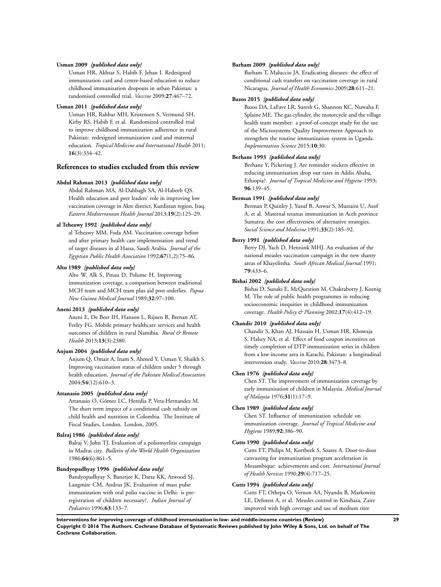#### **Usman 2009** *{published data only}*

Usman HR, Akhtar S, Habib F, Jehan I. Redesigned immunization card and centre-based education to reduce childhood immunization dropouts in urban Pakistan: a randomised controlled trial. *Vaccine* 2009;**27**:467–72.

#### **Usman 2011** *{published data only}*

Usman HR, Rahbar MH, Kristensen S, Vermund SH, Kirby RS, Habib F, et al. Randomized controlled trial to improve childhood immunization adherence in rural Pakistan: redesigned immunization card and maternal education. *Tropical Medicine and International Health* 2011; **16**(3):334–42.

# **References to studies excluded from this review**

#### **Abdul Rahman 2013** *{published data only}*

Abdul Rahman MA, Al-Dabbagh SA, Al-Habeeb QS. Health education and peer leaders' role in improving low vaccination coverage in Akre district, Kurdistan region, Iraq. *Eastern Mediterranean Health Journal* 2013;**19**(2):125–29.

#### **al Teheawy 1992** *{published data only}*

al Teheawy MM, Foda AM. Vaccination coverage before and after primary health care implementation and trend of target diseases in al Hassa, Saudi Arabia. *Journal of the Egyptian Public Health Association* 1992;**67**(1,2):75–86.

#### **Alto 1989** *{published data only}*

Alto W, Alk S, Pinau D, Polume H. Improving immunization coverage, a comparison between traditional MCH team and MCH team plus aid post orderlies. *Papua New Guinea Medical Journal* 1989;**32**:97–100.

# **Aneni 2013** *{published data only}*

Aneni E, De Beer IH, Hanson L, Rijnen B, Brenan AT, Feeley FG. Mobile primary healthcare services and health outcomes of children in rural Namibia. *Rural & Remote Health* 2013;**13**(3):2380.

#### **Anjum 2004** *{published data only}*

Anjum Q, Omair A, Inam S, Ahmed Y, Usman Y, Shaikh S. Improving vaccination status of children under 5 through health education. *Journal of the Pakistan Medical Association* 2004;**54**(12):610–3.

#### **Attanasio 2005** *{published data only}*

Attanasio O, Gómez LC, Heredia P, Vera-Hernandez M. The short term impact of a conditional cash subsidy on child health and nutrition in Colombia. The Institute of Fiscal Studies, London. London, 2005.

#### **Balraj 1986** *{published data only}*

Balraj V, John TJ. Evaluation of a poliomyelitis campaign in Madras city. *Bulletin of the World Health Organization* 1986;**64**(6):861–5.

#### **Bandyopadhyay 1996** *{published data only}*

Bandyopadhyay S, Banerjee K, Datta KK, Atwood SJ, Langmire CM, Andrus JK. Evaluation of mass pulse immunization with oral polio vaccine in Delhi: is preregistration of children necessary?. *Indian Journal of Pediatrics* 1996;**63**:133–7.

#### **Barham 2009** *{published data only}*

Barham T, Maluccio JA. Eradicating diseases: the effect of conditional cash transfers on vaccination coverage in rural Nicaragua. *Journal of Health Economics* 2009;**28**:611–21.

#### **Bazos 2015** *{published data only}*

Bazos DA, LaFave LR, Suresh G, Shannon KC, Nuwaha F, Splaine ME. The gas cylinder, the motorcycle and the village health team member: a proof-of-concept study for the use of the Microsystems Quality Improvement Approach to strengthen the routine immunization system in Uganda. *Implementation Science* 2015;**10**:30.

#### **Berhane 1993** *{published data only}*

Berhane Y, Pickering J. Are reminder stickers effective in reducing immunization drop out rates in Addis Ababa, Ethiopia?. *Journal of Tropical Medicine and Hygiene* 1993; **96**:139–45.

#### **Berman 1991** *{published data only}*

Berman P, Quinley J, Yusuf B, Anwar S, Mustaini U, Azof A, et al. Maternal tetanus immunization in Aceh province Sumatra; the cost effectiveness of alternative strategies. *Social Science and Medicine* 1991;**33**(2):185–92.

#### **Berry 1991** *{published data only}*

Berry DJ, Yach D, Hennink MHJ. An evaluation of the national measles vaccination campaign in the new shanty areas of Khayelitsha. *South African Medical Journal* 1991; **79**:433–6.

#### **Bishai 2002** *{published data only}*

Bishai D, Suzuki E, McQuestion M, Chakraborty J, Koenig M. The role of public health programmes in reducing socioeconomic inequities in childhood immunization coverage. *Health Policy & Planning* 2002;**17**(4):412–19.

#### **Chandir 2010** *{published data only}*

Chandir S, Khan AJ, Hussain H, Usman HR, Khowaja S, Halsey NA, et al. Effect of food coupon incentives on timely completion of DTP immunization series in children from a low-income area in Karachi, Pakistan: a longitudinal intervention study. *Vaccine* 2010;**28**:3473–8.

#### **Chen 1976** *{published data only}*

Chen ST. The improvement of immunization coverage by early immunisation of children in Malaysia. *Medical Journal of Malaysia* 1976;**31**(1):17–9.

#### **Chen 1989** *{published data only}*

Chen ST. Influence of immunization schedule on immunization coverage. *Journal of Tropical Medicine and Hygiene* 1989;**92**:386–90.

#### **Cutts 1990** *{published data only}*

Cutts FT, Philips M, Kortbeek S, Soares A. Door-to-door canvassing for immunization program acceleration in Mozambique: achievements and cost. *International Journal of Health Services* 1990;**29**(4):717–25.

## **Cutts 1994** *{published data only}*

Cutts FT, Othepa O, Vernon AA, Nyandu B, Markowitz LE, Deforest A, et al. Measles control in Kinshasa, Zaire improved with high coverage and use of medium titre

**Interventions for improving coverage of childhood immunisation in low- and middle-income countries (Review) 29 Copyright © 2016 The Authors. Cochrane Database of Systematic Reviews published by John Wiley & Sons, Ltd. on behalf of The Cochrane Collaboration.**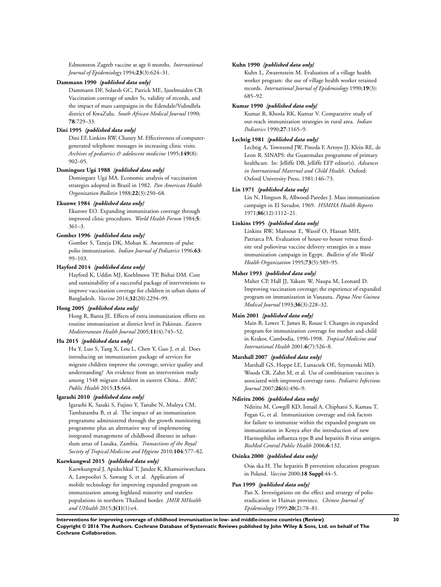Edmonston Zagreb vaccine at age 6 months. *International Journal of Epidemiology* 1994;**23**(3):624–31.

#### **Dammann 1990** *{published data only}*

Dammann DF, Solarsh GC, Patrick ME, Ijsselmuiden CB. Vaccination coverage of under 5s, validity of records, and the impact of mass campaigns in the Edendale/Vulindlela district of KwaZulu. *South African Medical Journal* 1990; **78**:729–33.

#### **Dini 1995** *{published data only}*

Dini EF, Linkins RW, Chaney M. Effectiveness of computergenerated telephone messages in increasing clinic visits. *Archives of pediatrics & adolescent medicine* 1995;**149**(8): 902–05.

#### **Dominguez Ugá 1988** *{published data only}*

Dominguez Ugá MA. Economic analysis of vaccination strategies adopted in Brazil in 1982. *Pan American Health Organization Bulletin* 1988;**22**(3):250–68.

#### **Ekunwe 1984** *{published data only}*

Ekunwe EO. Expanding immunization coverage through improved clinic procedures. *World Health Forum* 1984;**5**: 361–3.

### **Gomber 1996** *{published data only}*

Gomber S, Taneja DK, Mohan K. Awareness of pulse polio immunization. *Indian Journal of Pediatrics* 1996;**63**: 99–103.

#### **Hayford 2014** *{published data only}*

Hayford K, Uddin MJ, Koehlmoos TP, Bishai DM. Cost and sustainability of a successful package of interventions to improve vaccination coverage for children in urban slums of Bangladesh. *Vaccine* 2014;**32**(20):2294–99.

### **Hong 2005** *{published data only}*

Hong R, Banta JE. Effects of extra immunization efforts on routine immunization at district level in Pakistan. *Eastern Mediterranean Health Journal* 2005;**11**(4):745–52.

#### **Hu 2015** *{published data only}*

Hu Y, Luo S, Tang X, Lou L, Chen Y, Guo J, et al. Does introducing an immunization package of services for migrant children improve the coverage, service quality and understanding? An evidence from an intervention study among 1548 migrant children in eastern China.. *BMC Public Health* 2015;**15**:664.

# **Igarashi 2010** *{published data only}*

Igarashi K, Sasaki S, Fujino Y, Tanabe N, Muleya CM, Tambatamba B, et al. The impact of an immunization programme administered through the growth monitoring programme plus an alternative way of implementing integrated management of childhood illnesses in urbanslum areas of Lusaka, Zambia. *Transactions of the Royal Society of Tropical Medicine and Hygiene* 2010;**104**:577–82.

#### **Kaewkungwal 2015** *{published data only}*

Kaewkungwal J, Apidechkul T, Jandee K, Khamsiriwatchara A, Lawpoolsri S, Sawang S, et al. Application of mobile technology for improving expanded program on immunization among highland minority and stateless populations in northern Thailand border. *JMIR MHealth and UHealth* 2015;**3(1)**(1):e4.

#### **Kuhn 1990** *{published data only}*

Kuhn L, Zwarenstein M. Evaluation of a village health worker program: the use of village health worker retained records. *International Journal of Epidemiology* 1990;**19**(3): 685–92.

#### **Kumar 1990** *{published data only}*

Kumar R, Khosla RK, Kumar V. Comparative study of out-reach immunization strategies in rural area. *Indian Pediatrics* 1990;**27**:1165–9.

# **Lechtig 1981** *{published data only}*

Lechtig A, Townsend JW, Pineda F, Arroyo JJ, Klein RE, de Leon R. SINAPS: the Guatemalan programme of primary healthcare. In: Jelliffe DB, Jelliffe EFP editor(s). *Advances in International Maternal and Child Health*. Oxford: Oxford University Press, 1981:146–73.

#### **Lin 1971** *{published data only}*

Lin N, Hingson R, Allwood-Paredes J. Mass immunization campaign in El Savador, 1969. *HSMHA Health Reports* 1971;**86**(12):1112–21.

#### **Linkins 1995** *{published data only}*

Linkins RW, Mansour E, Wassif O, Hassan MH, Patriarca PA. Evaluation of house-to house versus fixedsite oral poliovirus vaccine delivery strategies in a mass immunization campaign in Egypt. *Bulletin of the World Health Organization* 1995;**73**(5):589–95.

#### **Maher 1993** *{published data only}*

Maher CP, Hall JJ, Yakam W, Naupa M, Leonard D. Improving vaccination coverage; the experience of expanded program on immunization in Vanautu. *Papua New Guinea Medical Journal* 1993;**36**(3):228–32.

#### **Main 2001** *{published data only}*

Main B, Lower T, James R, Rouse I. Changes in expanded program for immunization coverage for mother and child in Krakor, Cambodia, 1996-1998. *Tropical Medicine and International Health* 2001;**6**(7):526–8.

#### **Marshall 2007** *{published data only}*

Marshall GS, Hoppe LE, Lunacsek OE, Szymanski MD, Woods CR, Zahn M, et al. Use of combination vaccines is associated with improved coverage rates. *Pediatric Infectious Journal* 2007;**26**(6):496–9.

#### **Ndiritu 2006** *{published data only}*

Ndiritu M, Cowgill KD, Ismail A, Chiphatsi S, Kamau T, Fegan G, et al. Immunization coverage and risk factors for failure to immunize within the expanded program on immunization in Kenya after the introduction of new Haemophilus influenza type B and hepatitis B virus antigen. *BioMed Central Public Health* 2006;**6**:132.

#### **Osinka 2000** *{published data only}*

Osin ska H. The hepatitis B prevention education program in Poland. *Vaccine* 2000;**18 Suppl**:44–5.

#### **Pan 1999** *{published data only}*

Pan X. Investigations on the effect and strategy of polio eradication in Hainan province. *Chinese Journal of Epidemiology* 1999;**20**(2):78–81.

**Interventions for improving coverage of childhood immunisation in low- and middle-income countries (Review) 30 Copyright © 2016 The Authors. Cochrane Database of Systematic Reviews published by John Wiley & Sons, Ltd. on behalf of The Cochrane Collaboration.**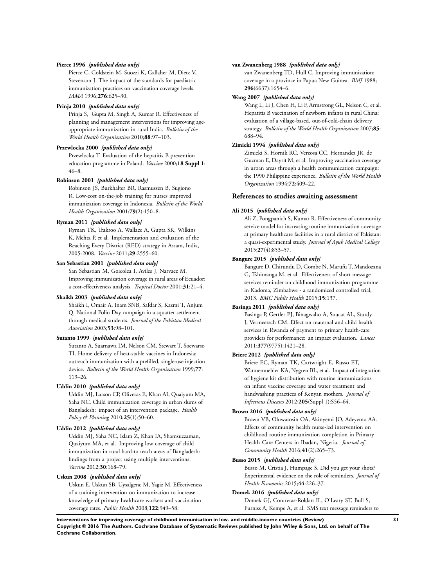#### **Pierce 1996** *{published data only}*

Pierce C, Goldstein M, Suozzi K, Gallaher M, Dietz V, Stevenson J. The impact of the standards for paediatric immunization practices on vaccination coverage levels. *JAMA* 1996;**276**:625–30.

#### **Prinja 2010** *{published data only}*

Prinja S, Gupta M, Singh A, Kumar R. Effectiveness of planning and management interventions for improving ageappropriate immunization in rural India. *Bulletin of the World Health Organization* 2010;**88**:97–103.

#### **Przewlocka 2000** *{published data only}*

Przewlocka T. Evaluation of the hepatitis B prevention education programme in Poland. *Vaccine* 2000;**18 Suppl 1**: 46–8.

#### **Robinson 2001** *{published data only}*

Robinson JS, Burkhalter BR, Rasmussen B, Sugiono R. Low-cost on-the-job training for nurses improved immunization coverage in Indonesia. *Bulletin of the World Health Organization* 2001;**79**(2):150–8.

### **Ryman 2011** *{published data only}*

Ryman TK, Trakroo A, Wallace A, Gupta SK, Wilkins K, Mehta P, et al. Implementation and evaluation of the Reaching Every District (RED) strategy in Assam, India, 2005-2008. *Vaccine* 2011;**29**:2555–60.

#### **San Sebastian 2001** *{published data only}*

San Sebastian M, Goicolea I, Aviles J, Narvaez M. Improving immunization coverage in rural areas of Ecuador: a cost-effectiveness analysis. *Tropical Doctor* 2001;**31**:21–4.

#### **Shaikh 2003** *{published data only}*

Shaikh I, Omair A, Inam SNB, Safdar S, Kazmi T, Anjum Q. National Polio Day campaign in a squatter settlement through medical students. *Journal of the Pakistan Medical Association* 2003;**53**:98–101.

#### **Sutanto 1999** *{published data only}*

Sutanto A, Suarnawa IM, Nelson CM, Stewart T, Soewarso TI. Home delivery of heat-stable vaccines in Indonesia: outreach immunization with a prefilled, single-use injection device. *Bulletin of the World Health Organization* 1999;**77**: 119–26.

#### **Uddin 2010** *{published data only}*

Uddin MJ, Larson CP, Oliveras E, Khan AI, Quaiyum MA, Saha NC. Child immunization coverage in urban slums of Bangladesh: impact of an intervention package. *Health Policy & Planning* 2010;**25**(1):50–60.

### **Uddin 2012** *{published data only}*

Uddin MJ, Saha NC, Islam Z, Khan IA, Shamsuzzaman, Quaiyum MA, et al. Improving low coverage of child immunization in rural hard-to reach areas of Bangladesh: findings from a project using multiple interventions. *Vaccine* 2012;**30**:168–79.

#### **Uskun 2008** *{published data only}*

Uskun E, Uskun SB, Uysalgenc M, Yagiz M. Effectiveness of a training intervention on immunization to increase knowledge of primary healthcare workers and vaccination coverage rates. *Public Health* 2008;**122**:949–58.

#### **van Zwanenberg 1988** *{published data only}*

van Zwanenberg TD, Hull C. Improving immunisation: coverage in a province in Papua New Guinea. *BMJ* 1988; **296**(6637):1654–6.

#### **Wang 2007** *{published data only}*

Wang L, Li J, Chen H, Li F, Armstrong GL, Nelson C, et al. Hepatitis B vaccination of newborn infants in rural China: evaluation of a village-based, out-of-cold-chain delivery strategy. *Bulletin of the World Health Organization* 2007;**85**: 688–94.

#### **Zimicki 1994** *{published data only}*

Zimicki S, Hornik RC, Verzosa CC, Hernandez JR, de Guzman E, Dayrit M, et al. Improving vaccination coverage in urban areas through a health communication campaign: the 1990 Philippine experience. *Bulletin of the World Health Organization* 1994;**72**:409–22.

#### **References to studies awaiting assessment**

#### **Ali 2015** *{published data only}*

Ali Z, Pongpanich S, Kumar R. Effectiveness of community service model for increasing routine immunization coverage at primary healthcare facilities in a rural district of Pakistan: a quasi-experimental study. *Journal of Ayub Medical College* 2015;**27**(4):853–57.

#### **Bangure 2015** *{published data only}*

Bangure D, Chirundu D, Gombe N, Marufu T, Mandozana G, Tshimanga M, et al. Effectiveness of short message services reminder on childhood immunization programme in Kadoma, Zimbabwe - a randomized controlled trial, 2013. *BMC Public Health* 2015;**15**:137.

#### **Basinga 2011** *{published data only}*

Basinga P, Gertler PJ, Binagwaho A, Soucat AL, Sturdy J, Vermeersch CM. Effect on maternal and child health services in Rwanda of payment to primary health-care providers for performance: an impact evaluation. *Lancet* 2011;**377**(9775):1421–28.

#### **Briere 2012** *{published data only}*

Briere EC, Ryman TK, Cartwright E, Russo ET, Wannemuehler KA, Nygren BL, et al. Impact of integration of hygiene kit distribution with routine immunizations on infant vaccine coverage and water treatment and handwashing practices of Kenyan mothers. *Journal of Infectious Diseases* 2012;**205**(Suppl 1):S56–64.

#### **Brown 2016** *{published data only}*

Brown VB, Oluwatosin OA, Akinyemi JO, Adeyemo AA. Effects of community health nurse-led intervention on childhood routine immunization completion in Primary Health Care Centers in Ibadan, Nigeria. *Journal of Community Health* 2016;**41**(2):265–73.

#### **Busso 2015** *{published data only}*

Busso M, Cristia J, Humpage S. Did you get your shots? Experimental evidence on the role of reminders. *Journal of Health Economics* 2015;**44**:226–37.

#### **Domek 2016** *{published data only}*

Domek GJ, Contreras-Roldan IL, O'Leary ST, Bull S, Furniss A, Kempe A, et al. SMS text message reminders to

**Interventions for improving coverage of childhood immunisation in low- and middle-income countries (Review) 31 Copyright © 2016 The Authors. Cochrane Database of Systematic Reviews published by John Wiley & Sons, Ltd. on behalf of The Cochrane Collaboration.**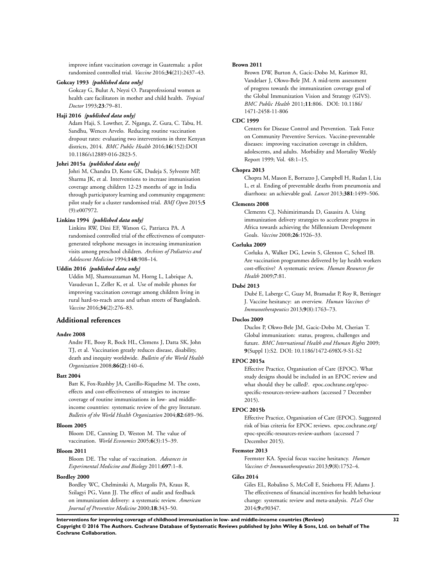improve infant vaccination coverage in Guatemala: a pilot randomized controlled trial. *Vaccine* 2016;**34**(21):2437–43.

#### **Gokcay 1993** *{published data only}*

Gokcay G, Bulut A, Neyzi O. Paraprofessional women as health care facilitators in mother and child health. *Tropical Doctor* 1993;**23**:79–81.

#### **Haji 2016** *{published data only}*

Adam Haji, S. Lowther, Z. Nganga, Z. Gura, C. Tabu, H. Sandhu, Wences Arvelo. Reducing routine vaccination dropout rates: evaluating two interventions in three Kenyan districts, 2014. *BMC Public Health* 2016;**16**(152):DOI 10.1186/s12889-016-2823-5.

#### **Johri 2015a** *{published data only}*

Johri M, Chandra D, Kone GK, Dudeja S, Sylvestre MP, Sharma JK, et al. Interventions to increase immunisation coverage among children 12-23 months of age in India through participatory learning and community engagement: pilot study for a cluster randomised trial. *BMJ Open* 2015;**5** (9):e007972.

#### **Linkins 1994** *{published data only}*

Linkins RW, Dini EF, Watson G, Patriarca PA. A randomised controlled trial of the effectiveness of computergenerated telephone messages in increasing immunization visits among preschool children. *Archives of Pediatrics and Adolescent Medicine* 1994;**148**:908–14.

# **Uddin 2016** *{published data only}*

Uddin MJ, Shamsuzzaman M, Horng L, Labrique A, Vasudevan L, Zeller K, et al. Use of mobile phones for improving vaccination coverage among children living in rural hard-to-reach areas and urban streets of Bangladesh. *Vaccine* 2016;**34**(2):276–83.

#### **Additional references**

#### **Andre 2008**

Andre FE, Booy R, Bock HL, Clemens J, Datta SK, John TJ, et al. Vaccination greatly reduces disease, disability, death and inequity worldwide. *Bulletin of the World Health Organization* 2008;**86(2)**:140–6.

#### **Batt 2004**

Batt K, Fox-Rushby JA, Castillo-Riquelme M. The costs, effects and cost-effectiveness of strategies to increase coverage of routine immunizations in low- and middleincome countries: systematic review of the grey literature. *Bulletin of the World Health Organization* 2004;**82**:689–96.

# **Bloom 2005**

Bloom DE, Canning D, Weston M. The value of vaccination. *World Economics* 2005;**6**(3):15–39.

#### **Bloom 2011**

Bloom DE. The value of vaccination. *Advances in Experimental Medicine and Biology* 2011;**697**:1–8.

#### **Bordley 2000**

Bordley WC, Chelminski A, Margolis PA, Kraus R, Szilagyi PG, Vann JJ. The effect of audit and feedback on immunization delivery: a systematic review. *American Journal of Preventive Medicine* 2000;**18**:343–50.

#### **Brown 2011**

Brown DW, Burton A, Gacic-Dobo M, Karimov RI, Vandelaer J, Okwo-Bele JM. A mid-term assessment of progress towards the immunization coverage goal of the Global Immunization Vision and Strategy (GIVS). *BMC Public Health* 2011;**11**:806. DOI: 10.1186/ 1471-2458-11-806

#### **CDC 1999**

Centers for Disease Control and Prevention. Task Force on Community Preventive Services. Vaccine-preventable diseases: improving vaccination coverage in children, adolescents, and adults. Morbidity and Mortality Weekly Report 1999; Vol. 48:1–15.

# **Chopra 2013**

Chopra M, Mason E, Borrazzo J, Campbell H, Rudan I, Liu L, et al. Ending of preventable deaths from pneumonia and diarrhoea: an achievable goal. *Lancet* 2013;**381**:1499–506.

#### **Clements 2008**

Clements CJ, Nshimirimanda D, Gasasira A. Using immunization delivery strategies to accelerate progress in Africa towards achieving the Millennium Development Goals. *Vaccine* 2008;**26**:1926–33.

### **Corluka 2009**

Corluka A, Walker DG, Lewin S, Glenton C, Scheel IB. Are vaccination programmes delivered by lay health workers cost-effective? A systematic review. *Human Resources for Health* 2009;**7**:81.

#### **Dubé 2013**

Dubé E, Laberge C, Guay M, Bramadat P, Roy R, Bettinger J. Vaccine hesitancy: an overview. *Human Vaccines & Immunotherapeutics* 2013;**9**(8):1763–73.

#### **Duclos 2009**

Duclos P, Okwo-Bele JM, Gacic-Dobo M, Cherian T. Global immunization: status, progress, challenges and future. *BMC International Health and Human Rights* 2009; **9**(Suppl 1):S2. DOI: 10.1186/1472-698X-9-S1-S2

#### **EPOC 2015a**

Effective Practice, Organisation of Care (EPOC). What study designs should be included in an EPOC review and what should they be called?. epoc.cochrane.org/epocspecific-resources-review-authors (accessed 7 December 2015).

#### **EPOC 2015b**

Effective Practice, Organisation of Care (EPOC). Suggested risk of bias criteria for EPOC reviews. epoc.cochrane.org/ epoc-specific-resources-review-authors (accessed 7 December 2015).

#### **Feemster 2013**

Feemster KA. Special focus vaccine hesitancy. *Human Vaccines & Immunotherapeutics* 2013;**9**(8):1752–4.

#### **Giles 2014**

Giles EL, Robalino S, McColl E, Sniehotta FF, Adams J. The effectiveness of financial incentives for health behaviour change: systematic review and meta-analysis. *PLoS One* 2014;**9**:e90347.

**Interventions for improving coverage of childhood immunisation in low- and middle-income countries (Review) 32 Copyright © 2016 The Authors. Cochrane Database of Systematic Reviews published by John Wiley & Sons, Ltd. on behalf of The Cochrane Collaboration.**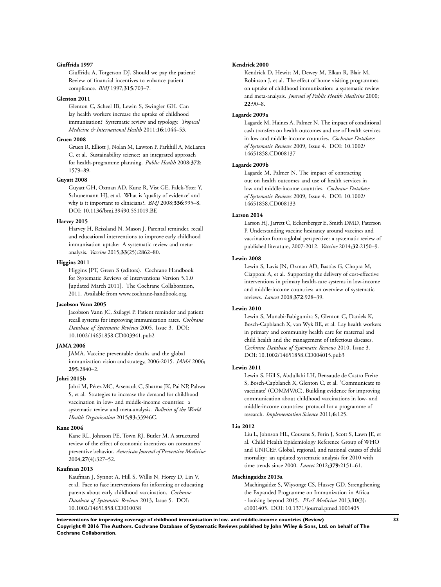#### **Giuffrida 1997**

Giuffrida A, Torgerson DJ. Should we pay the patient? Review of financial incentives to enhance patient compliance. *BMJ* 1997;**315**:703–7.

#### **Glenton 2011**

Glenton C, Scheel IB, Lewin S, Swingler GH. Can lay health workers increase the uptake of childhood immunisation? Systematic review and typology. *Tropical Medicine & International Health* 2011;**16**:1044–53.

#### **Gruen 2008**

Gruen R, Elliott J, Nolan M, Lawton P, Parkhill A, McLaren C, et al. Sustainability science: an integrated approach for health-programme planning. *Public Health* 2008;**372**: 1579–89.

#### **Guyatt 2008**

Guyatt GH, Oxman AD, Kunz R, Vist GE, Falck-Ytter Y, Schunemann HJ, et al. What is 'quality of evidence' and why is it important to clinicians?. *BMJ* 2008;**336**:995–8. DOI: 10.1136/bmj.39490.551019.BE

### **Harvey 2015**

Harvey H, Reissland N, Mason J. Parental reminder, recall and educational interventions to improve early childhood immunisation uptake: A systematic review and metaanalysis. *Vaccine* 2015;**33**(25):2862–80.

# **Higgins 2011**

Higgins JPT, Green S (editors). Cochrane Handbook for Systematic Reviews of Interventions Version 5.1.0 [updated March 2011]. The Cochrane Collaboration, 2011. Available from www.cochrane-handbook.org.

#### **Jacobson Vann 2005**

Jacobson Vann JC, Szilagyi P. Patient reminder and patient recall systems for improving immunization rates. *Cochrane Database of Systematic Reviews* 2005, Issue 3. DOI: 10.1002/14651858.CD003941.pub2

#### **JAMA 2006**

JAMA. Vaccine preventable deaths and the global immunization vision and strategy, 2006-2015. *JAMA* 2006; **295**:2840–2.

#### **Johri 2015b**

Johri M, Pérez MC, Arsenault C, Sharma JK, Pai NP, Pahwa S, et al. Strategies to increase the demand for childhood vaccination in low- and middle-income countries: a systematic review and meta-analysis. *Bulletin of the World Health Organization* 2015;**93**:33946C.

#### **Kane 2004**

Kane RL, Johnson PE, Town RJ, Butler M. A structured review of the effect of economic incentives on consumers' preventive behavior. *American Journal of Preventive Medicine* 2004;**27**(4):327–52.

#### **Kaufman 2013**

Kaufman J, Synnot A, Hill S, Willis N, Horey D, Lin V, et al. Face to face interventions for informing or educating parents about early childhood vaccination. *Cochrane Database of Systematic Reviews* 2013, Issue 5. DOI: 10.1002/14651858.CD010038

#### **Kendrick 2000**

Kendrick D, Hewitt M, Dewey M, Elkan R, Blair M, Robinson J, et al. The effect of home visiting programmes on uptake of childhood immunization: a systematic review and meta-analysis. *Journal of Public Health Medicine* 2000; **22**:90–8.

#### **Lagarde 2009a**

Lagarde M, Haines A, Palmer N. The impact of conditional cash transfers on health outcomes and use of health services in low and middle income countries. *Cochrane Database of Systematic Reviews* 2009, Issue 4. DOI: 10.1002/ 14651858.CD008137

# **Lagarde 2009b**

Lagarde M, Palmer N. The impact of contracting out on health outcomes and use of health services in low and middle-income countries. *Cochrane Database of Systematic Reviews* 2009, Issue 4. DOI: 10.1002/ 14651858.CD008133

#### **Larson 2014**

Larson HJ, Jarrett C, Eckersberger E, Smith DMD, Paterson P. Understanding vaccine hesitancy around vaccines and vaccination from a global perspective: a systematic review of published literature, 2007-2012. *Vaccine* 2014;**32**:2150–9.

#### **Lewin 2008**

Lewin S, Lavis JN, Oxman AD, Bastías G, Chopra M, Ciapponi A, et al. Supporting the delivery of cost-effective interventions in primary health-care systems in low-income and middle-income countries: an overview of systematic reviews. *Lancet* 2008;**372**:928–39.

#### **Lewin 2010**

Lewin S, Munabi-Babigumira S, Glenton C, Daniels K, Bosch-Capblanch X, van Wyk BE, et al. Lay health workers in primary and community health care for maternal and child health and the management of infectious diseases. *Cochrane Database of Systematic Reviews* 2010, Issue 3. DOI: 10.1002/14651858.CD004015.pub3

#### **Lewin 2011**

Lewin S, Hill S, Abdullahi LH, Bensaude de Castro Freire S, Bosch-Capblanch X, Glenton C, et al. 'Communicate to vaccinate' (COMMVAC). Building evidence for improving communication about childhood vaccinations in low- and middle-income countries: protocol for a programme of research. *Implementation Science* 2011;**6**:125.

#### **Liu 2012**

Liu L, Johnson HL, Cousens S, Perin J, Scott S, Lawn JE, et al. Child Health Epidemiology Reference Group of WHO and UNICEF. Global, regional, and national causes of child mortality: an updated systematic analysis for 2010 with time trends since 2000. *Lancet* 2012;**379**:2151–61.

#### **Machingaidze 2013a**

Machingaidze S, Wiysonge CS, Hussey GD. Strengthening the Expanded Programme on Immunization in Africa - looking beyond 2015. *PLoS Medicine* 2013;**10**(3): e1001405. DOI: 10.1371/journal.pmed.1001405

**Interventions for improving coverage of childhood immunisation in low- and middle-income countries (Review) 33 Copyright © 2016 The Authors. Cochrane Database of Systematic Reviews published by John Wiley & Sons, Ltd. on behalf of The Cochrane Collaboration.**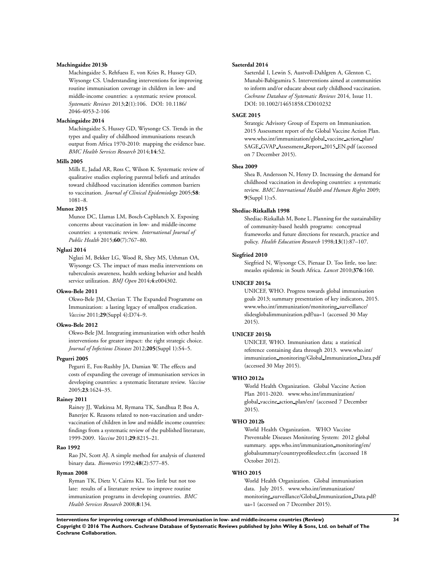#### **Machingaidze 2013b**

Machingaidze S, Rehfuess E, von Kries R, Hussey GD, Wiysonge CS. Understanding interventions for improving routine immunisation coverage in children in low- and middle-income countries: a systematic review protocol. *Systematic Reviews* 2013;**2**(1):106. DOI: 10.1186/ 2046-4053-2-106

#### **Machingaidze 2014**

Machingaidze S, Hussey GD, Wiysonge CS. Trends in the types and quality of childhood immunisations research output from Africa 1970-2010: mapping the evidence base. *BMC Health Services Research* 2014;**14**:52.

#### **Mills 2005**

Mills E, Jadad AR, Ross C, Wilson K. Systematic review of qualitative studies exploring parental beliefs and attitudes toward childhood vaccination identifies common barriers to vaccination. *Journal of Clinical Epidemiology* 2005;**58**: 1081–8.

#### **Munoz 2015**

Munoz DC, Llamas LM, Bosch-Capblanch X. Exposing concerns about vaccination in low- and middle-income countries: a systematic review. *International Journal of Public Health* 2015;**60**(7):767–80.

# **Nglazi 2014**

Nglazi M, Bekker LG, Wood R, Shey MS, Uthman OA, Wiysonge CS. The impact of mass media interventions on tuberculosis awareness, health seeking behavior and health service utilization. *BMJ Open* 2014;**4**:e004302.

#### **Okwo-Bele 2011**

Okwo-Bele JM, Cherian T. The Expanded Programme on Immunization: a lasting legacy of smallpox eradication. *Vaccine* 2011;**29**(Suppl 4):D74–9.

#### **Okwo-Bele 2012**

Okwo-Bele JM. Integrating immunization with other health interventions for greater impact: the right strategic choice. *Journal of Infectious Diseases* 2012;**205**(Suppl 1):S4–5.

#### **Pegurri 2005**

Pegurri E, Fox-Rushby JA, Damian W. The effects and costs of expanding the coverage of immunisation services in developing countries: a systematic literature review. *Vaccine* 2005;**23**:1624–35.

#### **Rainey 2011**

Rainey JJ, Watkinsa M, Rymana TK, Sandhua P, Boa A, Banerjee K. Reasons related to non-vaccination and undervaccination of children in low and middle income countries: findings from a systematic review of the published literature, 1999-2009. *Vaccine* 2011;**29**:8215–21.

# **Rao 1992**

Rao JN, Scott AJ. A simple method for analysis of clustered binary data. *Biometrics* 1992;**48**(2):577–85.

# **Ryman 2008**

Ryman TK, Dietz V, Cairns KL. Too little but not too late: results of a literature review to improve routine immunization programs in developing countries. *BMC Health Services Research* 2008;**8**:134.

#### **Saeterdal 2014**

Saeterdal I, Lewin S, Austvoll-Dahlgren A, Glenton C, Munabi-Babigumira S. Interventions aimed at communities to inform and/or educate about early childhood vaccination. *Cochrane Database of Systematic Reviews* 2014, Issue 11. DOI: 10.1002/14651858.CD010232

#### **SAGE 2015**

Strategic Advisory Group of Experts on Immunisation. 2015 Assessment report of the Global Vaccine Action Plan. www.who.int/immunization/global vaccine action plan/ SAGE GVAP Assessment Report 2015 EN.pdf (accessed on 7 December 2015).

#### **Shea 2009**

Shea B, Andersson N, Henry D. Increasing the demand for childhood vaccination in developing countries: a systematic review. *BMC International Health and Human Rights* 2009; **9**(Suppl 1):s5.

#### **Shediac-Rizkallah 1998**

Shediac-Rizkallah M, Bone L. Planning for the sustainability of community-based health programs: conceptual frameworks and future directions for research, practice and policy. *Health Education Research* 1998;**13**(1):87–107.

# **Siegfried 2010**

Siegfried N, Wiysonge CS, Pienaar D. Too little, too late: measles epidemic in South Africa. *Lancet* 2010;**376**:160.

#### **UNICEF 2015a**

UNICEF, WHO. Progress towards global immunisation goals 2013; summary presentation of key indicators, 2015. www.who.int/immunization/monitoring surveillance/ slidesglobalimmunization.pdf?ua=1 (accessed 30 May 2015).

#### **UNICEF 2015b**

UNICEF, WHO. Immunisation data; a statistical reference containing data through 2013. www.who.int/ immunization monitoring/Global Immunization Data.pdf (accessed 30 May 2015).

# **WHO 2012a**

World Health Organization. Global Vaccine Action Plan 2011-2020. www.who.int/immunization/ global vaccine action plan/en/ (accessed 7 December 2015).

#### **WHO 2012b**

World Health Organization. WHO Vaccine Preventable Diseases Monitoring System: 2012 global summary. apps.who.int/immunization monitoring/en/ globalsummary/countryprofileselect.cfm (accessed 18 October 2012).

### **WHO 2015**

World Health Organization. Global immunisation data. July 2015. www.who.int/immunization/ monitoring surveillance/Global Immunization Data.pdf? ua=1 (accessed on 7 December 2015).

**Interventions for improving coverage of childhood immunisation in low- and middle-income countries (Review) 34 Copyright © 2016 The Authors. Cochrane Database of Systematic Reviews published by John Wiley & Sons, Ltd. on behalf of The Cochrane Collaboration.**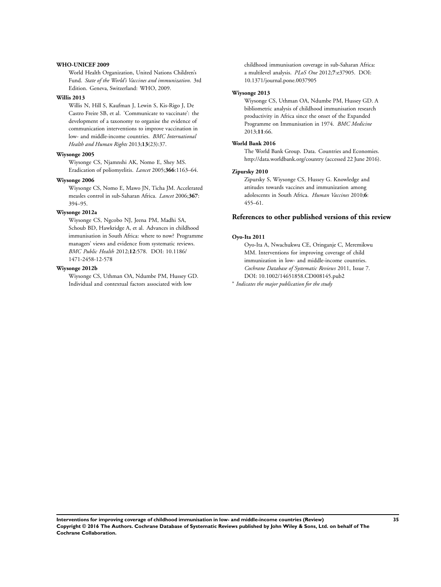#### **WHO-UNICEF 2009**

World Health Organization, United Nations Children's Fund. *State of the World's Vaccines and immunization*. 3rd Edition. Geneva, Switzerland: WHO, 2009.

#### **Willis 2013**

Willis N, Hill S, Kaufman J, Lewin S, Kis-Rigo J, De Castro Freire SB, et al. 'Communicate to vaccinate': the development of a taxonomy to organise the evidence of communication interventions to improve vaccination in low- and middle-income countries. *BMC International Health and Human Rights* 2013;**13**(23):37.

#### **Wiysonge 2005**

Wiysonge CS, Njamnshi AK, Nomo E, Shey MS. Eradication of poliomyelitis. *Lancet* 2005;**366**:1163–64.

#### **Wiysonge 2006**

Wiysonge CS, Nomo E, Mawo JN, Ticha JM. Accelerated measles control in sub-Saharan Africa. *Lancet* 2006;**367**: 394–95.

#### **Wiysonge 2012a**

Wiysonge CS, Ngcobo NJ, Jeena PM, Madhi SA, Schoub BD, Hawkridge A, et al. Advances in childhood immunisation in South Africa: where to now? Programme managers' views and evidence from systematic reviews. *BMC Public Health* 2012;**12**:578. DOI: 10.1186/ 1471-2458-12-578

#### **Wiysonge 2012b**

Wiysonge CS, Uthman OA, Ndumbe PM, Hussey GD. Individual and contextual factors associated with low

childhood immunisation coverage in sub-Saharan Africa: a multilevel analysis. *PLoS One* 2012;**7**:e37905. DOI: 10.1371/journal.pone.0037905

#### **Wiysonge 2013**

Wiysonge CS, Uthman OA, Ndumbe PM, Hussey GD. A bibliometric analysis of childhood immunisation research productivity in Africa since the onset of the Expanded Programme on Immunisation in 1974. *BMC Medicine* 2013;**11**:66.

#### **World Bank 2016**

The World Bank Group. Data. Countries and Economies. http://data.worldbank.org/country (accessed 22 June 2016).

#### **Zipursky 2010**

Zipursky S, Wiysonge CS, Hussey G. Knowledge and attitudes towards vaccines and immunization among adolescents in South Africa. *Human Vaccines* 2010;**6**: 455–61.

#### **References to other published versions of this review**

#### **Oyo-Ita 2011**

Oyo-Ita A, Nwachukwu CE, Oringanje C, Meremikwu MM. Interventions for improving coverage of child immunization in low- and middle-income countries. *Cochrane Database of Systematic Reviews* 2011, Issue 7. DOI: 10.1002/14651858.CD008145.pub2

∗ *Indicates the major publication for the study*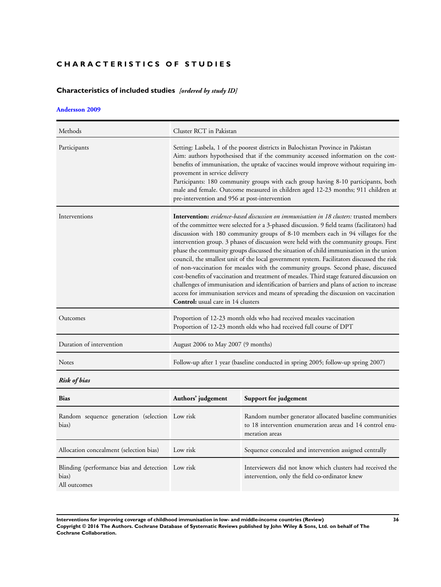## **CHARACTERISTICS OF STUDIES**

# **Characteristics of included studies** *[ordered by study ID]*

#### **[Andersson 2009](#page-29-0)**

| Methods                  | Cluster RCT in Pakistan                                                                                                                                                                                                                                                                                                                                                                                                                                                                                                                                                                                                                                                                                                                                                                                                                                                                                                                                                               |
|--------------------------|---------------------------------------------------------------------------------------------------------------------------------------------------------------------------------------------------------------------------------------------------------------------------------------------------------------------------------------------------------------------------------------------------------------------------------------------------------------------------------------------------------------------------------------------------------------------------------------------------------------------------------------------------------------------------------------------------------------------------------------------------------------------------------------------------------------------------------------------------------------------------------------------------------------------------------------------------------------------------------------|
| Participants             | Setting: Lasbela, 1 of the poorest districts in Balochistan Province in Pakistan<br>Aim: authors hypothesised that if the community accessed information on the cost-<br>benefits of immunisation, the uptake of vaccines would improve without requiring im-<br>provement in service delivery<br>Participants: 180 community groups with each group having 8-10 participants, both<br>male and female. Outcome measured in children aged 12-23 months; 911 children at<br>pre-intervention and 956 at post-intervention                                                                                                                                                                                                                                                                                                                                                                                                                                                              |
| Interventions            | <b>Intervention:</b> evidence-based discussion on immunisation in 18 clusters: trusted members<br>of the committee were selected for a 3-phased discussion. 9 field teams (facilitators) had<br>discussion with 180 community groups of 8-10 members each in 94 villages for the<br>intervention group. 3 phases of discussion were held with the community groups. First<br>phase the community groups discussed the situation of child immunisation in the union<br>council, the smallest unit of the local government system. Facilitators discussed the risk<br>of non-vaccination for measles with the community groups. Second phase, discussed<br>cost-benefits of vaccination and treatment of measles. Third stage featured discussion on<br>challenges of immunisation and identification of barriers and plans of action to increase<br>access for immunisation services and means of spreading the discussion on vaccination<br><b>Control:</b> usual care in 14 clusters |
| Outcomes                 | Proportion of 12-23 month olds who had received measles vaccination<br>Proportion of 12-23 month olds who had received full course of DPT                                                                                                                                                                                                                                                                                                                                                                                                                                                                                                                                                                                                                                                                                                                                                                                                                                             |
| Duration of intervention | August 2006 to May 2007 (9 months)                                                                                                                                                                                                                                                                                                                                                                                                                                                                                                                                                                                                                                                                                                                                                                                                                                                                                                                                                    |
| Notes                    | Follow-up after 1 year (baseline conducted in spring 2005; follow-up spring 2007)                                                                                                                                                                                                                                                                                                                                                                                                                                                                                                                                                                                                                                                                                                                                                                                                                                                                                                     |
| Risk of bias             |                                                                                                                                                                                                                                                                                                                                                                                                                                                                                                                                                                                                                                                                                                                                                                                                                                                                                                                                                                                       |

| <b>Bias</b>                                                                | Authors' judgement | Support for judgement                                                                                                                |
|----------------------------------------------------------------------------|--------------------|--------------------------------------------------------------------------------------------------------------------------------------|
| Random sequence generation (selection Low risk)<br>bias)                   |                    | Random number generator allocated baseline communities<br>to 18 intervention enumeration areas and 14 control enu-<br>meration areas |
| Allocation concealment (selection bias)                                    | Low risk           | Sequence concealed and intervention assigned centrally                                                                               |
| Blinding (performance bias and detection Low risk<br>bias)<br>All outcomes |                    | Interviewers did not know which clusters had received the<br>intervention, only the field co-ordinator knew                          |

**Interventions for improving coverage of childhood immunisation in low- and middle-income countries (Review) 36 Copyright © 2016 The Authors. Cochrane Database of Systematic Reviews published by John Wiley & Sons, Ltd. on behalf of The Cochrane Collaboration.**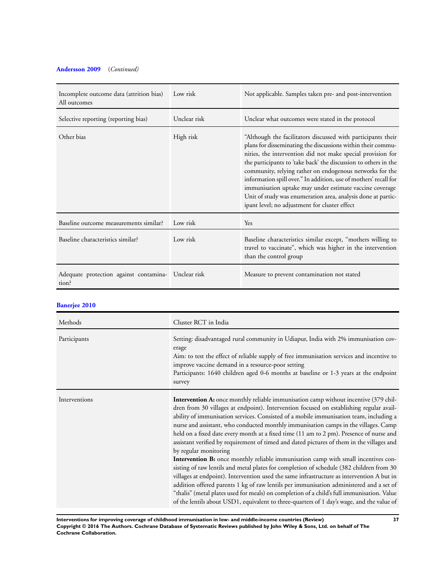## **[Andersson 2009](#page-29-0)** (*Continued)*

| Incomplete outcome data (attrition bias)<br>All outcomes     | Low risk     | Not applicable. Samples taken pre- and post-intervention                                                                                                                                                                                                                                                                                                                                                                                                                                                                                                                  |
|--------------------------------------------------------------|--------------|---------------------------------------------------------------------------------------------------------------------------------------------------------------------------------------------------------------------------------------------------------------------------------------------------------------------------------------------------------------------------------------------------------------------------------------------------------------------------------------------------------------------------------------------------------------------------|
| Selective reporting (reporting bias)                         | Unclear risk | Unclear what outcomes were stated in the protocol                                                                                                                                                                                                                                                                                                                                                                                                                                                                                                                         |
| Other bias                                                   | High risk    | "Although the facilitators discussed with participants their<br>plans for disseminating the discussions within their commu-<br>nities, the intervention did not make special provision for<br>the participants to 'take back' the discussion to others in the<br>community, relying rather on endogenous networks for the<br>information spill over." In addition, use of mothers' recall for<br>immunisation uptake may under estimate vaccine coverage<br>Unit of study was enumeration area, analysis done at partic-<br>ipant level; no adjustment for cluster effect |
| Baseline outcome measurements similar?                       | Low risk     | Yes                                                                                                                                                                                                                                                                                                                                                                                                                                                                                                                                                                       |
| Baseline characteristics similar?                            | Low risk     | Baseline characteristics similar except, "mothers willing to<br>travel to vaccinate", which was higher in the intervention<br>than the control group                                                                                                                                                                                                                                                                                                                                                                                                                      |
| Adequate protection against contamina- Unclear risk<br>tion? |              | Measure to prevent contamination not stated                                                                                                                                                                                                                                                                                                                                                                                                                                                                                                                               |

# **[Banerjee 2010](#page-29-0)**

| Methods       | Cluster RCT in India                                                                                                                                                                                                                                                                                                                                                                                                                                                                                                                                                                                                                                                                                                                                                                                                                                                                                                                                                                                                                                                                                                                                          |
|---------------|---------------------------------------------------------------------------------------------------------------------------------------------------------------------------------------------------------------------------------------------------------------------------------------------------------------------------------------------------------------------------------------------------------------------------------------------------------------------------------------------------------------------------------------------------------------------------------------------------------------------------------------------------------------------------------------------------------------------------------------------------------------------------------------------------------------------------------------------------------------------------------------------------------------------------------------------------------------------------------------------------------------------------------------------------------------------------------------------------------------------------------------------------------------|
| Participants  | Setting: disadvantaged rural community in Udiapur, India with 2% immunisation cov-<br>erage<br>Aim: to test the effect of reliable supply of free immunisation services and incentive to<br>improve vaccine demand in a resource-poor setting<br>Participants: 1640 children aged 0-6 months at baseline or 1-3 years at the endpoint<br>survey                                                                                                                                                                                                                                                                                                                                                                                                                                                                                                                                                                                                                                                                                                                                                                                                               |
| Interventions | <b>Intervention A:</b> once monthly reliable immunisation camp without incentive (379 chil-<br>dren from 30 villages at endpoint). Intervention focused on establishing regular avail-<br>ability of immunisation services. Consisted of a mobile immunisation team, including a<br>nurse and assistant, who conducted monthly immunisation camps in the villages. Camp<br>held on a fixed date every month at a fixed time (11 am to 2 pm). Presence of nurse and<br>assistant verified by requirement of timed and dated pictures of them in the villages and<br>by regular monitoring<br>Intervention B: once monthly reliable immunisation camp with small incentives con-<br>sisting of raw lentils and metal plates for completion of schedule (382 children from 30<br>villages at endpoint). Intervention used the same infrastructure as intervention A but in<br>addition offered parents 1 kg of raw lentils per immunisation administered and a set of<br>"thalis" (metal plates used for meals) on completion of a child's full immunisation. Value<br>of the lentils about USD1, equivalent to three-quarters of 1 day's wage, and the value of |

**Interventions for improving coverage of childhood immunisation in low- and middle-income countries (Review) 37 Copyright © 2016 The Authors. Cochrane Database of Systematic Reviews published by John Wiley & Sons, Ltd. on behalf of The Cochrane Collaboration.**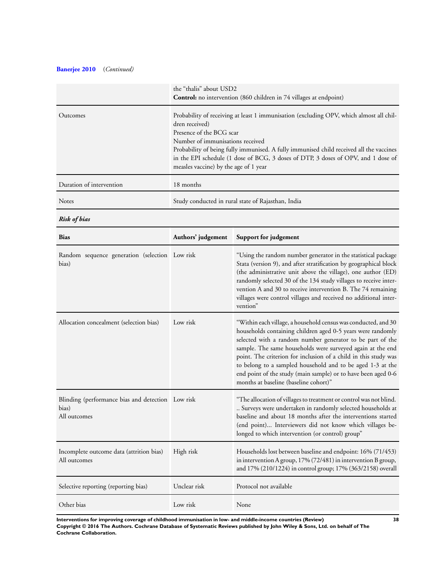# **[Banerjee 2010](#page-29-0)** (*Continued)*

|                          | the "thalis" about USD2<br><b>Control:</b> no intervention (860 children in 74 villages at endpoint)                                                                                                                                                                                                                                                                                               |
|--------------------------|----------------------------------------------------------------------------------------------------------------------------------------------------------------------------------------------------------------------------------------------------------------------------------------------------------------------------------------------------------------------------------------------------|
| <b>Outcomes</b>          | Probability of receiving at least 1 immunisation (excluding OPV, which almost all chil-<br>dren received)<br>Presence of the BCG scar<br>Number of immunisations received<br>Probability of being fully immunised. A fully immunised child received all the vaccines<br>in the EPI schedule (1 dose of BCG, 3 doses of DTP, 3 doses of OPV, and 1 dose of<br>measles vaccine) by the age of 1 year |
| Duration of intervention | 18 months                                                                                                                                                                                                                                                                                                                                                                                          |
| <b>Notes</b>             | Study conducted in rural state of Rajasthan, India                                                                                                                                                                                                                                                                                                                                                 |

# *Risk of bias*

| <b>Bias</b>                                                                | Authors' judgement | Support for judgement                                                                                                                                                                                                                                                                                                                                                                                                                                                                               |
|----------------------------------------------------------------------------|--------------------|-----------------------------------------------------------------------------------------------------------------------------------------------------------------------------------------------------------------------------------------------------------------------------------------------------------------------------------------------------------------------------------------------------------------------------------------------------------------------------------------------------|
| Random sequence generation (selection Low risk<br>bias)                    |                    | "Using the random number generator in the statistical package<br>Stata (version 9), and after stratification by geographical block<br>(the administrative unit above the village), one author (ED)<br>randomly selected 30 of the 134 study villages to receive inter-<br>vention A and 30 to receive intervention B. The 74 remaining<br>villages were control villages and received no additional inter-<br>vention"                                                                              |
| Allocation concealment (selection bias)                                    | Low risk           | "Within each village, a household census was conducted, and 30<br>households containing children aged 0-5 years were randomly<br>selected with a random number generator to be part of the<br>sample. The same households were surveyed again at the end<br>point. The criterion for inclusion of a child in this study was<br>to belong to a sampled household and to be aged 1-3 at the<br>end point of the study (main sample) or to have been aged 0-6<br>months at baseline (baseline cohort)" |
| Blinding (performance bias and detection Low risk<br>bias)<br>All outcomes |                    | "The allocation of villages to treatment or control was not blind.<br>Surveys were undertaken in randomly selected households at<br>baseline and about 18 months after the interventions started<br>(end point) Interviewers did not know which villages be-<br>longed to which intervention (or control) group"                                                                                                                                                                                    |
| Incomplete outcome data (attrition bias)<br>All outcomes                   | High risk          | Households lost between baseline and endpoint: 16% (71/453)<br>in intervention A group, 17% (72/481) in intervention B group,<br>and 17% (210/1224) in control group; 17% (363/2158) overall                                                                                                                                                                                                                                                                                                        |
| Selective reporting (reporting bias)                                       | Unclear risk       | Protocol not available                                                                                                                                                                                                                                                                                                                                                                                                                                                                              |
| Other bias                                                                 | Low risk           | None                                                                                                                                                                                                                                                                                                                                                                                                                                                                                                |

**Interventions for improving coverage of childhood immunisation in low- and middle-income countries (Review) 38 Copyright © 2016 The Authors. Cochrane Database of Systematic Reviews published by John Wiley & Sons, Ltd. on behalf of The Cochrane Collaboration.**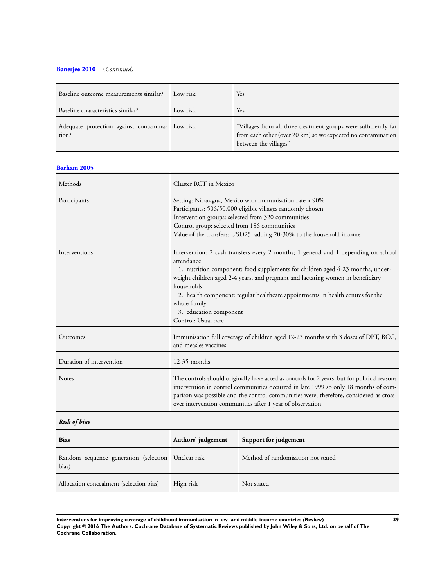# **[Banerjee 2010](#page-29-0)** (*Continued)*

| Baseline outcome measurements similar?                   | Low risk | Yes                                                                                                                                                      |
|----------------------------------------------------------|----------|----------------------------------------------------------------------------------------------------------------------------------------------------------|
| Baseline characteristics similar?                        | Low risk | Yes                                                                                                                                                      |
| Adequate protection against contamina- Low risk<br>tion? |          | "Villages from all three treatment groups were sufficiently far<br>from each other (over 20 km) so we expected no contamination<br>between the villages" |

## **[Barham 2005](#page-29-0)**

| Methods                  | Cluster RCT in Mexico                                                                                                                                                                                                                                                                                                                                                                                                                  |
|--------------------------|----------------------------------------------------------------------------------------------------------------------------------------------------------------------------------------------------------------------------------------------------------------------------------------------------------------------------------------------------------------------------------------------------------------------------------------|
| Participants             | Setting: Nicaragua, Mexico with immunisation rate > 90%<br>Participants: 506/50,000 eligible villages randomly chosen<br>Intervention groups: selected from 320 communities<br>Control group: selected from 186 communities<br>Value of the transfers: USD25, adding 20-30% to the household income                                                                                                                                    |
| Interventions            | Intervention: 2 cash transfers every 2 months; 1 general and 1 depending on school<br>attendance<br>1. nutrition component: food supplements for children aged 4-23 months, under-<br>weight children aged 2-4 years, and pregnant and lactating women in beneficiary<br>households<br>2. health component: regular healthcare appointments in health centres for the<br>whole family<br>3. education component<br>Control: Usual care |
| Outcomes                 | Immunisation full coverage of children aged 12-23 months with 3 doses of DPT, BCG,<br>and measles vaccines                                                                                                                                                                                                                                                                                                                             |
| Duration of intervention | $12-35$ months                                                                                                                                                                                                                                                                                                                                                                                                                         |
| <b>Notes</b>             | The controls should originally have acted as controls for 2 years, but for political reasons<br>intervention in control communities occurred in late 1999 so only 18 months of com-<br>parison was possible and the control communities were, therefore, considered as cross-<br>over intervention communities after 1 year of observation                                                                                             |
| Risk of bias             |                                                                                                                                                                                                                                                                                                                                                                                                                                        |

| <b>Bias</b>                                                 | Authors' judgement | Support for judgement              |
|-------------------------------------------------------------|--------------------|------------------------------------|
| Random sequence generation (selection Unclear risk<br>bias) |                    | Method of randomisation not stated |
| Allocation concealment (selection bias)                     | High risk          | Not stated                         |

**Interventions for improving coverage of childhood immunisation in low- and middle-income countries (Review) 39 Copyright © 2016 The Authors. Cochrane Database of Systematic Reviews published by John Wiley & Sons, Ltd. on behalf of The Cochrane Collaboration.**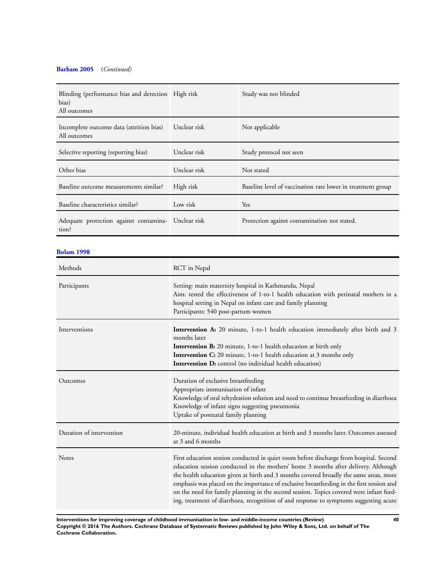# **[Barham 2005](#page-29-0)** (*Continued)*

| Blinding (performance bias and detection High risk<br>bias)<br>All outcomes |              | Study was not blinded                                       |
|-----------------------------------------------------------------------------|--------------|-------------------------------------------------------------|
| Incomplete outcome data (attrition bias)<br>All outcomes                    | Unclear risk | Not applicable                                              |
| Selective reporting (reporting bias)                                        | Unclear risk | Study protocol not seen                                     |
|                                                                             |              |                                                             |
| Other bias                                                                  | Unclear risk | Not stated                                                  |
| Baseline outcome measurements similar?                                      | High risk    | Baseline level of vaccination rate lower in treatment group |
| Baseline characteristics similar?                                           | Low risk     | Yes                                                         |

#### **[Bolam 1998](#page-29-0)**

| Methods                  | RCT in Nepal                                                                                                                                                                                                                                                                                                                                                                                                                                                                                                                                           |
|--------------------------|--------------------------------------------------------------------------------------------------------------------------------------------------------------------------------------------------------------------------------------------------------------------------------------------------------------------------------------------------------------------------------------------------------------------------------------------------------------------------------------------------------------------------------------------------------|
| Participants             | Setting: main maternity hospital in Kathmandu, Nepal<br>Aim: tested the effectiveness of 1-to-1 health education with perinatal mothers in a<br>hospital setting in Nepal on infant care and family planning<br>Participants: 540 post-partum women                                                                                                                                                                                                                                                                                                    |
| Interventions            | Intervention A: 20 minute, 1-to-1 health education immediately after birth and 3<br>months later<br><b>Intervention B:</b> 20 minute, 1-to-1 health education at birth only<br><b>Intervention C:</b> 20 minute, 1-to-1 health education at 3 months only<br><b>Intervention D:</b> control (no individual health education)                                                                                                                                                                                                                           |
| Outcomes                 | Duration of exclusive breastfeeding<br>Appropriate immunisation of infant<br>Knowledge of oral rehydration solution and need to continue breastfeeding in diarrhoea<br>Knowledge of infant signs suggesting pneumonia<br>Uptake of postnatal family planning                                                                                                                                                                                                                                                                                           |
| Duration of intervention | 20-minute, individual health education at birth and 3 months later. Outcomes assessed<br>at 3 and 6 months                                                                                                                                                                                                                                                                                                                                                                                                                                             |
| <b>Notes</b>             | First education session conducted in quiet room before discharge from hospital. Second<br>education session conducted in the mothers' home 3 months after delivery. Although<br>the health education given at birth and 3 months covered broadly the same areas, more<br>emphasis was placed on the importance of exclusive breastfeeding in the first session and<br>on the need for family planning in the second session. Topics covered were infant feed-<br>ing, treatment of diarrhoea, recognition of and response to symptoms suggesting acute |

**Interventions for improving coverage of childhood immunisation in low- and middle-income countries (Review) 40 Copyright © 2016 The Authors. Cochrane Database of Systematic Reviews published by John Wiley & Sons, Ltd. on behalf of The Cochrane Collaboration.**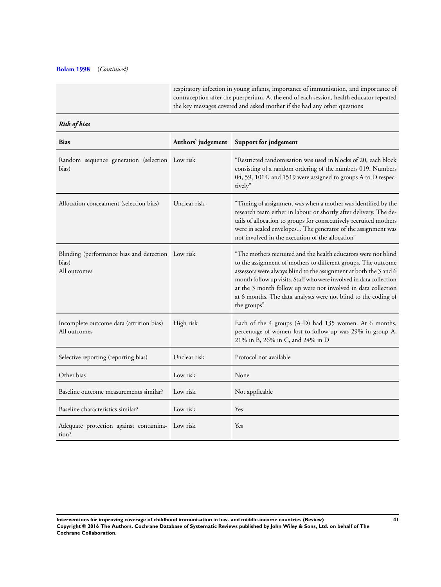## **[Bolam 1998](#page-29-0)** (*Continued)*

respiratory infection in young infants, importance of immunisation, and importance of contraception after the puerperium. At the end of each session, health educator repeated the key messages covered and asked mother if she had any other questions

| <b>Risk of bias</b>                                                        |                    |                                                                                                                                                                                                                                                                                                                                                                                                                              |
|----------------------------------------------------------------------------|--------------------|------------------------------------------------------------------------------------------------------------------------------------------------------------------------------------------------------------------------------------------------------------------------------------------------------------------------------------------------------------------------------------------------------------------------------|
| <b>Bias</b>                                                                | Authors' judgement | Support for judgement                                                                                                                                                                                                                                                                                                                                                                                                        |
| Random sequence generation (selection Low risk<br>bias)                    |                    | "Restricted randomisation was used in blocks of 20, each block<br>consisting of a random ordering of the numbers 019. Numbers<br>04, 59, 1014, and 1519 were assigned to groups A to D respec-<br>tively"                                                                                                                                                                                                                    |
| Allocation concealment (selection bias)                                    | Unclear risk       | "Timing of assignment was when a mother was identified by the<br>research team either in labour or shortly after delivery. The de-<br>tails of allocation to groups for consecutively recruited mothers<br>were in sealed envelopes The generator of the assignment was<br>not involved in the execution of the allocation"                                                                                                  |
| Blinding (performance bias and detection Low risk<br>bias)<br>All outcomes |                    | "The mothers recruited and the health educators were not blind<br>to the assignment of mothers to different groups. The outcome<br>assessors were always blind to the assignment at both the 3 and 6<br>month follow up visits. Staff who were involved in data collection<br>at the 3 month follow up were not involved in data collection<br>at 6 months. The data analysts were not blind to the coding of<br>the groups" |
| Incomplete outcome data (attrition bias)<br>All outcomes                   | High risk          | Each of the 4 groups (A-D) had 135 women. At 6 months,<br>percentage of women lost-to-follow-up was 29% in group A,<br>21% in B, 26% in C, and 24% in D                                                                                                                                                                                                                                                                      |
| Selective reporting (reporting bias)                                       | Unclear risk       | Protocol not available                                                                                                                                                                                                                                                                                                                                                                                                       |
| Other bias                                                                 | Low risk           | None                                                                                                                                                                                                                                                                                                                                                                                                                         |
| Baseline outcome measurements similar?                                     | Low risk           | Not applicable                                                                                                                                                                                                                                                                                                                                                                                                               |
| Baseline characteristics similar?                                          | Low risk           | Yes                                                                                                                                                                                                                                                                                                                                                                                                                          |
| Adequate protection against contamina- Low risk<br>tion?                   |                    | Yes                                                                                                                                                                                                                                                                                                                                                                                                                          |

**Interventions for improving coverage of childhood immunisation in low- and middle-income countries (Review) 41 Copyright © 2016 The Authors. Cochrane Database of Systematic Reviews published by John Wiley & Sons, Ltd. on behalf of The Cochrane Collaboration.**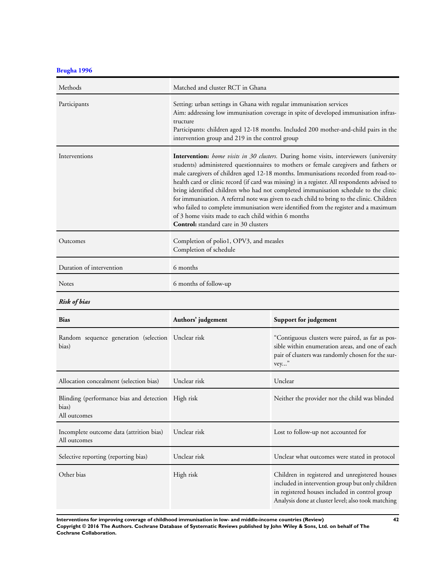**[Brugha 1996](#page-29-0)**

| Methods                  | Matched and cluster RCT in Ghana                                                                                                                                                                                                                                                                                                                                                                                                                                                                                                                                                                                                                                                                                                                                |  |
|--------------------------|-----------------------------------------------------------------------------------------------------------------------------------------------------------------------------------------------------------------------------------------------------------------------------------------------------------------------------------------------------------------------------------------------------------------------------------------------------------------------------------------------------------------------------------------------------------------------------------------------------------------------------------------------------------------------------------------------------------------------------------------------------------------|--|
| Participants             | Setting: urban settings in Ghana with regular immunisation services<br>Aim: addressing low immunisation coverage in spite of developed immunisation infras-<br>tructure<br>Participants: children aged 12-18 months. Included 200 mother-and-child pairs in the<br>intervention group and 219 in the control group                                                                                                                                                                                                                                                                                                                                                                                                                                              |  |
| Interventions            | <b>Intervention:</b> home visits in 30 clusters. During home visits, interviewers (university<br>students) administered questionnaires to mothers or female caregivers and fathers or<br>male caregivers of children aged 12-18 months. Immunisations recorded from road-to-<br>health card or clinic record (if card was missing) in a register. All respondents advised to<br>bring identified children who had not completed immunisation schedule to the clinic<br>for immunisation. A referral note was given to each child to bring to the clinic. Children<br>who failed to complete immunisation were identified from the register and a maximum<br>of 3 home visits made to each child within 6 months<br><b>Control:</b> standard care in 30 clusters |  |
| Outcomes                 | Completion of polio1, OPV3, and measles<br>Completion of schedule                                                                                                                                                                                                                                                                                                                                                                                                                                                                                                                                                                                                                                                                                               |  |
| Duration of intervention | 6 months                                                                                                                                                                                                                                                                                                                                                                                                                                                                                                                                                                                                                                                                                                                                                        |  |
| <b>Notes</b>             | 6 months of follow-up                                                                                                                                                                                                                                                                                                                                                                                                                                                                                                                                                                                                                                                                                                                                           |  |

*Risk of bias*

| <b>Bias</b>                                                                 | Authors' judgement | Support for judgement                                                                                                                                                                                      |
|-----------------------------------------------------------------------------|--------------------|------------------------------------------------------------------------------------------------------------------------------------------------------------------------------------------------------------|
| Random sequence generation (selection Unclear risk<br>bias)                 |                    | "Contiguous clusters were paired, as far as pos-<br>sible within enumeration areas, and one of each<br>pair of clusters was randomly chosen for the sur-<br>$vey$ "                                        |
| Allocation concealment (selection bias)                                     | Unclear risk       | Unclear                                                                                                                                                                                                    |
| Blinding (performance bias and detection High risk<br>bias)<br>All outcomes |                    | Neither the provider nor the child was blinded                                                                                                                                                             |
| Incomplete outcome data (attrition bias)<br>All outcomes                    | Unclear risk       | Lost to follow-up not accounted for                                                                                                                                                                        |
| Selective reporting (reporting bias)                                        | Unclear risk       | Unclear what outcomes were stated in protocol                                                                                                                                                              |
| Other bias                                                                  | High risk          | Children in registered and unregistered houses<br>included in intervention group but only children<br>in registered houses included in control group<br>Analysis done at cluster level; also took matching |

**Interventions for improving coverage of childhood immunisation in low- and middle-income countries (Review) 42 Copyright © 2016 The Authors. Cochrane Database of Systematic Reviews published by John Wiley & Sons, Ltd. on behalf of The Cochrane Collaboration.**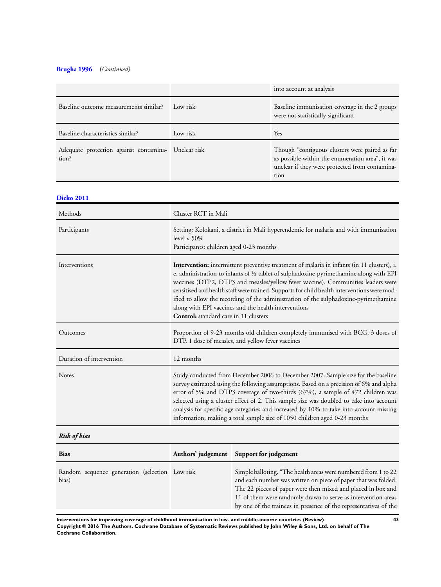# **[Brugha 1996](#page-29-0)** (*Continued)*

|                                                              |          | into account at analysis                                                                                                                                     |
|--------------------------------------------------------------|----------|--------------------------------------------------------------------------------------------------------------------------------------------------------------|
| Baseline outcome measurements similar?                       | Low risk | Baseline immunisation coverage in the 2 groups<br>were not statistically significant                                                                         |
| Baseline characteristics similar?                            | Low risk | <b>Yes</b>                                                                                                                                                   |
| Adequate protection against contamina- Unclear risk<br>tion? |          | Though "contiguous clusters were paired as far<br>as possible within the enumeration area", it was<br>unclear if they were protected from contamina-<br>tion |

#### **[Dicko 2011](#page-29-0)**

| Methods                  | Cluster RCT in Mali                                                                                                                                                                                                                                                                                                                                                                                                                                                                                                                                                             |
|--------------------------|---------------------------------------------------------------------------------------------------------------------------------------------------------------------------------------------------------------------------------------------------------------------------------------------------------------------------------------------------------------------------------------------------------------------------------------------------------------------------------------------------------------------------------------------------------------------------------|
| Participants             | Setting: Kolokani, a district in Mali hyperendemic for malaria and with immunisation<br>level $< 50\%$<br>Participants: children aged 0-23 months                                                                                                                                                                                                                                                                                                                                                                                                                               |
| Interventions            | <b>Intervention:</b> intermittent preventive treatment of malaria in infants (in 11 clusters), i.<br>e. administration to infants of 1/2 tablet of sulphadoxine-pyrimethamine along with EPI<br>vaccines (DTP2, DTP3 and measles/yellow fever vaccine). Communities leaders were<br>sensitised and health staff were trained. Supports for child health interventions were mod-<br>ified to allow the recording of the administration of the sulphadoxine-pyrimethamine<br>along with EPI vaccines and the health interventions<br><b>Control:</b> standard care in 11 clusters |
| Outcomes                 | Proportion of 9-23 months old children completely immunised with BCG, 3 doses of<br>DTP, 1 dose of measles, and yellow fever vaccines                                                                                                                                                                                                                                                                                                                                                                                                                                           |
| Duration of intervention | 12 months                                                                                                                                                                                                                                                                                                                                                                                                                                                                                                                                                                       |
| <b>Notes</b>             | Study conducted from December 2006 to December 2007. Sample size for the baseline<br>survey estimated using the following assumptions. Based on a precision of 6% and alpha<br>error of 5% and DTP3 coverage of two-thirds (67%), a sample of 472 children was<br>selected using a cluster effect of 2. This sample size was doubled to take into account<br>analysis for specific age categories and increased by 10% to take into account missing<br>information, making a total sample size of 1050 children aged 0-23 months                                                |

# *Risk of bias*

| <b>Bias</b>                                              | Authors' judgement Support for judgement                                                                                                                                                                                                                                                                                              |
|----------------------------------------------------------|---------------------------------------------------------------------------------------------------------------------------------------------------------------------------------------------------------------------------------------------------------------------------------------------------------------------------------------|
| Random sequence generation (selection Low risk)<br>bias) | Simple balloting. "The health areas were numbered from 1 to 22<br>and each number was written on piece of paper that was folded.<br>The 22 pieces of paper were then mixed and placed in box and<br>11 of them were randomly drawn to serve as intervention areas<br>by one of the trainees in presence of the representatives of the |

**Interventions for improving coverage of childhood immunisation in low- and middle-income countries (Review) 43 Copyright © 2016 The Authors. Cochrane Database of Systematic Reviews published by John Wiley & Sons, Ltd. on behalf of The Cochrane Collaboration.**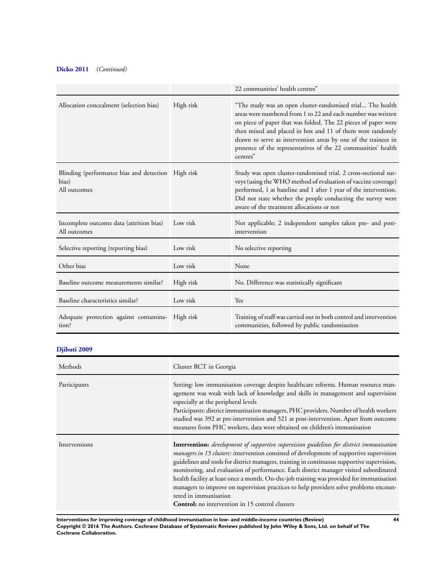# **[Dicko 2011](#page-29-0)** (*Continued)*

|                                                                             |           | 22 communities' health centres"                                                                                                                                                                                                                                                                                                                                                                          |
|-----------------------------------------------------------------------------|-----------|----------------------------------------------------------------------------------------------------------------------------------------------------------------------------------------------------------------------------------------------------------------------------------------------------------------------------------------------------------------------------------------------------------|
| Allocation concealment (selection bias)                                     | High risk | "The study was an open cluster-randomised trial The health<br>areas were numbered from 1 to 22 and each number was written<br>on piece of paper that was folded. The 22 pieces of paper were<br>then mixed and placed in box and 11 of them were randomly<br>drawn to serve as intervention areas by one of the trainees in<br>presence of the representatives of the 22 communities' health<br>centres" |
| Blinding (performance bias and detection High risk<br>bias)<br>All outcomes |           | Study was open cluster-randomised trial. 2 cross-sectional sur-<br>veys (using the WHO method of evaluation of vaccine coverage)<br>performed, 1 at baseline and 1 after 1 year of the intervention.<br>Did not state whether the people conducting the survey were<br>aware of the treatment allocations or not                                                                                         |
| Incomplete outcome data (attrition bias)<br>All outcomes                    | Low risk  | Not applicable; 2 independent samples taken pre- and post-<br>intervention                                                                                                                                                                                                                                                                                                                               |
| Selective reporting (reporting bias)                                        | Low risk  | No selective reporting                                                                                                                                                                                                                                                                                                                                                                                   |
| Other bias                                                                  | Low risk  | None                                                                                                                                                                                                                                                                                                                                                                                                     |
| Baseline outcome measurements similar?                                      | High risk | No. Difference was statistically significant                                                                                                                                                                                                                                                                                                                                                             |
| Baseline characteristics similar?                                           | Low risk  | Yes                                                                                                                                                                                                                                                                                                                                                                                                      |
| Adequate protection against contamina- High risk<br>tion?                   |           | Training of staff was carried out in both control and intervention<br>communities, followed by public randomisation                                                                                                                                                                                                                                                                                      |

## **[Djibuti 2009](#page-29-0)**

| Methods       | Cluster RCT in Georgia                                                                                                                                                                                                                                                                                                                                                                                                                                                                                                                                                                                                                              |
|---------------|-----------------------------------------------------------------------------------------------------------------------------------------------------------------------------------------------------------------------------------------------------------------------------------------------------------------------------------------------------------------------------------------------------------------------------------------------------------------------------------------------------------------------------------------------------------------------------------------------------------------------------------------------------|
| Participants  | Setting: low immunisation coverage despite healthcare reforms. Human resource man-<br>agement was weak with lack of knowledge and skills in management and supervision<br>especially at the peripheral levels<br>Participants: district immunisation managers, PHC providers. Number of health workers<br>studied was 392 at pre-intervention and 521 at post-intervention. Apart from outcome<br>measures from PHC workers, data were obtained on children's immunisation                                                                                                                                                                          |
| Interventions | Intervention: development of supportive supervision guidelines for district immunisation<br>managers in 15 clusters: intervention consisted of development of supportive supervision<br>guidelines and tools for district managers, training in continuous supportive supervision,<br>monitoring, and evaluation of performance. Each district manager visited subordinated<br>health facility at least once a month. On-the-job training was provided for immunisation<br>managers to improve on supervision practices to help providers solve problems encoun-<br>tered in immunisation<br><b>Control:</b> no intervention in 15 control clusters |

**Interventions for improving coverage of childhood immunisation in low- and middle-income countries (Review) 44 Copyright © 2016 The Authors. Cochrane Database of Systematic Reviews published by John Wiley & Sons, Ltd. on behalf of The Cochrane Collaboration.**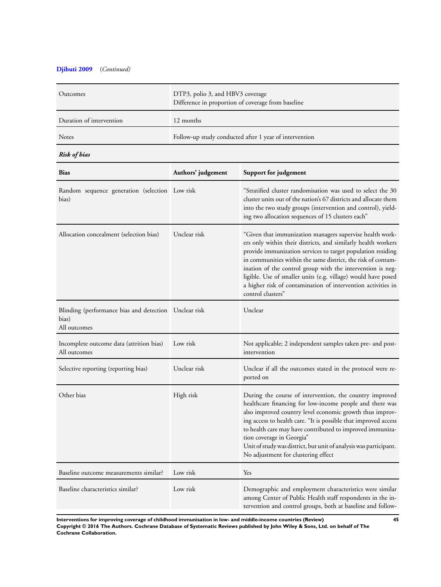# **[Djibuti 2009](#page-29-0)** (*Continued)*

| Outcomes                                                                       | DTP3, polio 3, and HBV3 coverage<br>Difference in proportion of coverage from baseline |                                                                                                                                                                                                                                                                                                                                                                                                                                                                              |  |
|--------------------------------------------------------------------------------|----------------------------------------------------------------------------------------|------------------------------------------------------------------------------------------------------------------------------------------------------------------------------------------------------------------------------------------------------------------------------------------------------------------------------------------------------------------------------------------------------------------------------------------------------------------------------|--|
| Duration of intervention                                                       | 12 months                                                                              |                                                                                                                                                                                                                                                                                                                                                                                                                                                                              |  |
| Notes                                                                          |                                                                                        | Follow-up study conducted after 1 year of intervention                                                                                                                                                                                                                                                                                                                                                                                                                       |  |
| <b>Risk of bias</b>                                                            |                                                                                        |                                                                                                                                                                                                                                                                                                                                                                                                                                                                              |  |
| <b>Bias</b>                                                                    | Authors' judgement                                                                     | Support for judgement                                                                                                                                                                                                                                                                                                                                                                                                                                                        |  |
| Random sequence generation (selection Low risk<br>bias)                        |                                                                                        | "Stratified cluster randomisation was used to select the 30<br>cluster units out of the nation's 67 districts and allocate them<br>into the two study groups (intervention and control), yield-<br>ing two allocation sequences of 15 clusters each"                                                                                                                                                                                                                         |  |
| Allocation concealment (selection bias)                                        | Unclear risk                                                                           | "Given that immunization managers supervise health work-<br>ers only within their districts, and similarly health workers<br>provide immunization services to target population residing<br>in communities within the same district, the risk of contam-<br>ination of the control group with the intervention is neg-<br>ligible. Use of smaller units (e.g. village) would have posed<br>a higher risk of contamination of intervention activities in<br>control clusters" |  |
| Blinding (performance bias and detection Unclear risk<br>bias)<br>All outcomes |                                                                                        | Unclear                                                                                                                                                                                                                                                                                                                                                                                                                                                                      |  |
| Incomplete outcome data (attrition bias)<br>All outcomes                       | Low risk                                                                               | Not applicable; 2 independent samples taken pre- and post-<br>intervention                                                                                                                                                                                                                                                                                                                                                                                                   |  |
| Selective reporting (reporting bias)                                           | Unclear risk                                                                           | Unclear if all the outcomes stated in the protocol were re-<br>ported on                                                                                                                                                                                                                                                                                                                                                                                                     |  |
| Other bias                                                                     | High risk                                                                              | During the course of intervention, the country improved<br>healthcare financing for low-income people and there was<br>also improved country level economic growth thus improv-<br>ing access to health care. "It is possible that improved access<br>to health care may have contributed to improved immuniza-<br>tion coverage in Georgia"<br>Unit of study was district, but unit of analysis was participant.<br>No adjustment for clustering effect                     |  |
| Baseline outcome measurements similar?                                         | Low risk                                                                               | Yes                                                                                                                                                                                                                                                                                                                                                                                                                                                                          |  |
| Baseline characteristics similar?                                              | Low risk                                                                               | Demographic and employment characteristics were similar<br>among Center of Public Health staff respondents in the in-<br>tervention and control groups, both at baseline and follow-                                                                                                                                                                                                                                                                                         |  |

**Interventions for improving coverage of childhood immunisation in low- and middle-income countries (Review) 45 Copyright © 2016 The Authors. Cochrane Database of Systematic Reviews published by John Wiley & Sons, Ltd. on behalf of The Cochrane Collaboration.**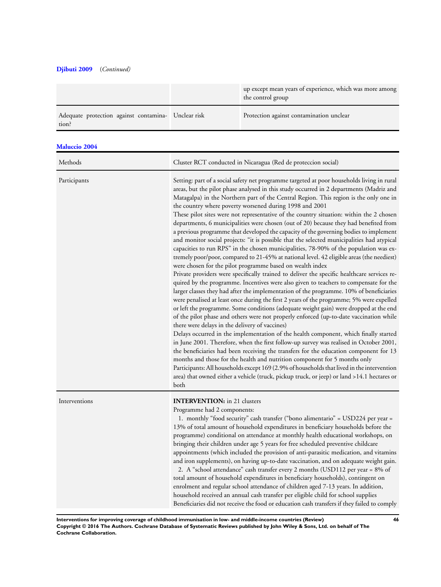# **[Djibuti 2009](#page-29-0)** (*Continued)*

|                                                              | up except mean years of experience, which was more among<br>the control group |
|--------------------------------------------------------------|-------------------------------------------------------------------------------|
| Adequate protection against contamina- Unclear risk<br>tion? | Protection against contamination unclear                                      |

## **[Maluccio 2004](#page-29-0)**

| Methods       | Cluster RCT conducted in Nicaragua (Red de proteccion social)                                                                                                                                                                                                                                                                                                                                                                                                                                                                                                                                                                                                                                                                                                                                                                                                                                                                                                                                                                                                                                                                                                                                                                                                                                                                                                                                                                                                                                                                                                                                                                                                                                                                                                                                                                                                                                                                                                                                                                                                                                                                                           |
|---------------|---------------------------------------------------------------------------------------------------------------------------------------------------------------------------------------------------------------------------------------------------------------------------------------------------------------------------------------------------------------------------------------------------------------------------------------------------------------------------------------------------------------------------------------------------------------------------------------------------------------------------------------------------------------------------------------------------------------------------------------------------------------------------------------------------------------------------------------------------------------------------------------------------------------------------------------------------------------------------------------------------------------------------------------------------------------------------------------------------------------------------------------------------------------------------------------------------------------------------------------------------------------------------------------------------------------------------------------------------------------------------------------------------------------------------------------------------------------------------------------------------------------------------------------------------------------------------------------------------------------------------------------------------------------------------------------------------------------------------------------------------------------------------------------------------------------------------------------------------------------------------------------------------------------------------------------------------------------------------------------------------------------------------------------------------------------------------------------------------------------------------------------------------------|
| Participants  | Setting: part of a social safety net programme targeted at poor households living in rural<br>areas, but the pilot phase analysed in this study occurred in 2 departments (Madriz and<br>Matagalpa) in the Northern part of the Central Region. This region is the only one in<br>the country where poverty worsened during 1998 and 2001<br>These pilot sites were not representative of the country situation: within the 2 chosen<br>departments, 6 municipalities were chosen (out of 20) because they had benefited from<br>a previous programme that developed the capacity of the governing bodies to implement<br>and monitor social projects: "it is possible that the selected municipalities had atypical<br>capacities to run RPS" in the chosen municipalities, 78-90% of the population was ex-<br>tremely poor/poor, compared to 21-45% at national level. 42 eligible areas (the neediest)<br>were chosen for the pilot programme based on wealth index<br>Private providers were specifically trained to deliver the specific healthcare services re-<br>quired by the programme. Incentives were also given to teachers to compensate for the<br>larger classes they had after the implementation of the programme. 10% of beneficiaries<br>were penalised at least once during the first 2 years of the programme; 5% were expelled<br>or left the programme. Some conditions (adequate weight gain) were dropped at the end<br>of the pilot phase and others were not properly enforced (up-to-date vaccination while<br>there were delays in the delivery of vaccines)<br>Delays occurred in the implementation of the health component, which finally started<br>in June 2001. Therefore, when the first follow-up survey was realised in October 2001,<br>the beneficiaries had been receiving the transfers for the education component for 13<br>months and those for the health and nutrition component for 5 months only<br>Participants: All households except 169 (2.9% of households that lived in the intervention<br>area) that owned either a vehicle (truck, pickup truck, or jeep) or land >14.1 hectares or<br>both |
| Interventions | <b>INTERVENTION:</b> in 21 clusters<br>Programme had 2 components:<br>1. monthly "food security" cash transfer ("bono alimentario" = USD224 per year =<br>13% of total amount of household expenditures in beneficiary households before the<br>programme) conditional on attendance at monthly health educational workshops, on<br>bringing their children under age 5 years for free scheduled preventive childcare<br>appointments (which included the provision of anti-parasitic medication, and vitamins<br>and iron supplements), on having up-to-date vaccination, and on adequate weight gain.<br>2. A "school attendance" cash transfer every 2 months (USD112 per year = 8% of<br>total amount of household expenditures in beneficiary households), contingent on<br>enrolment and regular school attendance of children aged 7-13 years. In addition,<br>household received an annual cash transfer per eligible child for school supplies<br>Beneficiaries did not receive the food or education cash transfers if they failed to comply                                                                                                                                                                                                                                                                                                                                                                                                                                                                                                                                                                                                                                                                                                                                                                                                                                                                                                                                                                                                                                                                                                  |

**Interventions for improving coverage of childhood immunisation in low- and middle-income countries (Review) 46 Copyright © 2016 The Authors. Cochrane Database of Systematic Reviews published by John Wiley & Sons, Ltd. on behalf of The Cochrane Collaboration.**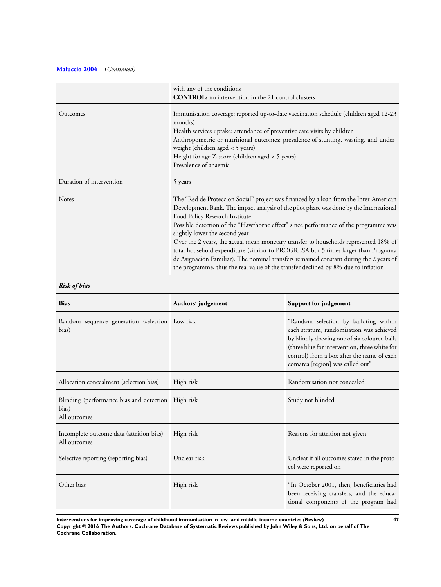# **[Maluccio 2004](#page-29-0)** (*Continued)*

|                          | with any of the conditions                                                                                                                                                                                                                                                                                                                                                                                                                                                                                                                                                                                                                                                                              |  |
|--------------------------|---------------------------------------------------------------------------------------------------------------------------------------------------------------------------------------------------------------------------------------------------------------------------------------------------------------------------------------------------------------------------------------------------------------------------------------------------------------------------------------------------------------------------------------------------------------------------------------------------------------------------------------------------------------------------------------------------------|--|
|                          | <b>CONTROL:</b> no intervention in the 21 control clusters                                                                                                                                                                                                                                                                                                                                                                                                                                                                                                                                                                                                                                              |  |
| Outcomes                 | Immunisation coverage: reported up-to-date vaccination schedule (children aged 12-23<br>months)<br>Health services uptake: attendance of preventive care visits by children<br>Anthropometric or nutritional outcomes: prevalence of stunting, wasting, and under-<br>weight (children aged < 5 years)<br>Height for age Z-score (children aged < 5 years)<br>Prevalence of anaemia                                                                                                                                                                                                                                                                                                                     |  |
| Duration of intervention | 5 years                                                                                                                                                                                                                                                                                                                                                                                                                                                                                                                                                                                                                                                                                                 |  |
| <b>Notes</b>             | The "Red de Proteccion Social" project was financed by a loan from the Inter-American<br>Development Bank. The impact analysis of the pilot phase was done by the International<br>Food Policy Research Institute<br>Possible detection of the "Hawthorne effect" since performance of the programme was<br>slightly lower the second year<br>Over the 2 years, the actual mean monetary transfer to households represented 18% of<br>total household expenditure (similar to PROGRESA but 5 times larger than Programa<br>de Asignación Familiar). The nominal transfers remained constant during the 2 years of<br>the programme, thus the real value of the transfer declined by 8% due to inflation |  |

## *Risk of bias*

| <b>Bias</b>                                                                 | Authors' judgement | Support for judgement                                                                                                                                                                                                                                                |
|-----------------------------------------------------------------------------|--------------------|----------------------------------------------------------------------------------------------------------------------------------------------------------------------------------------------------------------------------------------------------------------------|
| Random sequence generation (selection Low risk<br>bias)                     |                    | "Random selection by balloting within<br>each stratum, randomisation was achieved<br>by blindly drawing one of six coloured balls<br>(three blue for intervention, three white for<br>control) from a box after the name of each<br>comarca [region] was called out" |
| Allocation concealment (selection bias)                                     | High risk          | Randomisation not concealed                                                                                                                                                                                                                                          |
| Blinding (performance bias and detection High risk<br>bias)<br>All outcomes |                    | Study not blinded                                                                                                                                                                                                                                                    |
| Incomplete outcome data (attrition bias)<br>All outcomes                    | High risk          | Reasons for attrition not given                                                                                                                                                                                                                                      |
| Selective reporting (reporting bias)                                        | Unclear risk       | Unclear if all outcomes stated in the proto-<br>col were reported on                                                                                                                                                                                                 |
| Other bias                                                                  | High risk          | "In October 2001, then, beneficiaries had<br>been receiving transfers, and the educa-<br>tional components of the program had                                                                                                                                        |

**Interventions for improving coverage of childhood immunisation in low- and middle-income countries (Review) 47 Copyright © 2016 The Authors. Cochrane Database of Systematic Reviews published by John Wiley & Sons, Ltd. on behalf of The Cochrane Collaboration.**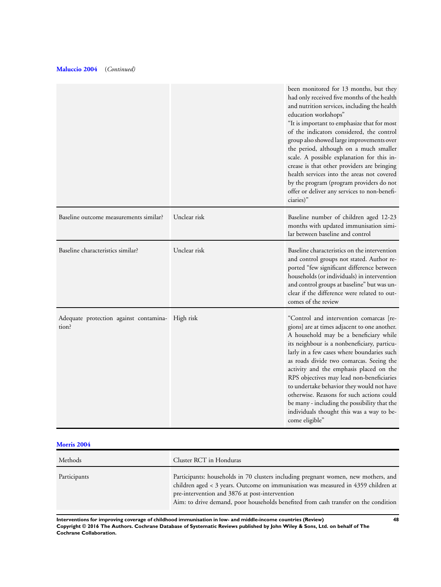# **[Maluccio 2004](#page-29-0)** (*Continued)*

|                                                 |              | been monitored for 13 months, but they<br>had only received five months of the health<br>and nutrition services, including the health<br>education workshops"<br>"It is important to emphasize that for most<br>of the indicators considered, the control<br>group also showed large improvements over<br>the period, although on a much smaller<br>scale. A possible explanation for this in-<br>crease is that other providers are bringing<br>health services into the areas not covered<br>by the program (program providers do not<br>offer or deliver any services to non-benefi-<br>ciaries)" |
|-------------------------------------------------|--------------|------------------------------------------------------------------------------------------------------------------------------------------------------------------------------------------------------------------------------------------------------------------------------------------------------------------------------------------------------------------------------------------------------------------------------------------------------------------------------------------------------------------------------------------------------------------------------------------------------|
| Baseline outcome measurements similar?          | Unclear risk | Baseline number of children aged 12-23<br>months with updated immunisation simi-<br>lar between baseline and control                                                                                                                                                                                                                                                                                                                                                                                                                                                                                 |
| Baseline characteristics similar?               | Unclear risk | Baseline characteristics on the intervention<br>and control groups not stated. Author re-<br>ported "few significant difference between<br>households (or individuals) in intervention<br>and control groups at baseline" but was un-<br>clear if the difference were related to out-<br>comes of the review                                                                                                                                                                                                                                                                                         |
| Adequate protection against contamina-<br>tion? | High risk    | "Control and intervention comarcas [re-<br>gions] are at times adjacent to one another.<br>A household may be a beneficiary while<br>its neighbour is a nonbeneficiary, particu-<br>larly in a few cases where boundaries such<br>as roads divide two comarcas. Seeing the<br>activity and the emphasis placed on the<br>RPS objectives may lead non-beneficiaries<br>to undertake behavior they would not have<br>otherwise. Reasons for such actions could<br>be many - including the possibility that the<br>individuals thought this was a way to be-<br>come eligible"                          |

## **[Morris 2004](#page-29-0)**

| Methods      | Cluster RCT in Honduras                                                                                                                                                                                                                                                                                          |
|--------------|------------------------------------------------------------------------------------------------------------------------------------------------------------------------------------------------------------------------------------------------------------------------------------------------------------------|
| Participants | Participants: households in 70 clusters including pregnant women, new mothers, and<br>children aged < 3 years. Outcome on immunisation was measured in 4359 children at<br>pre-intervention and 3876 at post-intervention<br>Aim: to drive demand, poor households benefited from cash transfer on the condition |

**Interventions for improving coverage of childhood immunisation in low- and middle-income countries (Review) 48**

**Copyright © 2016 The Authors. Cochrane Database of Systematic Reviews published by John Wiley & Sons, Ltd. on behalf of The Cochrane Collaboration.**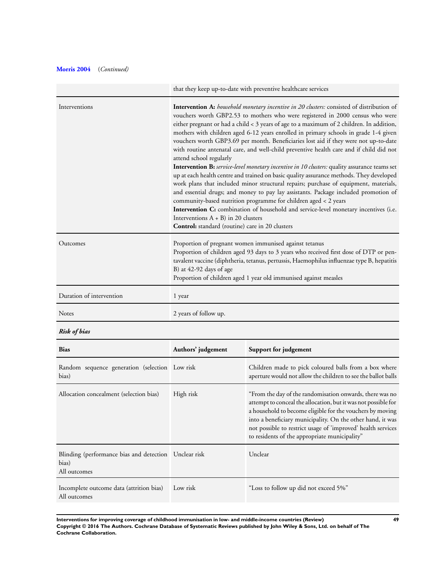# **[Morris 2004](#page-29-0)** (*Continued)*

|                                                         |                                                                                                                                                                                                                                                                                                                                                                                                                                                                                                                                                                                                                                                                                                                                                                                                                                                                                                                                                                                                                                                                                                                                                                                                                              | that they keep up-to-date with preventive healthcare services                                                          |
|---------------------------------------------------------|------------------------------------------------------------------------------------------------------------------------------------------------------------------------------------------------------------------------------------------------------------------------------------------------------------------------------------------------------------------------------------------------------------------------------------------------------------------------------------------------------------------------------------------------------------------------------------------------------------------------------------------------------------------------------------------------------------------------------------------------------------------------------------------------------------------------------------------------------------------------------------------------------------------------------------------------------------------------------------------------------------------------------------------------------------------------------------------------------------------------------------------------------------------------------------------------------------------------------|------------------------------------------------------------------------------------------------------------------------|
| Interventions                                           | Intervention A: household monetary incentive in 20 clusters: consisted of distribution of<br>vouchers worth GBP2.53 to mothers who were registered in 2000 census who were<br>either pregnant or had a child < 3 years of age to a maximum of 2 children. In addition,<br>mothers with children aged 6-12 years enrolled in primary schools in grade 1-4 given<br>vouchers worth GBP3.69 per month. Beneficiaries lost aid if they were not up-to-date<br>with routine antenatal care, and well-child preventive health care and if child did not<br>attend school regularly<br>Intervention B: service-level monetary incentive in 10 clusters: quality assurance teams set<br>up at each health centre and trained on basic quality assurance methods. They developed<br>work plans that included minor structural repairs; purchase of equipment, materials,<br>and essential drugs; and money to pay lay assistants. Package included promotion of<br>community-based nutrition programme for children aged < 2 years<br><b>Intervention C:</b> combination of household and service-level monetary incentives (i.e.<br>Interventions $A + B$ ) in 20 clusters<br><b>Control:</b> standard (routine) care in 20 clusters |                                                                                                                        |
| Outcomes                                                | Proportion of pregnant women immunised against tetanus<br>Proportion of children aged 93 days to 3 years who received first dose of DTP or pen-<br>tavalent vaccine (diphtheria, tetanus, pertussis, Haemophilus influenzae type B, hepatitis<br>B) at 42-92 days of age<br>Proportion of children aged 1 year old immunised against measles                                                                                                                                                                                                                                                                                                                                                                                                                                                                                                                                                                                                                                                                                                                                                                                                                                                                                 |                                                                                                                        |
| Duration of intervention                                | 1 year                                                                                                                                                                                                                                                                                                                                                                                                                                                                                                                                                                                                                                                                                                                                                                                                                                                                                                                                                                                                                                                                                                                                                                                                                       |                                                                                                                        |
| <b>Notes</b>                                            | 2 years of follow up.                                                                                                                                                                                                                                                                                                                                                                                                                                                                                                                                                                                                                                                                                                                                                                                                                                                                                                                                                                                                                                                                                                                                                                                                        |                                                                                                                        |
| <b>Risk of bias</b>                                     |                                                                                                                                                                                                                                                                                                                                                                                                                                                                                                                                                                                                                                                                                                                                                                                                                                                                                                                                                                                                                                                                                                                                                                                                                              |                                                                                                                        |
| <b>Bias</b>                                             | Authors' judgement                                                                                                                                                                                                                                                                                                                                                                                                                                                                                                                                                                                                                                                                                                                                                                                                                                                                                                                                                                                                                                                                                                                                                                                                           | Support for judgement                                                                                                  |
| Random sequence generation (selection Low risk<br>bias) |                                                                                                                                                                                                                                                                                                                                                                                                                                                                                                                                                                                                                                                                                                                                                                                                                                                                                                                                                                                                                                                                                                                                                                                                                              | Children made to pick coloured balls from a box where<br>aperture would not allow the children to see the ballot balls |

| Allocation concealment (selection bias)                                        | High risk | "From the day of the randomisation onwards, there was no<br>attempt to conceal the allocation, but it was not possible for<br>a household to become eligible for the vouchers by moving<br>into a beneficiary municipality. On the other hand, it was<br>not possible to restrict usage of 'improved' health services<br>to residents of the appropriate municipality" |
|--------------------------------------------------------------------------------|-----------|------------------------------------------------------------------------------------------------------------------------------------------------------------------------------------------------------------------------------------------------------------------------------------------------------------------------------------------------------------------------|
| Blinding (performance bias and detection Unclear risk<br>bias)<br>All outcomes |           | Unclear                                                                                                                                                                                                                                                                                                                                                                |
| Incomplete outcome data (attrition bias)<br>All outcomes                       | Low risk  | "Loss to follow up did not exceed 5%"                                                                                                                                                                                                                                                                                                                                  |

**Interventions for improving coverage of childhood immunisation in low- and middle-income countries (Review) 49 Copyright © 2016 The Authors. Cochrane Database of Systematic Reviews published by John Wiley & Sons, Ltd. on behalf of The Cochrane Collaboration.**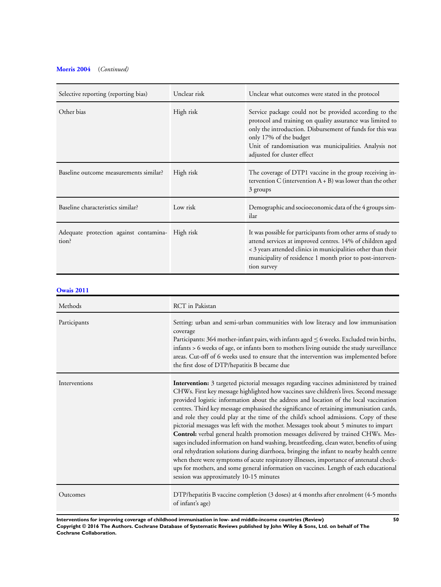# **[Morris 2004](#page-29-0)** (*Continued)*

| Selective reporting (reporting bias)                      | Unclear risk | Unclear what outcomes were stated in the protocol                                                                                                                                                                                                                                                   |
|-----------------------------------------------------------|--------------|-----------------------------------------------------------------------------------------------------------------------------------------------------------------------------------------------------------------------------------------------------------------------------------------------------|
| Other bias                                                | High risk    | Service package could not be provided according to the<br>protocol and training on quality assurance was limited to<br>only the introduction. Disbursement of funds for this was<br>only 17% of the budget<br>Unit of randomisation was municipalities. Analysis not<br>adjusted for cluster effect |
| Baseline outcome measurements similar?                    | High risk    | The coverage of DTP1 vaccine in the group receiving in-<br>tervention C (intervention $A + B$ ) was lower than the other<br>3 groups                                                                                                                                                                |
| Baseline characteristics similar?                         | Low risk     | Demographic and socioeconomic data of the 4 groups sim-<br>ilar                                                                                                                                                                                                                                     |
| Adequate protection against contamina- High risk<br>tion? |              | It was possible for participants from other arms of study to<br>attend services at improved centres. 14% of children aged<br>< 3 years attended clinics in municipalities other than their<br>municipality of residence 1 month prior to post-interven-<br>tion survey                              |

## **[Owais 2011](#page-29-0)**

| Methods       | RCT in Pakistan                                                                                                                                                                                                                                                                                                                                                                                                                                                                                                                                                                                                                                                                                                                                                                                                                                                                                                                                                                                                                                                   |
|---------------|-------------------------------------------------------------------------------------------------------------------------------------------------------------------------------------------------------------------------------------------------------------------------------------------------------------------------------------------------------------------------------------------------------------------------------------------------------------------------------------------------------------------------------------------------------------------------------------------------------------------------------------------------------------------------------------------------------------------------------------------------------------------------------------------------------------------------------------------------------------------------------------------------------------------------------------------------------------------------------------------------------------------------------------------------------------------|
| Participants  | Setting: urban and semi-urban communities with low literacy and low immunisation<br>coverage<br>Participants: 364 mother-infant pairs, with infants aged $\leq$ 6 weeks. Excluded twin births,<br>infants > 6 weeks of age, or infants born to mothers living outside the study surveillance<br>areas. Cut-off of 6 weeks used to ensure that the intervention was implemented before<br>the first dose of DTP/hepatitis B became due                                                                                                                                                                                                                                                                                                                                                                                                                                                                                                                                                                                                                             |
| Interventions | Intervention: 3 targeted pictorial messages regarding vaccines administered by trained<br>CHWs. First key message highlighted how vaccines save children's lives. Second message<br>provided logistic information about the address and location of the local vaccination<br>centres. Third key message emphasised the significance of retaining immunisation cards,<br>and role they could play at the time of the child's school admissions. Copy of these<br>pictorial messages was left with the mother. Messages took about 5 minutes to impart<br>Control: verbal general health promotion messages delivered by trained CHWs. Mes-<br>sages included information on hand washing, breastfeeding, clean water, benefits of using<br>oral rehydration solutions during diarrhoea, bringing the infant to nearby health centre<br>when there were symptoms of acute respiratory illnesses, importance of antenatal check-<br>ups for mothers, and some general information on vaccines. Length of each educational<br>session was approximately 10-15 minutes |
| Outcomes      | DTP/hepatitis B vaccine completion (3 doses) at 4 months after enrolment (4-5 months<br>of infant's age)                                                                                                                                                                                                                                                                                                                                                                                                                                                                                                                                                                                                                                                                                                                                                                                                                                                                                                                                                          |

**Interventions for improving coverage of childhood immunisation in low- and middle-income countries (Review) 50 Copyright © 2016 The Authors. Cochrane Database of Systematic Reviews published by John Wiley & Sons, Ltd. on behalf of The Cochrane Collaboration.**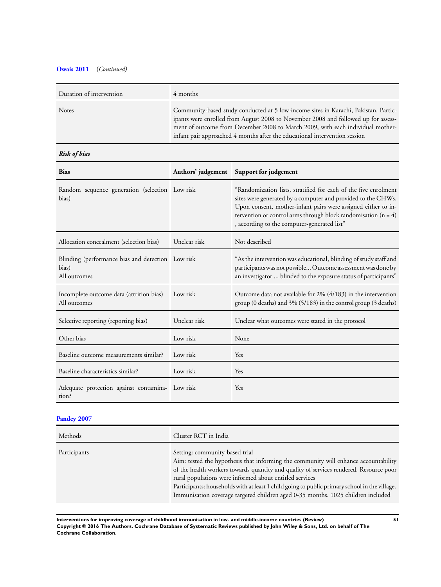# **[Owais 2011](#page-29-0)** (*Continued)*

| Duration of intervention | 4 months                                                                                                                                                                                                                                                                                                                                  |
|--------------------------|-------------------------------------------------------------------------------------------------------------------------------------------------------------------------------------------------------------------------------------------------------------------------------------------------------------------------------------------|
| <b>Notes</b>             | Community-based study conducted at 5 low-income sites in Karachi, Pakistan. Partic-<br>ipants were enrolled from August 2008 to November 2008 and followed up for assess-<br>ment of outcome from December 2008 to March 2009, with each individual mother-<br>infant pair approached 4 months after the educational intervention session |

# *Risk of bias*

| <b>Bias</b>                                                                | Authors' judgement | Support for judgement                                                                                                                                                                                                                                                                                               |
|----------------------------------------------------------------------------|--------------------|---------------------------------------------------------------------------------------------------------------------------------------------------------------------------------------------------------------------------------------------------------------------------------------------------------------------|
| Random sequence generation (selection Low risk<br>bias)                    |                    | "Randomization lists, stratified for each of the five enrolment<br>sites were generated by a computer and provided to the CHWs.<br>Upon consent, mother-infant pairs were assigned either to in-<br>tervention or control arms through block randomisation $(n = 4)$<br>, according to the computer-generated list" |
| Allocation concealment (selection bias)                                    | Unclear risk       | Not described                                                                                                                                                                                                                                                                                                       |
| Blinding (performance bias and detection Low risk<br>bias)<br>All outcomes |                    | "As the intervention was educational, blinding of study staff and<br>participants was not possible Outcome assessment was done by<br>an investigator  blinded to the exposure status of participants"                                                                                                               |
| Incomplete outcome data (attrition bias)<br>All outcomes                   | Low risk           | Outcome data not available for $2\%$ (4/183) in the intervention<br>group (0 deaths) and 3% (5/183) in the control group (3 deaths)                                                                                                                                                                                 |
| Selective reporting (reporting bias)                                       | Unclear risk       | Unclear what outcomes were stated in the protocol                                                                                                                                                                                                                                                                   |
| Other bias                                                                 | Low risk           | None                                                                                                                                                                                                                                                                                                                |
| Baseline outcome measurements similar?                                     | Low risk           | Yes                                                                                                                                                                                                                                                                                                                 |
| Baseline characteristics similar?                                          | Low risk           | Yes                                                                                                                                                                                                                                                                                                                 |
| Adequate protection against contamina- Low risk<br>tion?                   |                    | Yes                                                                                                                                                                                                                                                                                                                 |

# **[Pandey 2007](#page-29-0)**

| Methods      | Cluster RCT in India                                                                                                                                                                                                                                                                                                                                                                                                                                            |
|--------------|-----------------------------------------------------------------------------------------------------------------------------------------------------------------------------------------------------------------------------------------------------------------------------------------------------------------------------------------------------------------------------------------------------------------------------------------------------------------|
| Participants | Setting: community-based trial<br>Aim: tested the hypothesis that informing the community will enhance accountability<br>of the health workers towards quantity and quality of services rendered. Resource poor<br>rural populations were informed about entitled services<br>Participants: households with at least 1 child going to public primary school in the village.<br>Immunisation coverage targeted children aged 0-35 months. 1025 children included |

**Interventions for improving coverage of childhood immunisation in low- and middle-income countries (Review) 51 Copyright © 2016 The Authors. Cochrane Database of Systematic Reviews published by John Wiley & Sons, Ltd. on behalf of The Cochrane Collaboration.**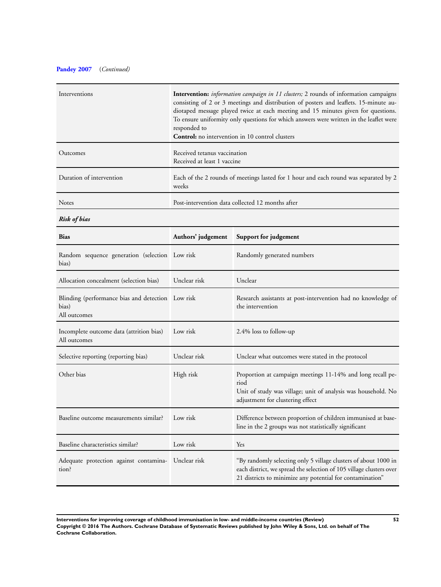# **[Pandey 2007](#page-29-0)** (*Continued)*

| Interventions                                                              | Intervention: information campaign in 11 clusters; 2 rounds of information campaigns<br>consisting of 2 or 3 meetings and distribution of posters and leaflets. 15-minute au-<br>diotaped message played twice at each meeting and 15 minutes given for questions.<br>To ensure uniformity only questions for which answers were written in the leaflet were<br>responded to<br>Control: no intervention in 10 control clusters |                                                                                                                                                                                                     |  |
|----------------------------------------------------------------------------|---------------------------------------------------------------------------------------------------------------------------------------------------------------------------------------------------------------------------------------------------------------------------------------------------------------------------------------------------------------------------------------------------------------------------------|-----------------------------------------------------------------------------------------------------------------------------------------------------------------------------------------------------|--|
| Outcomes                                                                   |                                                                                                                                                                                                                                                                                                                                                                                                                                 | Received tetanus vaccination<br>Received at least 1 vaccine                                                                                                                                         |  |
| Duration of intervention                                                   | weeks                                                                                                                                                                                                                                                                                                                                                                                                                           | Each of the 2 rounds of meetings lasted for 1 hour and each round was separated by 2                                                                                                                |  |
| Notes                                                                      |                                                                                                                                                                                                                                                                                                                                                                                                                                 | Post-intervention data collected 12 months after                                                                                                                                                    |  |
| <b>Risk of bias</b>                                                        |                                                                                                                                                                                                                                                                                                                                                                                                                                 |                                                                                                                                                                                                     |  |
| <b>Bias</b>                                                                | Authors' judgement                                                                                                                                                                                                                                                                                                                                                                                                              | Support for judgement                                                                                                                                                                               |  |
| Random sequence generation (selection Low risk<br>bias)                    |                                                                                                                                                                                                                                                                                                                                                                                                                                 | Randomly generated numbers                                                                                                                                                                          |  |
| Allocation concealment (selection bias)                                    | Unclear risk                                                                                                                                                                                                                                                                                                                                                                                                                    | Unclear                                                                                                                                                                                             |  |
| Blinding (performance bias and detection Low risk<br>bias)<br>All outcomes |                                                                                                                                                                                                                                                                                                                                                                                                                                 | Research assistants at post-intervention had no knowledge of<br>the intervention                                                                                                                    |  |
| Incomplete outcome data (attrition bias)<br>All outcomes                   | Low risk                                                                                                                                                                                                                                                                                                                                                                                                                        | 2.4% loss to follow-up                                                                                                                                                                              |  |
| Selective reporting (reporting bias)                                       | Unclear risk                                                                                                                                                                                                                                                                                                                                                                                                                    | Unclear what outcomes were stated in the protocol                                                                                                                                                   |  |
| Other bias                                                                 | High risk                                                                                                                                                                                                                                                                                                                                                                                                                       | Proportion at campaign meetings 11-14% and long recall pe-<br>riod<br>Unit of study was village; unit of analysis was household. No<br>adjustment for clustering effect                             |  |
| Baseline outcome measurements similar?                                     | Low risk                                                                                                                                                                                                                                                                                                                                                                                                                        | Difference between proportion of children immunised at base-<br>line in the 2 groups was not statistically significant                                                                              |  |
| Baseline characteristics similar?                                          | Low risk                                                                                                                                                                                                                                                                                                                                                                                                                        | Yes                                                                                                                                                                                                 |  |
| Adequate protection against contamina-<br>tion?                            | Unclear risk                                                                                                                                                                                                                                                                                                                                                                                                                    | "By randomly selecting only 5 village clusters of about 1000 in<br>each district, we spread the selection of 105 village clusters over<br>21 districts to minimize any potential for contamination" |  |

**Interventions for improving coverage of childhood immunisation in low- and middle-income countries (Review) 52 Copyright © 2016 The Authors. Cochrane Database of Systematic Reviews published by John Wiley & Sons, Ltd. on behalf of The Cochrane Collaboration.**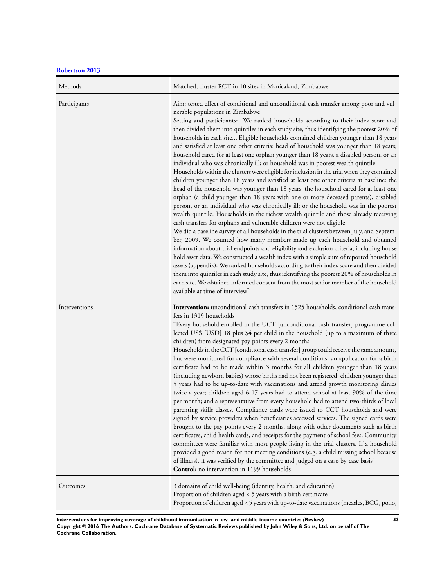**[Robertson 2013](#page-29-0)**

| Methods       | Matched, cluster RCT in 10 sites in Manicaland, Zimbabwe                                                                                                                                                                                                                                                                                                                                                                                                                                                                                                                                                                                                                                                                                                                                                                                                                                                                                                                                                                                                                                                                                                                                                                                                                                                                                                                                                                                                                                                                                                                                                                                                                                                                                                                                                                                                                                                                                                                                                |
|---------------|---------------------------------------------------------------------------------------------------------------------------------------------------------------------------------------------------------------------------------------------------------------------------------------------------------------------------------------------------------------------------------------------------------------------------------------------------------------------------------------------------------------------------------------------------------------------------------------------------------------------------------------------------------------------------------------------------------------------------------------------------------------------------------------------------------------------------------------------------------------------------------------------------------------------------------------------------------------------------------------------------------------------------------------------------------------------------------------------------------------------------------------------------------------------------------------------------------------------------------------------------------------------------------------------------------------------------------------------------------------------------------------------------------------------------------------------------------------------------------------------------------------------------------------------------------------------------------------------------------------------------------------------------------------------------------------------------------------------------------------------------------------------------------------------------------------------------------------------------------------------------------------------------------------------------------------------------------------------------------------------------------|
| Participants  | Aim: tested effect of conditional and unconditional cash transfer among poor and vul-<br>nerable populations in Zimbabwe<br>Setting and participants: "We ranked households according to their index score and<br>then divided them into quintiles in each study site, thus identifying the poorest 20% of<br>households in each site Eligible households contained children younger than 18 years<br>and satisfied at least one other criteria: head of household was younger than 18 years;<br>household cared for at least one orphan younger than 18 years, a disabled person, or an<br>individual who was chronically ill; or household was in poorest wealth quintile<br>Households within the clusters were eligible for inclusion in the trial when they contained<br>children younger than 18 years and satisfied at least one other criteria at baseline: the<br>head of the household was younger than 18 years; the household cared for at least one<br>orphan (a child younger than 18 years with one or more deceased parents), disabled<br>person, or an individual who was chronically ill; or the household was in the poorest<br>wealth quintile. Households in the richest wealth quintile and those already receiving<br>cash transfers for orphans and vulnerable children were not eligible<br>We did a baseline survey of all households in the trial clusters between July, and Septem-<br>ber, 2009. We counted how many members made up each household and obtained<br>information about trial endpoints and eligibility and exclusion criteria, including house<br>hold asset data. We constructed a wealth index with a simple sum of reported household<br>assets (appendix). We ranked households according to their index score and then divided<br>them into quintiles in each study site, thus identifying the poorest 20% of households in<br>each site. We obtained informed consent from the most senior member of the household<br>available at time of interview" |
| Interventions | Intervention: unconditional cash transfers in 1525 households, conditional cash trans-<br>fers in 1319 households<br>"Every household enrolled in the UCT [unconditional cash transfer] programme col-<br>lected US\$ [USD] 18 plus \$4 per child in the household (up to a maximum of three<br>children) from designated pay points every 2 months<br>Households in the CCT [conditional cash transfer] group could receive the same amount,<br>but were monitored for compliance with several conditions: an application for a birth<br>certificate had to be made within 3 months for all children younger than 18 years<br>(including newborn babies) whose births had not been registered; children younger than<br>5 years had to be up-to-date with vaccinations and attend growth monitoring clinics<br>twice a year; children aged 6-17 years had to attend school at least 90% of the time<br>per month; and a representative from every household had to attend two-thirds of local<br>parenting skills classes. Compliance cards were issued to CCT households and were<br>signed by service providers when beneficiaries accessed services. The signed cards were<br>brought to the pay points every 2 months, along with other documents such as birth<br>certificates, child health cards, and receipts for the payment of school fees. Community<br>committees were familiar with most people living in the trial clusters. If a household<br>provided a good reason for not meeting conditions (e.g. a child missing school because<br>of illness), it was verified by the committee and judged on a case-by-case basis"<br><b>Control:</b> no intervention in 1199 households                                                                                                                                                                                                                                                                                                         |
| Outcomes      | 3 domains of child well-being (identity, health, and education)<br>Proportion of children aged < 5 years with a birth certificate<br>Proportion of children aged < 5 years with up-to-date vaccinations (measles, BCG, polio,                                                                                                                                                                                                                                                                                                                                                                                                                                                                                                                                                                                                                                                                                                                                                                                                                                                                                                                                                                                                                                                                                                                                                                                                                                                                                                                                                                                                                                                                                                                                                                                                                                                                                                                                                                           |

**Interventions for improving coverage of childhood immunisation in low- and middle-income countries (Review) 53 Copyright © 2016 The Authors. Cochrane Database of Systematic Reviews published by John Wiley & Sons, Ltd. on behalf of The Cochrane Collaboration.**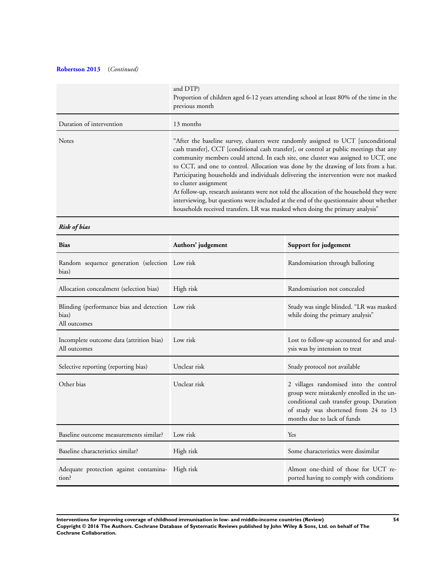## **[Robertson 2013](#page-29-0)** (*Continued)*

|                          | and DTP)<br>Proportion of children aged 6-12 years attending school at least 80% of the time in the<br>previous month                                                                                                                                                                                                                                                                                                                                                                                                                                                                                                                                                                                                                              |
|--------------------------|----------------------------------------------------------------------------------------------------------------------------------------------------------------------------------------------------------------------------------------------------------------------------------------------------------------------------------------------------------------------------------------------------------------------------------------------------------------------------------------------------------------------------------------------------------------------------------------------------------------------------------------------------------------------------------------------------------------------------------------------------|
| Duration of intervention | 13 months                                                                                                                                                                                                                                                                                                                                                                                                                                                                                                                                                                                                                                                                                                                                          |
| <b>Notes</b>             | "After the baseline survey, clusters were randomly assigned to UCT [unconditional<br>cash transfer], CCT [conditional cash transfer], or control at public meetings that any<br>community members could attend. In each site, one cluster was assigned to UCT, one<br>to CCT, and one to control. Allocation was done by the drawing of lots from a hat.<br>Participating households and individuals delivering the intervention were not masked<br>to cluster assignment<br>At follow-up, research assistants were not told the allocation of the household they were<br>interviewing, but questions were included at the end of the questionnaire about whether<br>households received transfers. LR was masked when doing the primary analysis" |

*Risk of bias*

| <b>Bias</b>                                                                | Authors' judgement | Support for judgement                                                                                                                                                                                   |
|----------------------------------------------------------------------------|--------------------|---------------------------------------------------------------------------------------------------------------------------------------------------------------------------------------------------------|
| Random sequence generation (selection Low risk<br>bias)                    |                    | Randomisation through balloting                                                                                                                                                                         |
| Allocation concealment (selection bias)                                    | High risk          | Randomisation not concealed                                                                                                                                                                             |
| Blinding (performance bias and detection Low risk<br>bias)<br>All outcomes |                    | Study was single blinded. "LR was masked<br>while doing the primary analysis"                                                                                                                           |
| Incomplete outcome data (attrition bias)<br>All outcomes                   | Low risk           | Lost to follow-up accounted for and anal-<br>ysis was by intension to treat                                                                                                                             |
| Selective reporting (reporting bias)                                       | Unclear risk       | Study protocol not available                                                                                                                                                                            |
| Other bias                                                                 | Unclear risk       | 2 villages randomised into the control<br>group were mistakenly enrolled in the un-<br>conditional cash transfer group. Duration<br>of study was shortened from 24 to 13<br>months due to lack of funds |
| Baseline outcome measurements similar?                                     | Low risk           | Yes                                                                                                                                                                                                     |
| Baseline characteristics similar?                                          | High risk          | Some characteristics were dissimilar                                                                                                                                                                    |
| Adequate protection against contamina-<br>tion?                            | High risk          | Almost one-third of those for UCT re-<br>ported having to comply with conditions                                                                                                                        |

**Interventions for improving coverage of childhood immunisation in low- and middle-income countries (Review) 54 Copyright © 2016 The Authors. Cochrane Database of Systematic Reviews published by John Wiley & Sons, Ltd. on behalf of The Cochrane Collaboration.**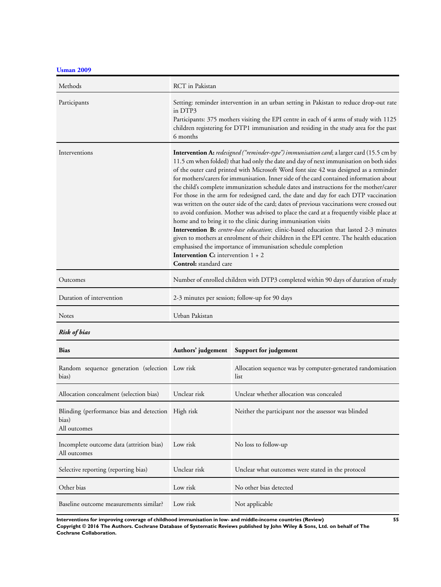**[Usman 2009](#page-29-0)**

| Methods                                                                     | <b>RCT</b> in Pakistan                                                                                                                                                                                                                                                                                                                                                                                                                                                                                                                                                                                                                                                                                                                                                                                                                                                                                                                                                                                                                                                                                                                                    |                                                                     |
|-----------------------------------------------------------------------------|-----------------------------------------------------------------------------------------------------------------------------------------------------------------------------------------------------------------------------------------------------------------------------------------------------------------------------------------------------------------------------------------------------------------------------------------------------------------------------------------------------------------------------------------------------------------------------------------------------------------------------------------------------------------------------------------------------------------------------------------------------------------------------------------------------------------------------------------------------------------------------------------------------------------------------------------------------------------------------------------------------------------------------------------------------------------------------------------------------------------------------------------------------------|---------------------------------------------------------------------|
| Participants                                                                | Setting: reminder intervention in an urban setting in Pakistan to reduce drop-out rate<br>in DTP3<br>Participants: 375 mothers visiting the EPI centre in each of 4 arms of study with 1125<br>children registering for DTP1 immunisation and residing in the study area for the past<br>6 months                                                                                                                                                                                                                                                                                                                                                                                                                                                                                                                                                                                                                                                                                                                                                                                                                                                         |                                                                     |
| Interventions                                                               | Intervention A: redesigned ("reminder-type") immunisation card; a larger card (15.5 cm by<br>11.5 cm when folded) that had only the date and day of next immunisation on both sides<br>of the outer card printed with Microsoft Word font size 42 was designed as a reminder<br>for mothers/carers for immunisation. Inner side of the card contained information about<br>the child's complete immunization schedule dates and instructions for the mother/carer<br>For those in the arm for redesigned card, the date and day for each DTP vaccination<br>was written on the outer side of the card; dates of previous vaccinations were crossed out<br>to avoid confusion. Mother was advised to place the card at a frequently visible place at<br>home and to bring it to the clinic during immunisation visits<br>Intervention B: centre-base education; clinic-based education that lasted 2-3 minutes<br>given to mothers at enrolment of their children in the EPI centre. The health education<br>emphasised the importance of immunisation schedule completion<br><b>Intervention C:</b> intervention $1 + 2$<br><b>Control:</b> standard care |                                                                     |
| Outcomes                                                                    | Number of enrolled children with DTP3 completed within 90 days of duration of study                                                                                                                                                                                                                                                                                                                                                                                                                                                                                                                                                                                                                                                                                                                                                                                                                                                                                                                                                                                                                                                                       |                                                                     |
| Duration of intervention                                                    | 2-3 minutes per session; follow-up for 90 days                                                                                                                                                                                                                                                                                                                                                                                                                                                                                                                                                                                                                                                                                                                                                                                                                                                                                                                                                                                                                                                                                                            |                                                                     |
| Notes                                                                       | Urban Pakistan                                                                                                                                                                                                                                                                                                                                                                                                                                                                                                                                                                                                                                                                                                                                                                                                                                                                                                                                                                                                                                                                                                                                            |                                                                     |
| <b>Risk of bias</b>                                                         |                                                                                                                                                                                                                                                                                                                                                                                                                                                                                                                                                                                                                                                                                                                                                                                                                                                                                                                                                                                                                                                                                                                                                           |                                                                     |
| <b>Bias</b>                                                                 | Authors' judgement                                                                                                                                                                                                                                                                                                                                                                                                                                                                                                                                                                                                                                                                                                                                                                                                                                                                                                                                                                                                                                                                                                                                        | Support for judgement                                               |
| Random sequence generation (selection Low risk<br>bias)                     |                                                                                                                                                                                                                                                                                                                                                                                                                                                                                                                                                                                                                                                                                                                                                                                                                                                                                                                                                                                                                                                                                                                                                           | Allocation sequence was by computer-generated randomisation<br>list |
| Allocation concealment (selection bias)                                     | Unclear risk                                                                                                                                                                                                                                                                                                                                                                                                                                                                                                                                                                                                                                                                                                                                                                                                                                                                                                                                                                                                                                                                                                                                              | Unclear whether allocation was concealed                            |
| Blinding (performance bias and detection High risk<br>bias)<br>All outcomes |                                                                                                                                                                                                                                                                                                                                                                                                                                                                                                                                                                                                                                                                                                                                                                                                                                                                                                                                                                                                                                                                                                                                                           | Neither the participant nor the assessor was blinded                |
| Incomplete outcome data (attrition bias)<br>All outcomes                    | Low risk                                                                                                                                                                                                                                                                                                                                                                                                                                                                                                                                                                                                                                                                                                                                                                                                                                                                                                                                                                                                                                                                                                                                                  | No loss to follow-up                                                |
| Selective reporting (reporting bias)                                        | Unclear risk                                                                                                                                                                                                                                                                                                                                                                                                                                                                                                                                                                                                                                                                                                                                                                                                                                                                                                                                                                                                                                                                                                                                              | Unclear what outcomes were stated in the protocol                   |
| Other bias<br>Low risk                                                      |                                                                                                                                                                                                                                                                                                                                                                                                                                                                                                                                                                                                                                                                                                                                                                                                                                                                                                                                                                                                                                                                                                                                                           | No other bias detected                                              |
| Baseline outcome measurements similar?                                      | Low risk                                                                                                                                                                                                                                                                                                                                                                                                                                                                                                                                                                                                                                                                                                                                                                                                                                                                                                                                                                                                                                                                                                                                                  | Not applicable                                                      |

**Interventions for improving coverage of childhood immunisation in low- and middle-income countries (Review) 55**

**Copyright © 2016 The Authors. Cochrane Database of Systematic Reviews published by John Wiley & Sons, Ltd. on behalf of The Cochrane Collaboration.**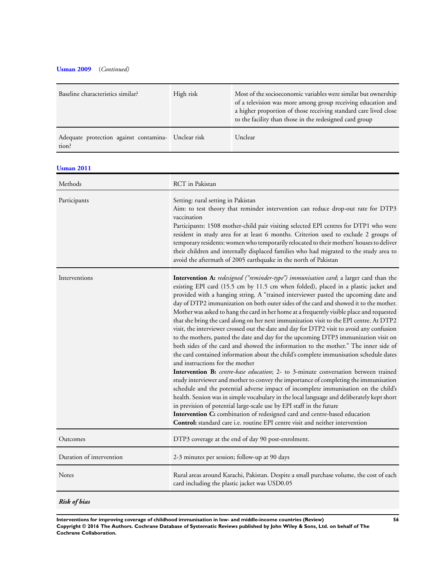# **[Usman 2009](#page-29-0)** (*Continued)*

| Baseline characteristics similar?                            | High risk | Most of the socioeconomic variables were similar but ownership<br>of a television was more among group receiving education and<br>a higher proportion of those receiving standard care lived close<br>to the facility than those in the redesigned card group |
|--------------------------------------------------------------|-----------|---------------------------------------------------------------------------------------------------------------------------------------------------------------------------------------------------------------------------------------------------------------|
| Adequate protection against contamina- Unclear risk<br>tion? |           | Unclear                                                                                                                                                                                                                                                       |

**[Usman 2011](#page-29-0)**

| Methods                  | <b>RCT</b> in Pakistan                                                                                                                                                                                                                                                                                                                                                                                                                                                                                                                                                                                                                                                                                                                                                                                                                                                                                                                                                                                                                                                                                                                                                                                                                                                                                                                                                                                                                                                                                                                                               |
|--------------------------|----------------------------------------------------------------------------------------------------------------------------------------------------------------------------------------------------------------------------------------------------------------------------------------------------------------------------------------------------------------------------------------------------------------------------------------------------------------------------------------------------------------------------------------------------------------------------------------------------------------------------------------------------------------------------------------------------------------------------------------------------------------------------------------------------------------------------------------------------------------------------------------------------------------------------------------------------------------------------------------------------------------------------------------------------------------------------------------------------------------------------------------------------------------------------------------------------------------------------------------------------------------------------------------------------------------------------------------------------------------------------------------------------------------------------------------------------------------------------------------------------------------------------------------------------------------------|
| Participants             | Setting: rural setting in Pakistan<br>Aim: to test theory that reminder intervention can reduce drop-out rate for DTP3<br>vaccination<br>Participants: 1508 mother-child pair visiting selected EPI centres for DTP1 who were<br>resident in study area for at least 6 months. Criterion used to exclude 2 groups of<br>temporary residents: women who temporarily relocated to their mothers' houses to deliver<br>their children and internally displaced families who had migrated to the study area to<br>avoid the aftermath of 2005 earthquake in the north of Pakistan                                                                                                                                                                                                                                                                                                                                                                                                                                                                                                                                                                                                                                                                                                                                                                                                                                                                                                                                                                                        |
| Interventions            | Intervention A: redesigned ("reminder-type") immunisation card; a larger card than the<br>existing EPI card (15.5 cm by 11.5 cm when folded), placed in a plastic jacket and<br>provided with a hanging string. A "trained interviewer pasted the upcoming date and<br>day of DTP2 immunization on both outer sides of the card and showed it to the mother.<br>Mother was asked to hang the card in her home at a frequently visible place and requested<br>that she bring the card along on her next immunization visit to the EPI centre. At DTP2<br>visit, the interviewer crossed out the date and day for DTP2 visit to avoid any confusion<br>to the mothers, pasted the date and day for the upcoming DTP3 immunization visit on<br>both sides of the card and showed the information to the mother." The inner side of<br>the card contained information about the child's complete immunisation schedule dates<br>and instructions for the mother<br>Intervention B: centre-base education; 2- to 3-minute conversation between trained<br>study interviewer and mother to convey the importance of completing the immunisation<br>schedule and the potential adverse impact of incomplete immunisation on the child's<br>health. Session was in simple vocabulary in the local language and deliberately kept short<br>in prevision of potential large-scale use by EPI staff in the future<br>Intervention C: combination of redesigned card and centre-based education<br>Control: standard care i.e. routine EPI centre visit and neither intervention |
| Outcomes                 | DTP3 coverage at the end of day 90 post-enrolment.                                                                                                                                                                                                                                                                                                                                                                                                                                                                                                                                                                                                                                                                                                                                                                                                                                                                                                                                                                                                                                                                                                                                                                                                                                                                                                                                                                                                                                                                                                                   |
| Duration of intervention | 2-3 minutes per session; follow-up at 90 days                                                                                                                                                                                                                                                                                                                                                                                                                                                                                                                                                                                                                                                                                                                                                                                                                                                                                                                                                                                                                                                                                                                                                                                                                                                                                                                                                                                                                                                                                                                        |
| Notes                    | Rural areas around Karachi, Pakistan. Despite a small purchase volume, the cost of each<br>card including the plastic jacket was USD0.05                                                                                                                                                                                                                                                                                                                                                                                                                                                                                                                                                                                                                                                                                                                                                                                                                                                                                                                                                                                                                                                                                                                                                                                                                                                                                                                                                                                                                             |
| <b>Risk of bias</b>      |                                                                                                                                                                                                                                                                                                                                                                                                                                                                                                                                                                                                                                                                                                                                                                                                                                                                                                                                                                                                                                                                                                                                                                                                                                                                                                                                                                                                                                                                                                                                                                      |

**Interventions for improving coverage of childhood immunisation in low- and middle-income countries (Review) 56 Copyright © 2016 The Authors. Cochrane Database of Systematic Reviews published by John Wiley & Sons, Ltd. on behalf of The Cochrane Collaboration.**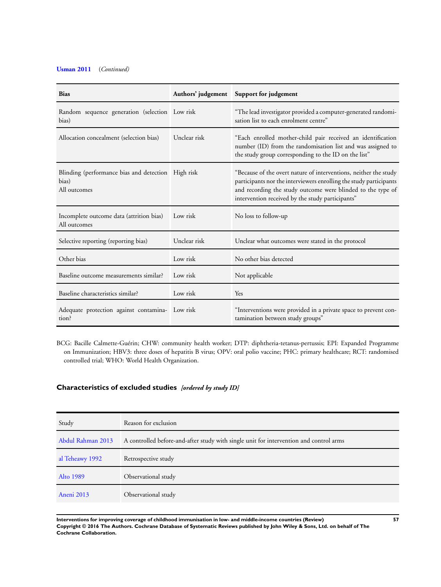## **[Usman 2011](#page-29-0)** (*Continued)*

| <b>Bias</b>                                                                 | Authors' judgement | Support for judgement                                                                                                                                                                                                                                     |
|-----------------------------------------------------------------------------|--------------------|-----------------------------------------------------------------------------------------------------------------------------------------------------------------------------------------------------------------------------------------------------------|
| Random sequence generation (selection Low risk<br>bias)                     |                    | "The lead investigator provided a computer-generated randomi-<br>sation list to each enrolment centre"                                                                                                                                                    |
| Allocation concealment (selection bias)                                     | Unclear risk       | "Each enrolled mother-child pair received an identification<br>number (ID) from the randomisation list and was assigned to<br>the study group corresponding to the ID on the list"                                                                        |
| Blinding (performance bias and detection High risk<br>bias)<br>All outcomes |                    | "Because of the overt nature of interventions, neither the study<br>participants nor the interviewers enrolling the study participants<br>and recording the study outcome were blinded to the type of<br>intervention received by the study participants" |
| Incomplete outcome data (attrition bias)<br>All outcomes                    | Low risk           | No loss to follow-up                                                                                                                                                                                                                                      |
| Selective reporting (reporting bias)                                        | Unclear risk       | Unclear what outcomes were stated in the protocol                                                                                                                                                                                                         |
| Other bias                                                                  | Low risk           | No other bias detected                                                                                                                                                                                                                                    |
| Baseline outcome measurements similar?                                      | Low risk           | Not applicable                                                                                                                                                                                                                                            |
| Baseline characteristics similar?                                           | Low risk           | Yes                                                                                                                                                                                                                                                       |
| Adequate protection against contamina- Low risk<br>tion?                    |                    | "Interventions were provided in a private space to prevent con-<br>tamination between study groups"                                                                                                                                                       |

BCG: Bacille Calmette-Guérin; CHW: community health worker; DTP: diphtheria-tetanus-pertussis; EPI: Expanded Programme on Immunization; HBV3: three doses of hepatitis B virus; OPV: oral polio vaccine; PHC: primary healthcare; RCT: randomised controlled trial; WHO: World Health Organization.

## **Characteristics of excluded studies** *[ordered by study ID]*

| Study             | Reason for exclusion                                                                   |
|-------------------|----------------------------------------------------------------------------------------|
| Abdul Rahman 2013 | A controlled before-and-after study with single unit for intervention and control arms |
| al Teheawy 1992   | Retrospective study                                                                    |
| Alto 1989         | Observational study                                                                    |
| Aneni 2013        | Observational study                                                                    |

**Interventions for improving coverage of childhood immunisation in low- and middle-income countries (Review) 57 Copyright © 2016 The Authors. Cochrane Database of Systematic Reviews published by John Wiley & Sons, Ltd. on behalf of The Cochrane Collaboration.**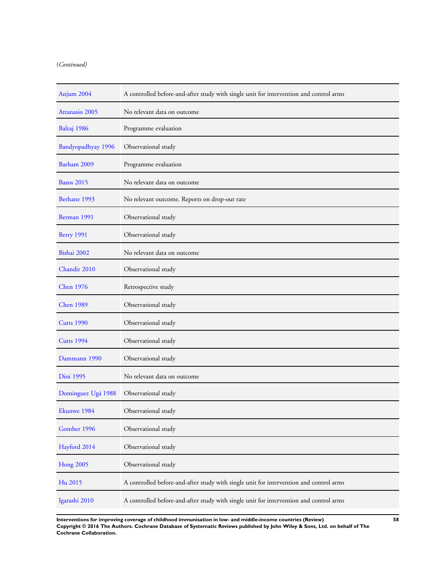#### (*Continued)*

| Anjum 2004         | A controlled before-and-after study with single unit for intervention and control arms |
|--------------------|----------------------------------------------------------------------------------------|
| Attanasio 2005     | No relevant data on outcome                                                            |
| Balraj 1986        | Programme evaluation                                                                   |
| Bandyopadhyay 1996 | Observational study                                                                    |
| Barham 2009        | Programme evaluation                                                                   |
| <b>Bazos 2015</b>  | No relevant data on outcome                                                            |
| Berhane 1993       | No relevant outcome. Reports on drop-out rate                                          |
| Berman 1991        | Observational study                                                                    |
| <b>Berry 1991</b>  | Observational study                                                                    |
| Bishai 2002        | No relevant data on outcome                                                            |
| Chandir 2010       | Observational study                                                                    |
| <b>Chen 1976</b>   | Retrospective study                                                                    |
| <b>Chen 1989</b>   | Observational study                                                                    |
| <b>Cutts 1990</b>  | Observational study                                                                    |
| <b>Cutts 1994</b>  | Observational study                                                                    |
| Dammann 1990       | Observational study                                                                    |
| Dini 1995          | No relevant data on outcome                                                            |
| Dominguez Ugá 1988 | Observational study                                                                    |
| Ekunwe 1984        | Observational study                                                                    |
| Gomber 1996        | Observational study                                                                    |
| Hayford 2014       | Observational study                                                                    |
| <b>Hong 2005</b>   | Observational study                                                                    |
| Hu 2015            | A controlled before-and-after study with single unit for intervention and control arms |
| Igarashi 2010      | A controlled before-and-after study with single unit for intervention and control arms |

**Interventions for improving coverage of childhood immunisation in low- and middle-income countries (Review) 58 Copyright © 2016 The Authors. Cochrane Database of Systematic Reviews published by John Wiley & Sons, Ltd. on behalf of The Cochrane Collaboration.**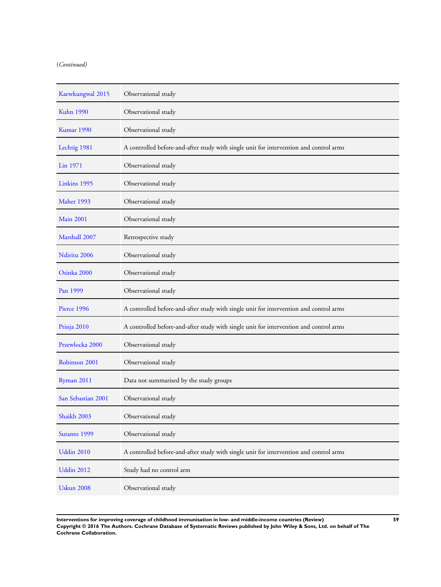#### (*Continued)*

| Kaewkungwal 2015   | Observational study                                                                    |
|--------------------|----------------------------------------------------------------------------------------|
| <b>Kuhn 1990</b>   | Observational study                                                                    |
| Kumar 1990         | Observational study                                                                    |
| Lechtig 1981       | A controlled before-and-after study with single unit for intervention and control arms |
| Lin 1971           | Observational study                                                                    |
| Linkins 1995       | Observational study                                                                    |
| <b>Maher 1993</b>  | Observational study                                                                    |
| <b>Main 2001</b>   | Observational study                                                                    |
| Marshall 2007      | Retrospective study                                                                    |
| Ndiritu 2006       | Observational study                                                                    |
| Osinka 2000        | Observational study                                                                    |
| Pan 1999           | Observational study                                                                    |
| Pierce 1996        | A controlled before-and-after study with single unit for intervention and control arms |
| Prinja 2010        | A controlled before-and-after study with single unit for intervention and control arms |
| Przewlocka 2000    | Observational study                                                                    |
| Robinson 2001      | Observational study                                                                    |
| Ryman 2011         | Data not summarised by the study groups                                                |
| San Sebastian 2001 | Observational study                                                                    |
| Shaikh 2003        | Observational study                                                                    |
| Sutanto 1999       | Observational study                                                                    |
| <b>Uddin 2010</b>  | A controlled before-and-after study with single unit for intervention and control arms |
| <b>Uddin 2012</b>  | Study had no control arm                                                               |
| <b>Uskun 2008</b>  | Observational study                                                                    |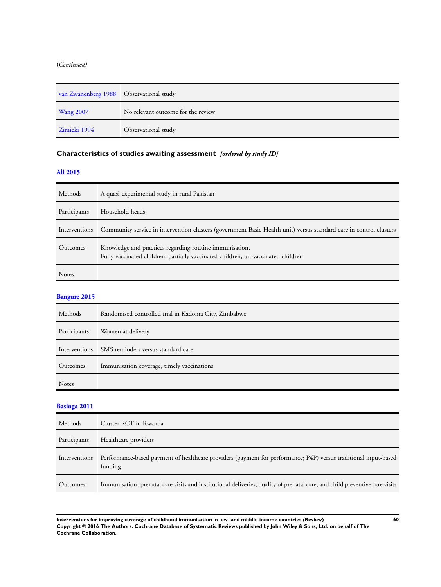#### (*Continued)*

| van Zwanenberg 1988 Observational study |                                    |
|-----------------------------------------|------------------------------------|
| <b>Wang 2007</b>                        | No relevant outcome for the review |
| Zimicki 1994                            | Observational study                |

# **Characteristics of studies awaiting assessment** *[ordered by study ID]*

## **[Ali 2015](#page-29-0)**

| Methods      | A quasi-experimental study in rural Pakistan                                                                                                |
|--------------|---------------------------------------------------------------------------------------------------------------------------------------------|
| Participants | Household heads                                                                                                                             |
|              | Interventions Community service in intervention clusters (government Basic Health unit) versus standard care in control clusters            |
| Outcomes     | Knowledge and practices regarding routine immunisation,<br>Fully vaccinated children, partially vaccinated children, un-vaccinated children |
| <b>Notes</b> |                                                                                                                                             |

## **[Bangure 2015](#page-29-0)**

| Methods      | Randomised controlled trial in Kadoma City, Zimbabwe |
|--------------|------------------------------------------------------|
| Participants | Women at delivery                                    |
|              | Interventions SMS reminders versus standard care     |
| Outcomes     | Immunisation coverage, timely vaccinations           |
| <b>Notes</b> |                                                      |

# **[Basinga 2011](#page-29-0)**

| Methods       | Cluster RCT in Rwanda                                                                                                       |
|---------------|-----------------------------------------------------------------------------------------------------------------------------|
| Participants  | Healthcare providers                                                                                                        |
| Interventions | Performance-based payment of healthcare providers (payment for performance; P4P) versus traditional input-based<br>funding  |
| Outcomes      | Immunisation, prenatal care visits and institutional deliveries, quality of prenatal care, and child preventive care visits |

**Interventions for improving coverage of childhood immunisation in low- and middle-income countries (Review) 60 Copyright © 2016 The Authors. Cochrane Database of Systematic Reviews published by John Wiley & Sons, Ltd. on behalf of The Cochrane Collaboration.**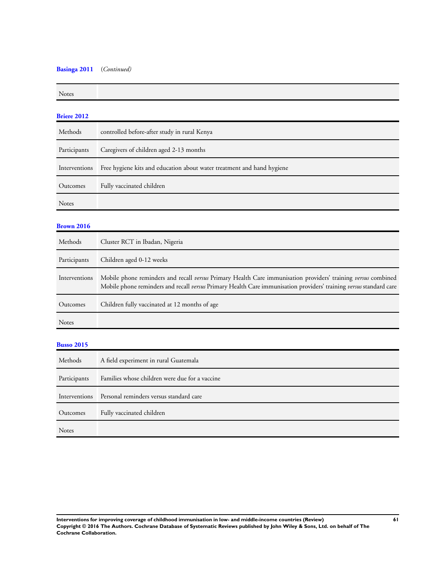# **[Basinga 2011](#page-29-0)** (*Continued)*

Notes

| <b>Briere 2012</b> |                                                                        |
|--------------------|------------------------------------------------------------------------|
| Methods            | controlled before-after study in rural Kenya                           |
| Participants       | Caregivers of children aged 2-13 months                                |
| Interventions      | Free hygiene kits and education about water treatment and hand hygiene |
| Outcomes           | Fully vaccinated children                                              |
| <b>Notes</b>       |                                                                        |

# **[Brown 2016](#page-29-0)**

| Methods       | Cluster RCT in Ibadan, Nigeria                                                                                                                                                                                                      |
|---------------|-------------------------------------------------------------------------------------------------------------------------------------------------------------------------------------------------------------------------------------|
| Participants  | Children aged 0-12 weeks                                                                                                                                                                                                            |
| Interventions | Mobile phone reminders and recall versus Primary Health Care immunisation providers' training versus combined<br>Mobile phone reminders and recall versus Primary Health Care immunisation providers' training versus standard care |
| Outcomes      | Children fully vaccinated at 12 months of age                                                                                                                                                                                       |
| <b>Notes</b>  |                                                                                                                                                                                                                                     |

#### **[Busso 2015](#page-29-0)**

| Methods      | A field experiment in rural Guatemala                 |
|--------------|-------------------------------------------------------|
| Participants | Families whose children were due for a vaccine        |
|              | Interventions Personal reminders versus standard care |
| Outcomes     | Fully vaccinated children                             |
| <b>Notes</b> |                                                       |

**Interventions for improving coverage of childhood immunisation in low- and middle-income countries (Review) 61 Copyright © 2016 The Authors. Cochrane Database of Systematic Reviews published by John Wiley & Sons, Ltd. on behalf of The Cochrane Collaboration.**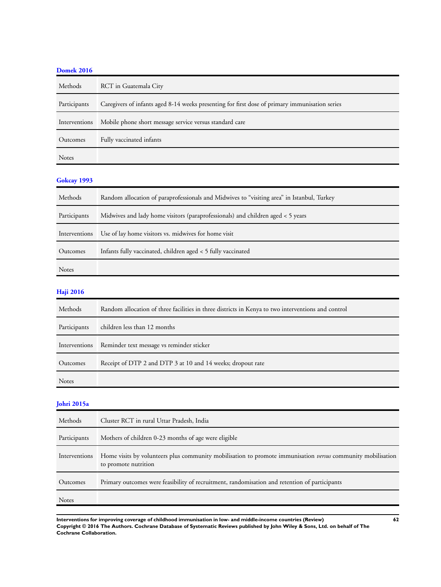## **[Domek 2016](#page-29-0)**

| Methods       | <b>RCT</b> in Guatemala City                                                                   |
|---------------|------------------------------------------------------------------------------------------------|
| Participants  | Caregivers of infants aged 8-14 weeks presenting for first dose of primary immunisation series |
| Interventions | Mobile phone short message service versus standard care                                        |
| Outcomes      | Fully vaccinated infants                                                                       |
| <b>Notes</b>  |                                                                                                |

## **[Gokcay 1993](#page-29-0)**

| Methods       | Random allocation of paraprofessionals and Midwives to "visiting area" in Istanbul, Turkey |
|---------------|--------------------------------------------------------------------------------------------|
| Participants  | Midwives and lady home visitors (paraprofessionals) and children aged $\lt$ 5 years        |
| Interventions | Use of lay home visitors vs. midwives for home visit                                       |
| Outcomes      | Infants fully vaccinated, children aged < 5 fully vaccinated                               |
| <b>Notes</b>  |                                                                                            |

# **[Haji 2016](#page-29-0)**

| Methods      | Random allocation of three facilities in three districts in Kenya to two interventions and control |
|--------------|----------------------------------------------------------------------------------------------------|
| Participants | children less than 12 months                                                                       |
|              | Interventions Reminder text message vs reminder sticker                                            |
| Outcomes     | Receipt of DTP 2 and DTP 3 at 10 and 14 weeks; dropout rate                                        |
| <b>Notes</b> |                                                                                                    |

## **[Johri 2015a](#page-29-0)**

| Methods       | Cluster RCT in rural Uttar Pradesh, India                                                                                           |
|---------------|-------------------------------------------------------------------------------------------------------------------------------------|
| Participants  | Mothers of children 0-23 months of age were eligible                                                                                |
| Interventions | Home visits by volunteers plus community mobilisation to promote immunisation versus community mobilisation<br>to promote nutrition |
| Outcomes      | Primary outcomes were feasibility of recruitment, randomisation and retention of participants                                       |
| <b>Notes</b>  |                                                                                                                                     |

**Interventions for improving coverage of childhood immunisation in low- and middle-income countries (Review) 62 Copyright © 2016 The Authors. Cochrane Database of Systematic Reviews published by John Wiley & Sons, Ltd. on behalf of The Cochrane Collaboration.**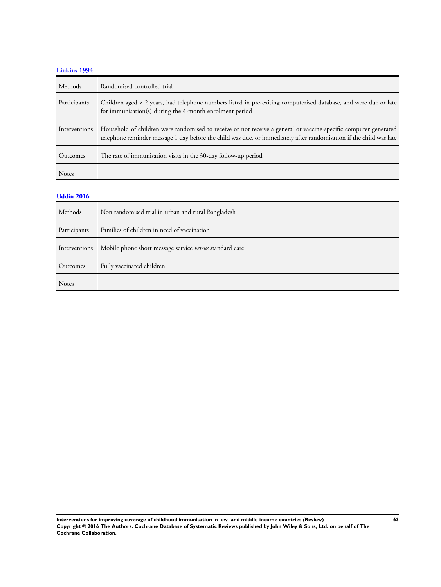| <b>Linkins 1994</b> |                                                                                                                                                                                                                                         |
|---------------------|-----------------------------------------------------------------------------------------------------------------------------------------------------------------------------------------------------------------------------------------|
| Methods             | Randomised controlled trial                                                                                                                                                                                                             |
| Participants        | Children aged < 2 years, had telephone numbers listed in pre-exiting computerised database, and were due or late<br>for immunisation(s) during the 4-month enrolment period                                                             |
| Interventions       | Household of children were randomised to receive or not receive a general or vaccine-specific computer generated<br>telephone reminder message 1 day before the child was due, or immediately after randomisation if the child was late |
| Outcomes            | The rate of immunisation visits in the 30-day follow-up period                                                                                                                                                                          |
| <b>Notes</b>        |                                                                                                                                                                                                                                         |
| <b>Uddin 2016</b>   |                                                                                                                                                                                                                                         |
| Methods             | Non randomised trial in urban and rural Bangladesh                                                                                                                                                                                      |
| Participants        | Families of children in need of vaccination                                                                                                                                                                                             |
| Interventions       | Mobile phone short message service versus standard care                                                                                                                                                                                 |
| Outcomes            | Fully vaccinated children                                                                                                                                                                                                               |
|                     |                                                                                                                                                                                                                                         |

Notes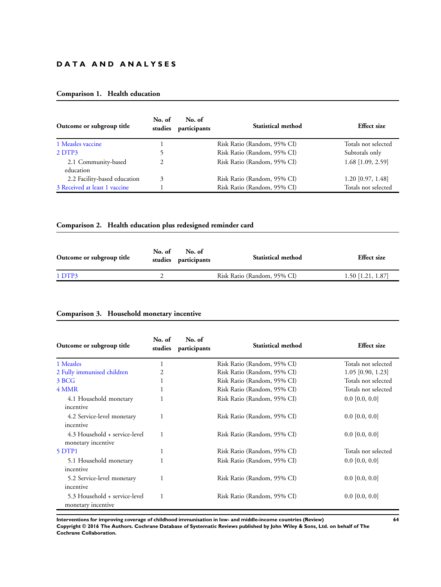# **D A T A A N D A N A L Y S E S**

## **Comparison 1. Health education**

| Outcome or subgroup title     | No. of<br>studies | No. of<br>participants | Statistical method          | <b>Effect size</b>  |
|-------------------------------|-------------------|------------------------|-----------------------------|---------------------|
| 1 Measles vaccine             |                   |                        | Risk Ratio (Random, 95% CI) | Totals not selected |
| 2 DTP3                        |                   |                        | Risk Ratio (Random, 95% CI) | Subtotals only      |
| 2.1 Community-based           | ↑                 |                        | Risk Ratio (Random, 95% CI) | $1.68$ [1.09, 2.59] |
| education                     |                   |                        |                             |                     |
| 2.2 Facility-based education  | 3                 |                        | Risk Ratio (Random, 95% CI) | $1.20$ [0.97, 1.48] |
| 3 Received at least 1 vaccine |                   |                        | Risk Ratio (Random, 95% CI) | Totals not selected |

# **Comparison 2. Health education plus redesigned reminder card**

| Outcome or subgroup title | No. of | No. of<br>studies participants | <b>Statistical method</b>   | <b>Effect</b> size  |
|---------------------------|--------|--------------------------------|-----------------------------|---------------------|
| 1 DTP3                    |        |                                | Risk Ratio (Random, 95% CI) | $1.50$ [1.21, 1.87] |

## **Comparison 3. Household monetary incentive**

| Outcome or subgroup title     | No. of<br>studies | No. of<br>participants | <b>Statistical method</b>   | <b>Effect</b> size  |
|-------------------------------|-------------------|------------------------|-----------------------------|---------------------|
| 1 Measles                     |                   |                        | Risk Ratio (Random, 95% CI) | Totals not selected |
| 2 Fully immunised children    | 2                 |                        | Risk Ratio (Random, 95% CI) | $1.05$ [0.90, 1.23] |
| 3 BCG                         |                   |                        | Risk Ratio (Random, 95% CI) | Totals not selected |
| 4 MMR                         |                   |                        | Risk Ratio (Random, 95% CI) | Totals not selected |
| 4.1 Household monetary        |                   |                        | Risk Ratio (Random, 95% CI) | $0.0$ [0.0, 0.0]    |
| incentive                     |                   |                        |                             |                     |
| 4.2 Service-level monetary    |                   |                        | Risk Ratio (Random, 95% CI) | $0.0$ [0.0, 0.0]    |
| incentive                     |                   |                        |                             |                     |
| 4.3 Household + service-level |                   |                        | Risk Ratio (Random, 95% CI) | $0.0$ [0.0, 0.0]    |
| monetary incentive            |                   |                        |                             |                     |
| 5 DTP1                        | 1                 |                        | Risk Ratio (Random, 95% CI) | Totals not selected |
| 5.1 Household monetary        |                   |                        | Risk Ratio (Random, 95% CI) | $0.0$ [0.0, 0.0]    |
| incentive                     |                   |                        |                             |                     |
| 5.2 Service-level monetary    | 1                 |                        | Risk Ratio (Random, 95% CI) | $0.0$ [0.0, 0.0]    |
| incentive                     |                   |                        |                             |                     |
| 5.3 Household + service-level | 1                 |                        | Risk Ratio (Random, 95% CI) | $0.0$ [0.0, 0.0]    |
| monetary incentive            |                   |                        |                             |                     |

**Interventions for improving coverage of childhood immunisation in low- and middle-income countries (Review) 64**

**Copyright © 2016 The Authors. Cochrane Database of Systematic Reviews published by John Wiley & Sons, Ltd. on behalf of The Cochrane Collaboration.**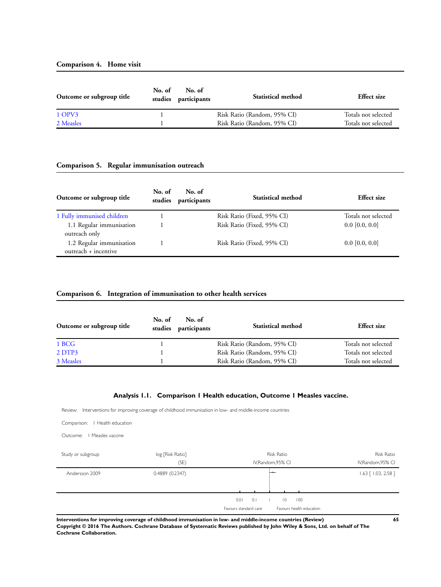## **Comparison 4. Home visit**

| Outcome or subgroup title | No. of | No. of<br>studies participants | Statistical method          | <b>Effect</b> size  |
|---------------------------|--------|--------------------------------|-----------------------------|---------------------|
| 1 OPV3                    |        |                                | Risk Ratio (Random, 95% CI) | Totals not selected |
| 2 Measles                 |        |                                | Risk Ratio (Random, 95% CI) | Totals not selected |

#### **Comparison 5. Regular immunisation outreach**

| Outcome or subgroup title                        | No. of | No. of<br>studies participants | Statistical method         | Effect size         |
|--------------------------------------------------|--------|--------------------------------|----------------------------|---------------------|
| 1 Fully immunised children                       |        |                                | Risk Ratio (Fixed, 95% CI) | Totals not selected |
| 1.1 Regular immunisation<br>outreach only        |        |                                | Risk Ratio (Fixed, 95% CI) | $0.0$ [0.0, 0.0]    |
| 1.2 Regular immunisation<br>outreach + incentive |        |                                | Risk Ratio (Fixed, 95% CI) | $0.0$ [0.0, 0.0]    |

## **Comparison 6. Integration of immunisation to other health services**

| Outcome or subgroup title | No. of<br>studies | No. of<br>participants | <b>Statistical method</b>   | <b>Effect</b> size  |
|---------------------------|-------------------|------------------------|-----------------------------|---------------------|
| 1 BCG                     |                   |                        | Risk Ratio (Random, 95% CI) | Totals not selected |
| 2 DTP3                    |                   |                        | Risk Ratio (Random, 95% CI) | Totals not selected |
| 3 Measles                 |                   |                        | Risk Ratio (Random, 95% CI) | Totals not selected |

## **Analysis 1.1. Comparison 1 Health education, Outcome 1 Measles vaccine.**

Review: Interventions for improving coverage of childhood immunisation in low- and middle-income countries

| I Health education<br>Comparison: |                  |                                                   |                     |
|-----------------------------------|------------------|---------------------------------------------------|---------------------|
| 1 Measles vaccine<br>Outcome:     |                  |                                                   |                     |
| Study or subgroup                 | log [Risk Ratio] | <b>Risk Ratio</b>                                 | <b>Risk Ratio</b>   |
|                                   | (SE)             | IV, Random, 95% CI                                | IV, Random, 95% CI  |
| Andersson 2009                    | 0.4889 (0.2347)  |                                                   | 1.63 [ 1.03, 2.58 ] |
|                                   |                  |                                                   |                     |
|                                   |                  |                                                   |                     |
|                                   |                  | 0.1<br>0.01<br>$\overline{0}$<br>100              |                     |
|                                   |                  | Favours standard care<br>Favours health education |                     |

**Interventions for improving coverage of childhood immunisation in low- and middle-income countries (Review) 65 Copyright © 2016 The Authors. Cochrane Database of Systematic Reviews published by John Wiley & Sons, Ltd. on behalf of The Cochrane Collaboration.**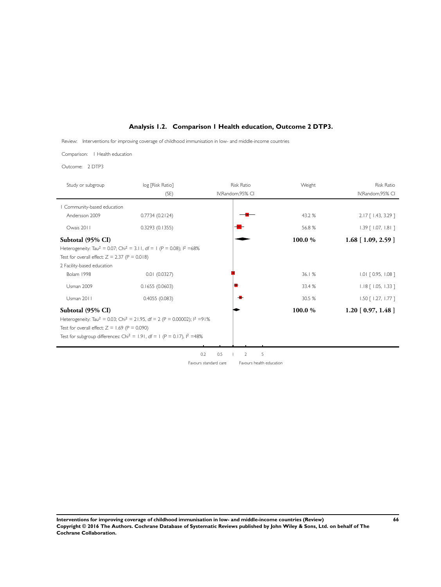## **Analysis 1.2. Comparison 1 Health education, Outcome 2 DTP3.**

<span id="page-67-0"></span>Review: Interventions for improving coverage of childhood immunisation in low- and middle-income countries

Comparison: 1 Health education

Outcome: 2 DTP3

| Study or subgroup                                                    | log [Risk Ratio]                                                                                                                                                                             | Risk Ratio                                                                                                       | Weight  | Risk Ratio                 |
|----------------------------------------------------------------------|----------------------------------------------------------------------------------------------------------------------------------------------------------------------------------------------|------------------------------------------------------------------------------------------------------------------|---------|----------------------------|
|                                                                      | (SE)                                                                                                                                                                                         | IV, Random, 95% CI                                                                                               |         | IV, Random, 95% CI         |
| Community-based education                                            |                                                                                                                                                                                              |                                                                                                                  |         |                            |
| Andersson 2009                                                       | 0.7734(0.2124)                                                                                                                                                                               |                                                                                                                  | 43.2 %  | 2.17 [ 1.43, 3.29 ]        |
| Owais 2011                                                           | 0.3293(0.1355)                                                                                                                                                                               |                                                                                                                  | 56.8%   | $1.39$ $[1.07, 1.81]$      |
| Subtotal (95% CI)                                                    |                                                                                                                                                                                              |                                                                                                                  | 100.0%  | $1.68$ [ 1.09, 2.59 ]      |
|                                                                      | Heterogeneity: Tau <sup>2</sup> = 0.07; Chi <sup>2</sup> = 3.11, df = 1 (P = 0.08); $1^2$ =68%                                                                                               |                                                                                                                  |         |                            |
| Test for overall effect: $Z = 2.37$ (P = 0.018)                      |                                                                                                                                                                                              |                                                                                                                  |         |                            |
| 2 Facility-based education                                           |                                                                                                                                                                                              |                                                                                                                  |         |                            |
| Bolam 1998                                                           | 0.01(0.0327)                                                                                                                                                                                 |                                                                                                                  | 36.1 %  | $1.01$ $[0.95, 1.08]$      |
| Usman 2009                                                           | 0.1655(0.0603)                                                                                                                                                                               |                                                                                                                  | 33.4 %  | $1.18$ $[ 1.05, 1.33 ]$    |
| Usman 2011                                                           | 0.4055(0.083)                                                                                                                                                                                |                                                                                                                  | 30.5 %  | $1.50$ [ $1.27$ , $1.77$ ] |
| Subtotal (95% CI)<br>Test for overall effect: $Z = 1.69$ (P = 0.090) | Heterogeneity: Tau <sup>2</sup> = 0.03; Chi <sup>2</sup> = 21.95, df = 2 (P = 0.00002); $1^2$ = 91%<br>Test for subgroup differences: Chi <sup>2</sup> = 1.91, df = 1 (P = 0.17), $1^2$ =48% |                                                                                                                  | 100.0 % | $1.20$ [ 0.97, 1.48 ]      |
|                                                                      |                                                                                                                                                                                              | 0.5<br>0.2<br>5<br>$\overline{2}$<br>For receiver successful and some state of Forecast the clubs of the context |         |                            |

Favours standard care Favours health education

**Interventions for improving coverage of childhood immunisation in low- and middle-income countries (Review) 66 Copyright © 2016 The Authors. Cochrane Database of Systematic Reviews published by John Wiley & Sons, Ltd. on behalf of The Cochrane Collaboration.**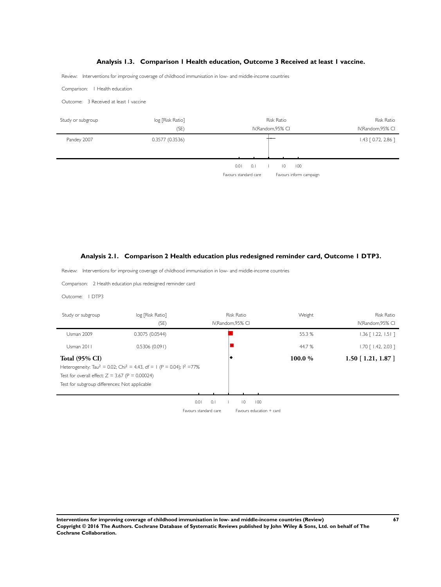#### **Analysis 1.3. Comparison 1 Health education, Outcome 3 Received at least 1 vaccine.**

<span id="page-68-0"></span>Review: Interventions for improving coverage of childhood immunisation in low- and middle-income countries

Comparison: 1 Health education

Outcome: 3 Received at least 1 vaccine



## **Analysis 2.1. Comparison 2 Health education plus redesigned reminder card, Outcome 1 DTP3.**

Review: Interventions for improving coverage of childhood immunisation in low- and middle-income countries

Comparison: 2 Health education plus redesigned reminder card

Outcome: 1 DTP3

| Study or subgroup                                 | log [Risk Ratio]                                                                               |                       | <b>Risk Ratio</b>  |                          | Weight | <b>Risk Ratio</b>           |
|---------------------------------------------------|------------------------------------------------------------------------------------------------|-----------------------|--------------------|--------------------------|--------|-----------------------------|
|                                                   | (SE)                                                                                           |                       | IV, Random, 95% CI |                          |        | IV, Random, 95% CI          |
| <b>Usman 2009</b>                                 | 0.3075(0.0544)                                                                                 |                       |                    |                          | 55.3 % | $1.36$ [ $1.22$ , $1.51$ ]  |
| Usman 2011                                        | 0.5306(0.091)                                                                                  |                       | ÷                  |                          | 44.7%  | $1.70$ $[$ $1.42, 2.03$ $]$ |
| <b>Total (95% CI)</b>                             |                                                                                                |                       |                    |                          | 100.0% | $1.50$ [ 1.21, 1.87 ]       |
|                                                   | Heterogeneity: Tau <sup>2</sup> = 0.02; Chi <sup>2</sup> = 4.43, df = 1 (P = 0.04); $1^2$ =77% |                       |                    |                          |        |                             |
| Test for overall effect: $Z = 3.67$ (P = 0.00024) |                                                                                                |                       |                    |                          |        |                             |
| Test for subgroup differences: Not applicable     |                                                                                                |                       |                    |                          |        |                             |
|                                                   |                                                                                                |                       |                    |                          |        |                             |
|                                                   |                                                                                                | 0.01<br>0.1           | $ 0\rangle$        | 100                      |        |                             |
|                                                   |                                                                                                | Favours standard care |                    | Favours education + card |        |                             |

**Interventions for improving coverage of childhood immunisation in low- and middle-income countries (Review) 67 Copyright © 2016 The Authors. Cochrane Database of Systematic Reviews published by John Wiley & Sons, Ltd. on behalf of The Cochrane Collaboration.**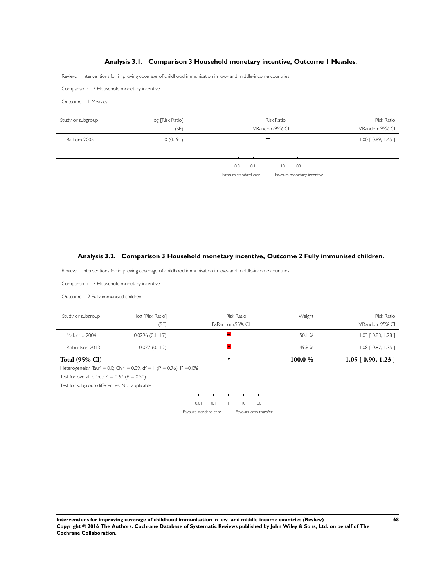#### **Analysis 3.1. Comparison 3 Household monetary incentive, Outcome 1 Measles.**

<span id="page-69-0"></span>Review: Interventions for improving coverage of childhood immunisation in low- and middle-income countries

Comparison: 3 Household monetary incentive

Outcome: 1 Measles



#### **Analysis 3.2. Comparison 3 Household monetary incentive, Outcome 2 Fully immunised children.**

Review: Interventions for improving coverage of childhood immunisation in low- and middle-income countries

Comparison: 3 Household monetary incentive

Outcome: 2 Fully immunised children

j.

| Study or subgroup                              | log [Risk Ratio]                                                                                         |      |     | <b>Risk Ratio</b>  |     | Weight  | <b>Risk Ratio</b>     |
|------------------------------------------------|----------------------------------------------------------------------------------------------------------|------|-----|--------------------|-----|---------|-----------------------|
|                                                | (SE)                                                                                                     |      |     | IV, Random, 95% CI |     |         | IV, Random, 95% CI    |
| Maluccio 2004                                  | 0.0296(0.1117)                                                                                           |      |     |                    |     | 50.1%   | $1.03$ $[0.83, 1.28]$ |
| Robertson 2013                                 | 0.077(0.112)                                                                                             |      |     |                    |     | 49.9%   | $1.08$ $[0.87, 1.35]$ |
| <b>Total (95% CI)</b>                          |                                                                                                          |      |     |                    |     | 100.0 % | $1.05$ [ 0.90, 1.23 ] |
|                                                | Heterogeneity: Tau <sup>2</sup> = 0.0; Chi <sup>2</sup> = 0.09, df = 1 (P = 0.76); l <sup>2</sup> = 0.0% |      |     |                    |     |         |                       |
| Test for overall effect: $Z = 0.67$ (P = 0.50) |                                                                                                          |      |     |                    |     |         |                       |
| Test for subgroup differences: Not applicable  |                                                                                                          |      |     |                    |     |         |                       |
|                                                |                                                                                                          |      |     |                    |     |         |                       |
|                                                |                                                                                                          | 0.01 | 0.1 | $\overline{0}$     | 100 |         |                       |

Favours standard care Favours cash transfer

**Interventions for improving coverage of childhood immunisation in low- and middle-income countries (Review) 68 Copyright © 2016 The Authors. Cochrane Database of Systematic Reviews published by John Wiley & Sons, Ltd. on behalf of The Cochrane Collaboration.**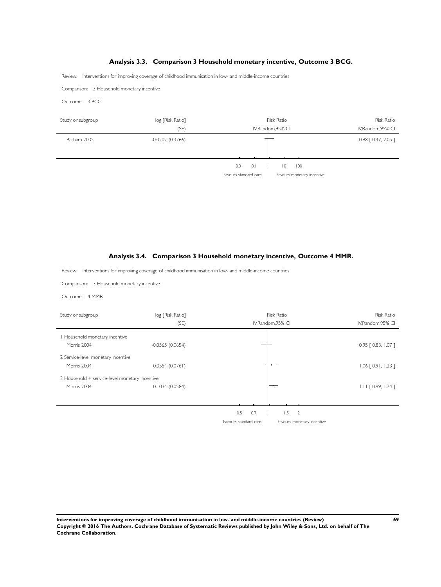#### **Analysis 3.3. Comparison 3 Household monetary incentive, Outcome 3 BCG.**

<span id="page-70-0"></span>Review: Interventions for improving coverage of childhood immunisation in low- and middle-income countries

Comparison: 3 Household monetary incentive

#### Outcome: 3 BCG



## **Analysis 3.4. Comparison 3 Household monetary incentive, Outcome 4 MMR.**

Review: Interventions for improving coverage of childhood immunisation in low- and middle-income countries

Comparison: 3 Household monetary incentive

#### Outcome: 4 MMR

| Study or subgroup                              | log [Risk Ratio]  | <b>Risk Ratio</b>                                   | <b>Risk Ratio</b>     |
|------------------------------------------------|-------------------|-----------------------------------------------------|-----------------------|
|                                                | (SE)              | IV, Random, 95% CI                                  | IV, Random, 95% CI    |
| Household monetary incentive                   |                   |                                                     |                       |
| Morris 2004                                    | $-0.0565(0.0654)$ |                                                     | $0.95$ $[0.83, 1.07]$ |
| 2 Service-level monetary incentive             |                   |                                                     |                       |
| Morris 2004                                    | 0.0554(0.0761)    |                                                     | $1.06$ $[0.91, 1.23]$ |
| 3 Household + service-level monetary incentive |                   |                                                     |                       |
| Morris 2004                                    | 0.1034(0.0584)    |                                                     | $1.11$ $[0.99, 1.24]$ |
|                                                |                   |                                                     |                       |
|                                                |                   | 0.7<br>1.5<br>0.5<br>$\overline{2}$                 |                       |
|                                                |                   | Favours standard care<br>Favours monetary incentive |                       |

**Interventions for improving coverage of childhood immunisation in low- and middle-income countries (Review) 69 Copyright © 2016 The Authors. Cochrane Database of Systematic Reviews published by John Wiley & Sons, Ltd. on behalf of The Cochrane Collaboration.**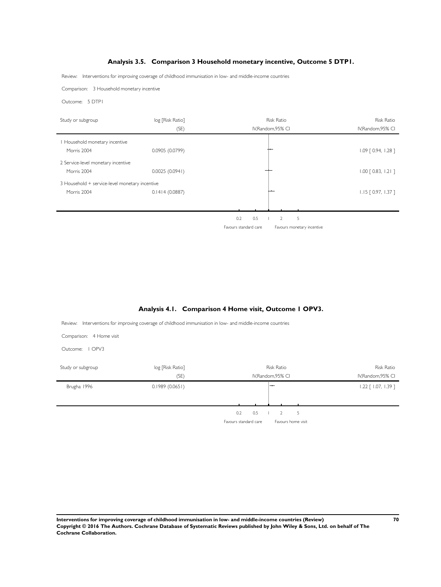## **Analysis 3.5. Comparison 3 Household monetary incentive, Outcome 5 DTP1.**

<span id="page-71-0"></span>Review: Interventions for improving coverage of childhood immunisation in low- and middle-income countries

Comparison: 3 Household monetary incentive

#### Outcome: 5 DTP1

| Study or subgroup                              | log [Risk Ratio] | <b>Risk Ratio</b>                                                                                                            | <b>Risk Ratio</b>     |
|------------------------------------------------|------------------|------------------------------------------------------------------------------------------------------------------------------|-----------------------|
|                                                | (SE)             | IV, Random, 95% CI                                                                                                           | IV, Random, 95% CI    |
| Household monetary incentive<br>Morris 2004    | 0.0905 (0.0799)  |                                                                                                                              | 1.09 [ 0.94, 1.28 ]   |
| 2 Service-level monetary incentive             |                  |                                                                                                                              |                       |
| Morris 2004                                    | 0.0025(0.0941)   |                                                                                                                              | $1.00$ $[0.83, 1.21]$ |
| 3 Household + service-level monetary incentive |                  |                                                                                                                              |                       |
| Morris 2004                                    | 0.1414(0.0887)   |                                                                                                                              | $1.15$ $[0.97, 1.37]$ |
|                                                |                  |                                                                                                                              |                       |
|                                                |                  | 0.5<br>0.2<br>$\overline{2}$<br>5<br>$ -$<br>the contract of the contract of the contract of the contract of the contract of |                       |

Favours standard care Favours monetary incentive

#### **Analysis 4.1. Comparison 4 Home visit, Outcome 1 OPV3.**

Review: Interventions for improving coverage of childhood immunisation in low- and middle-income countries

Comparison: 4 Home visit

Outcome: 1 OPV3

| Study or subgroup | log [Risk Ratio] | Risk Ratio            |                    | Risk Ratio                 |
|-------------------|------------------|-----------------------|--------------------|----------------------------|
|                   | (SE)             |                       | IV, Random, 95% CI | IV, Random, 95% CI         |
| Brugha 1996       | 0.1989(0.0651)   |                       | $-$                | $1.22$ [ $1.07$ , $1.39$ ] |
|                   |                  |                       |                    |                            |
|                   |                  | 0.5<br>0.2            | 5                  |                            |
|                   |                  | Favours standard care | Favours home visit |                            |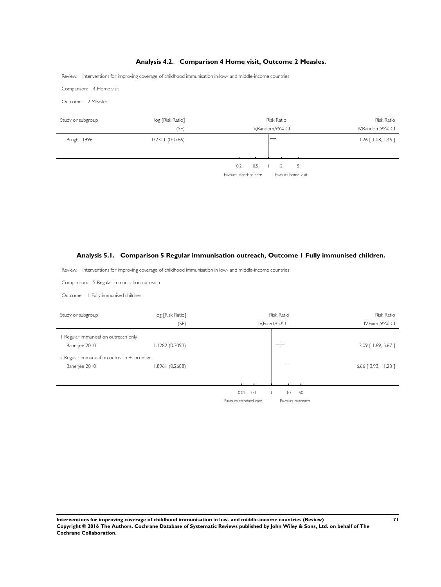### **Analysis 4.2. Comparison 4 Home visit, Outcome 2 Measles.**

Review: Interventions for improving coverage of childhood immunisation in low- and middle-income countries

Comparison: 4 Home visit

Outcome: 2 Measles



### **Analysis 5.1. Comparison 5 Regular immunisation outreach, Outcome 1 Fully immunised children.**

Review: Interventions for improving coverage of childhood immunisation in low- and middle-income countries

Comparison: 5 Regular immunisation outreach

Outcome: 1 Fully immunised children

l.

| Study or subgroup                           | log [Risk Ratio] | <b>Risk Ratio</b>                         | <b>Risk Ratio</b>      |
|---------------------------------------------|------------------|-------------------------------------------|------------------------|
|                                             | (SE)             | IV, Fixed, 95% CI                         | IV, Fixed, 95% CI      |
| I Regular immunisation outreach only        |                  |                                           |                        |
| Banerjee 2010                               | 1.1282 (0.3093)  |                                           | 3.09 [ 1.69, 5.67 ]    |
| 2 Regular immunisation outreach + incentive |                  |                                           |                        |
| Banerjee 2010                               | 1.8961 (0.2688)  |                                           | $6.66$ [ 3.93, 11.28 ] |
|                                             |                  |                                           |                        |
|                                             |                  |                                           |                        |
|                                             |                  | $0.02 \quad 0.1$<br>$\overline{0}$<br>-50 |                        |
|                                             |                  | Favours standard care<br>Favours outreach |                        |

**Interventions for improving coverage of childhood immunisation in low- and middle-income countries (Review) 71 Copyright © 2016 The Authors. Cochrane Database of Systematic Reviews published by John Wiley & Sons, Ltd. on behalf of The Cochrane Collaboration.**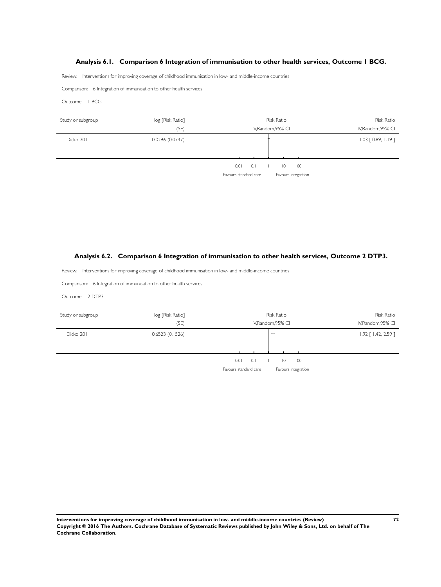#### **Analysis 6.1. Comparison 6 Integration of immunisation to other health services, Outcome 1 BCG.**

Review: Interventions for improving coverage of childhood immunisation in low- and middle-income countries

Comparison: 6 Integration of immunisation to other health services

Outcome: 1 BCG



### **Analysis 6.2. Comparison 6 Integration of immunisation to other health services, Outcome 2 DTP3.**

Review: Interventions for improving coverage of childhood immunisation in low- and middle-income countries

Comparison: 6 Integration of immunisation to other health services

Outcome: 2 DTP3

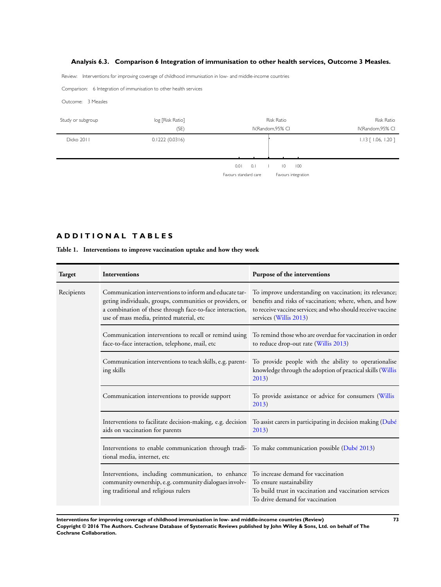## **Analysis 6.3. Comparison 6 Integration of immunisation to other health services, Outcome 3 Measles.**

Review: Interventions for improving coverage of childhood immunisation in low- and middle-income countries

Comparison: 6 Integration of immunisation to other health services

Outcome: 3 Measles



# **A D D I T I O N A L T A B L E S**

#### **Table 1. Interventions to improve vaccination uptake and how they work**

| <b>Target</b> | <b>Interventions</b>                                                                                                                                                                                                       | Purpose of the interventions                                                                                                                                                                                |
|---------------|----------------------------------------------------------------------------------------------------------------------------------------------------------------------------------------------------------------------------|-------------------------------------------------------------------------------------------------------------------------------------------------------------------------------------------------------------|
| Recipients    | Communication interventions to inform and educate tar-<br>geting individuals, groups, communities or providers, or<br>a combination of these through face-to-face interaction,<br>use of mass media, printed material, etc | To improve understanding on vaccination; its relevance;<br>benefits and risks of vaccination; where, when, and how<br>to receive vaccine services; and who should receive vaccine<br>services (Willis 2013) |
|               | Communication interventions to recall or remind using<br>face-to-face interaction, telephone, mail, etc                                                                                                                    | To remind those who are overdue for vaccination in order<br>to reduce drop-out rate (Willis 2013)                                                                                                           |
|               | Communication interventions to teach skills, e.g. parent-<br>ing skills                                                                                                                                                    | To provide people with the ability to operationalise<br>knowledge through the adoption of practical skills (Willis<br>2013)                                                                                 |
|               | Communication interventions to provide support                                                                                                                                                                             | To provide assistance or advice for consumers (Willis<br>2013)                                                                                                                                              |
|               | Interventions to facilitate decision-making, e.g. decision<br>aids on vaccination for parents                                                                                                                              | To assist carers in participating in decision making (Dubé<br>2013)                                                                                                                                         |
|               | Interventions to enable communication through tradi- To make communication possible (Dubé 2013)<br>tional media, internet, etc                                                                                             |                                                                                                                                                                                                             |
|               | Interventions, including communication, to enhance<br>community ownership, e.g. community dialogues involv-<br>ing traditional and religious rulers                                                                        | To increase demand for vaccination<br>To ensure sustainability<br>To build trust in vaccination and vaccination services<br>To drive demand for vaccination                                                 |

**Interventions for improving coverage of childhood immunisation in low- and middle-income countries (Review) 73 Copyright © 2016 The Authors. Cochrane Database of Systematic Reviews published by John Wiley & Sons, Ltd. on behalf of The Cochrane Collaboration.**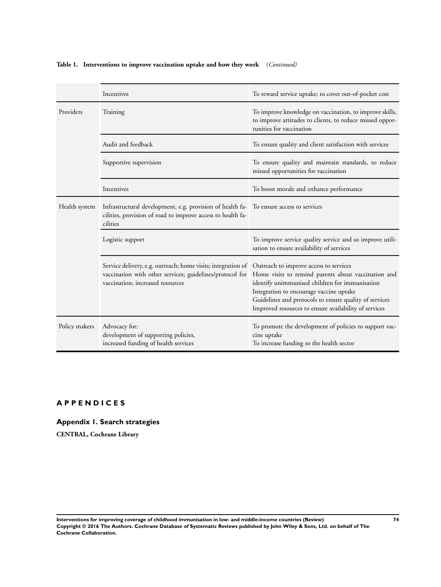**Table 1. Interventions to improve vaccination uptake and how they work** (*Continued)*

|               | Incentives                                                                                                                                                                                          | To reward service uptake; to cover out-of-pocket cost                                                                                                                                                                                                               |
|---------------|-----------------------------------------------------------------------------------------------------------------------------------------------------------------------------------------------------|---------------------------------------------------------------------------------------------------------------------------------------------------------------------------------------------------------------------------------------------------------------------|
| Providers     | Training                                                                                                                                                                                            | To improve knowledge on vaccination, to improve skills,<br>to improve attitudes to clients, to reduce missed oppor-<br>tunities for vaccination                                                                                                                     |
|               | Audit and feedback                                                                                                                                                                                  | To ensure quality and client satisfaction with services                                                                                                                                                                                                             |
|               | Supportive supervision                                                                                                                                                                              | To ensure quality and maintain standards, to reduce<br>missed opportunities for vaccination                                                                                                                                                                         |
|               | Incentives                                                                                                                                                                                          | To boost morale and enhance performance                                                                                                                                                                                                                             |
| Health system | Infrastructural development, e.g. provision of health fa- To ensure access to services<br>cilities, provision of road to improve access to health fa-<br>cilities                                   |                                                                                                                                                                                                                                                                     |
|               | Logistic support                                                                                                                                                                                    | To improve service quality service and so improve utili-<br>sation to ensure availability of services                                                                                                                                                               |
|               | Service delivery, e.g. outreach; home visits; integration of Outreach to improve access to services<br>vaccination with other services; guidelines/protocol for<br>vaccination; increased resources | Home visits to remind parents about vaccination and<br>identify unimmunised children for immunisation<br>Integration to encourage vaccine uptake<br>Guidelines and protocols to ensure quality of services<br>Improved resources to ensure availability of services |
| Policy makers | Advocacy for:<br>development of supporting policies,<br>increased funding of health services                                                                                                        | To promote the development of policies to support vac-<br>cine uptake<br>To increase funding to the health sector                                                                                                                                                   |

## **A P P E N D I C E S**

**Appendix 1. Search strategies**

**CENTRAL, Cochrane Library**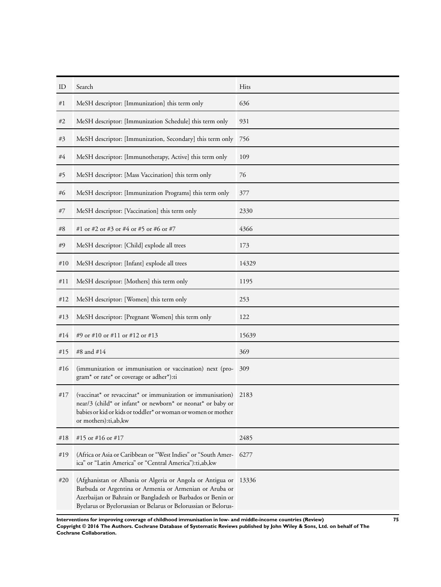| ID  | Search                                                                                                                                                                                                                                                 | Hits  |
|-----|--------------------------------------------------------------------------------------------------------------------------------------------------------------------------------------------------------------------------------------------------------|-------|
| #1  | MeSH descriptor: [Immunization] this term only                                                                                                                                                                                                         | 636   |
| #2  | MeSH descriptor: [Immunization Schedule] this term only                                                                                                                                                                                                | 931   |
| #3  | MeSH descriptor: [Immunization, Secondary] this term only                                                                                                                                                                                              | 756   |
| #4  | MeSH descriptor: [Immunotherapy, Active] this term only                                                                                                                                                                                                | 109   |
| #5  | MeSH descriptor: [Mass Vaccination] this term only                                                                                                                                                                                                     | 76    |
| #6  | MeSH descriptor: [Immunization Programs] this term only                                                                                                                                                                                                | 377   |
| #7  | MeSH descriptor: [Vaccination] this term only                                                                                                                                                                                                          | 2330  |
| #8  | #1 or #2 or #3 or #4 or #5 or #6 or #7                                                                                                                                                                                                                 | 4366  |
| #9  | MeSH descriptor: [Child] explode all trees                                                                                                                                                                                                             | 173   |
| #10 | MeSH descriptor: [Infant] explode all trees                                                                                                                                                                                                            | 14329 |
| #11 | MeSH descriptor: [Mothers] this term only                                                                                                                                                                                                              | 1195  |
| #12 | MeSH descriptor: [Women] this term only                                                                                                                                                                                                                | 253   |
| #13 | MeSH descriptor: [Pregnant Women] this term only                                                                                                                                                                                                       | 122   |
| #14 | #9 or #10 or #11 or #12 or #13                                                                                                                                                                                                                         | 15639 |
| #15 | #8 and #14                                                                                                                                                                                                                                             | 369   |
| #16 | (immunization or immunisation or vaccination) next (pro-<br>gram* or rate* or coverage or adher*):ti                                                                                                                                                   | 309   |
| #17 | (vaccinat* or revaccinat* or immunization or immunisation)<br>near/3 (child* or infant* or newborn* or neonat* or baby or<br>babies or kid or kids or toddler* or woman or women or mother<br>or mothers):ti,ab,kw                                     | 2183  |
| #18 | #15 or #16 or #17                                                                                                                                                                                                                                      | 2485  |
| #19 | (Africa or Asia or Caribbean or "West Indies" or "South Amer- 6277<br>ica" or "Latin America" or "Central America"):ti,ab,kw                                                                                                                           |       |
| #20 | (Afghanistan or Albania or Algeria or Angola or Antigua or<br>Barbuda or Argentina or Armenia or Armenian or Aruba or<br>Azerbaijan or Bahrain or Bangladesh or Barbados or Benin or<br>Byelarus or Byelorussian or Belarus or Belorussian or Belorus- | 13336 |

**Interventions for improving coverage of childhood immunisation in low- and middle-income countries (Review) 75**

**Copyright © 2016 The Authors. Cochrane Database of Systematic Reviews published by John Wiley & Sons, Ltd. on behalf of The Cochrane Collaboration.**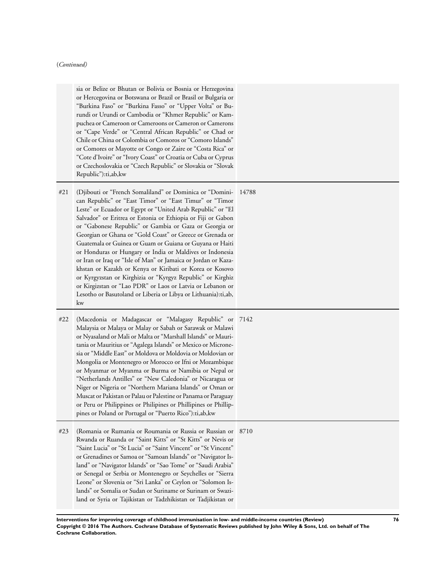sia or Belize or Bhutan or Bolivia or Bosnia or Herzegovina or Hercegovina or Botswana or Brazil or Brasil or Bulgaria or "Burkina Faso" or "Burkina Fasso" or "Upper Volta" or Burundi or Urundi or Cambodia or "Khmer Republic" or Kampuchea or Cameroon or Cameroons or Cameron or Camerons or "Cape Verde" or "Central African Republic" or Chad or Chile or China or Colombia or Comoros or "Comoro Islands" or Comores or Mayotte or Congo or Zaire or "Costa Rica" or "Cote d'Ivoire" or "Ivory Coast" or Croatia or Cuba or Cyprus or Czechoslovakia or "Czech Republic" or Slovakia or "Slovak Republic"):ti,ab,kw

- #21 (Djibouti or "French Somaliland" or Dominica or "Domini-14788 can Republic" or "East Timor" or "East Timur" or "Timor Leste" or Ecuador or Egypt or "United Arab Republic" or "El Salvador" or Eritrea or Estonia or Ethiopia or Fiji or Gabon or "Gabonese Republic" or Gambia or Gaza or Georgia or Georgian or Ghana or "Gold Coast" or Greece or Grenada or Guatemala or Guinea or Guam or Guiana or Guyana or Haiti or Honduras or Hungary or India or Maldives or Indonesia or Iran or Iraq or "Isle of Man" or Jamaica or Jordan or Kazakhstan or Kazakh or Kenya or Kiribati or Korea or Kosovo or Kyrgyzstan or Kirghizia or "Kyrgyz Republic" or Kirghiz or Kirgizstan or "Lao PDR" or Laos or Latvia or Lebanon or Lesotho or Basutoland or Liberia or Libya or Lithuania):ti,ab, kw
- #22 (Macedonia or Madagascar or "Malagasy Republic" or 7142 Malaysia or Malaya or Malay or Sabah or Sarawak or Malawi or Nyasaland or Mali or Malta or "Marshall Islands" or Mauritania or Mauritius or "Agalega Islands" or Mexico or Micronesia or "Middle East" or Moldova or Moldovia or Moldovian or Mongolia or Montenegro or Morocco or Ifni or Mozambique or Myanmar or Myanma or Burma or Namibia or Nepal or "Netherlands Antilles" or "New Caledonia" or Nicaragua or Niger or Nigeria or "Northern Mariana Islands" or Oman or Muscat or Pakistan or Palau or Palestine or Panama or Paraguay or Peru or Philippines or Philipines or Phillipines or Phillippines or Poland or Portugal or "Puerto Rico"):ti,ab,kw
- #23 (Romania or Rumania or Roumania or Russia or Russian or 8710 Rwanda or Ruanda or "Saint Kitts" or "St Kitts" or Nevis or "Saint Lucia" or "St Lucia" or "Saint Vincent" or "St Vincent" or Grenadines or Samoa or "Samoan Islands" or "Navigator Island" or "Navigator Islands" or "Sao Tome" or "Saudi Arabia" or Senegal or Serbia or Montenegro or Seychelles or "Sierra Leone" or Slovenia or "Sri Lanka" or Ceylon or "Solomon Islands" or Somalia or Sudan or Suriname or Surinam or Swaziland or Syria or Tajikistan or Tadzhikistan or Tadjikistan or

**Interventions for improving coverage of childhood immunisation in low- and middle-income countries (Review) 76 Copyright © 2016 The Authors. Cochrane Database of Systematic Reviews published by John Wiley & Sons, Ltd. on behalf of The Cochrane Collaboration.**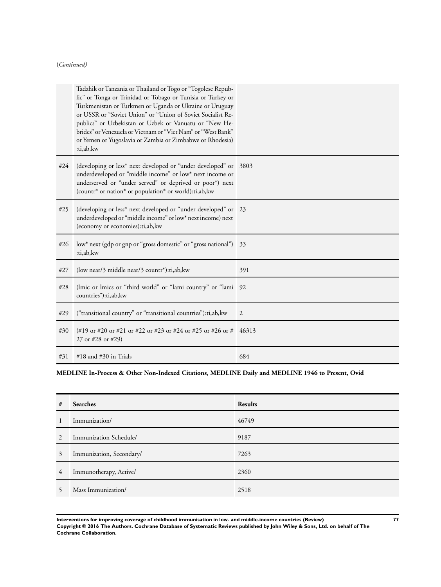|     | Tadzhik or Tanzania or Thailand or Togo or "Togolese Repub-<br>lic" or Tonga or Trinidad or Tobago or Tunisia or Turkey or<br>Turkmenistan or Turkmen or Uganda or Ukraine or Uruguay<br>or USSR or "Soviet Union" or "Union of Soviet Socialist Re-<br>publics" or Uzbekistan or Uzbek or Vanuatu or "New He-<br>brides" or Venezuela or Vietnam or "Viet Nam" or "West Bank"<br>or Yemen or Yugoslavia or Zambia or Zimbabwe or Rhodesia)<br>:ti,ab,kw |      |
|-----|----------------------------------------------------------------------------------------------------------------------------------------------------------------------------------------------------------------------------------------------------------------------------------------------------------------------------------------------------------------------------------------------------------------------------------------------------------|------|
| #24 | (developing or less* next developed or "under developed" or<br>underdeveloped or "middle income" or low* next income or<br>underserved or "under served" or deprived or poor*) next<br>(countr* or nation* or population* or world):ti,ab,kw                                                                                                                                                                                                             | 3803 |
| #25 | (developing or less* next developed or "under developed" or 23<br>underdeveloped or "middle income" or low* next income) next<br>(economy or economies):ti,ab,kw                                                                                                                                                                                                                                                                                         |      |
| #26 | low* next (gdp or gnp or "gross domestic" or "gross national") 33<br>:ti,ab,kw                                                                                                                                                                                                                                                                                                                                                                           |      |
| #27 | (low near/3 middle near/3 countr*):ti,ab, kw                                                                                                                                                                                                                                                                                                                                                                                                             | 391  |
| #28 | (lmic or lmics or "third world" or "lami country" or "lami 92<br>countries"):ti,ab, kw                                                                                                                                                                                                                                                                                                                                                                   |      |
| #29 | ("transitional country" or "transitional countries"):ti,ab,kw                                                                                                                                                                                                                                                                                                                                                                                            | 2    |
| #30 | (#19 or #20 or #21 or #22 or #23 or #24 or #25 or #26 or # 46313<br>27 or #28 or #29)                                                                                                                                                                                                                                                                                                                                                                    |      |
| #31 | $#18$ and $#30$ in Trials                                                                                                                                                                                                                                                                                                                                                                                                                                | 684  |

**MEDLINE In-Process & Other Non-Indexed Citations, MEDLINE Daily and MEDLINE 1946 to Present, Ovid**

| # | <b>Searches</b>          | <b>Results</b> |
|---|--------------------------|----------------|
|   | Immunization/            | 46749          |
| 2 | Immunization Schedule/   | 9187           |
| 3 | Immunization, Secondary/ | 7263           |
| 4 | Immunotherapy, Active/   | 2360           |
|   | Mass Immunization/       | 2518           |

**Interventions for improving coverage of childhood immunisation in low- and middle-income countries (Review) 77 Copyright © 2016 The Authors. Cochrane Database of Systematic Reviews published by John Wiley & Sons, Ltd. on behalf of The Cochrane Collaboration.**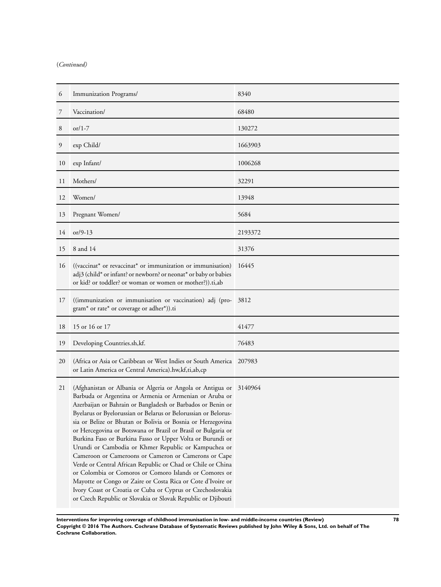| 6  | Immunization Programs/                                                                                                                                                                                                                                                                                                                                                                                                                                                                                                                                                                                                                                                                                                                                                                                                                                                                     | 8340    |
|----|--------------------------------------------------------------------------------------------------------------------------------------------------------------------------------------------------------------------------------------------------------------------------------------------------------------------------------------------------------------------------------------------------------------------------------------------------------------------------------------------------------------------------------------------------------------------------------------------------------------------------------------------------------------------------------------------------------------------------------------------------------------------------------------------------------------------------------------------------------------------------------------------|---------|
| 7  | Vaccination/                                                                                                                                                                                                                                                                                                                                                                                                                                                                                                                                                                                                                                                                                                                                                                                                                                                                               | 68480   |
| 8  | or/1-7                                                                                                                                                                                                                                                                                                                                                                                                                                                                                                                                                                                                                                                                                                                                                                                                                                                                                     | 130272  |
| 9  | exp Child/                                                                                                                                                                                                                                                                                                                                                                                                                                                                                                                                                                                                                                                                                                                                                                                                                                                                                 | 1663903 |
| 10 | exp Infant/                                                                                                                                                                                                                                                                                                                                                                                                                                                                                                                                                                                                                                                                                                                                                                                                                                                                                | 1006268 |
| 11 | Mothers/                                                                                                                                                                                                                                                                                                                                                                                                                                                                                                                                                                                                                                                                                                                                                                                                                                                                                   | 32291   |
| 12 | Women/                                                                                                                                                                                                                                                                                                                                                                                                                                                                                                                                                                                                                                                                                                                                                                                                                                                                                     | 13948   |
| 13 | Pregnant Women/                                                                                                                                                                                                                                                                                                                                                                                                                                                                                                                                                                                                                                                                                                                                                                                                                                                                            | 5684    |
| 14 | $or/9-13$                                                                                                                                                                                                                                                                                                                                                                                                                                                                                                                                                                                                                                                                                                                                                                                                                                                                                  | 2193372 |
| 15 | 8 and 14                                                                                                                                                                                                                                                                                                                                                                                                                                                                                                                                                                                                                                                                                                                                                                                                                                                                                   | 31376   |
| 16 | ((vaccinat* or revaccinat* or immunization or immunisation)<br>adj3 (child* or infant? or newborn? or neonat* or baby or babies<br>or kid? or toddler? or woman or women or mother?)).ti,ab                                                                                                                                                                                                                                                                                                                                                                                                                                                                                                                                                                                                                                                                                                | 16445   |
| 17 | ((immunization or immunisation or vaccination) adj (pro-<br>gram* or rate* or coverage or adher*)).ti                                                                                                                                                                                                                                                                                                                                                                                                                                                                                                                                                                                                                                                                                                                                                                                      | 3812    |
| 18 | 15 or 16 or 17                                                                                                                                                                                                                                                                                                                                                                                                                                                                                                                                                                                                                                                                                                                                                                                                                                                                             | 41477   |
| 19 | Developing Countries.sh, kf.                                                                                                                                                                                                                                                                                                                                                                                                                                                                                                                                                                                                                                                                                                                                                                                                                                                               | 76483   |
| 20 | (Africa or Asia or Caribbean or West Indies or South America 207983<br>or Latin America or Central America).hw,kf,ti,ab,cp                                                                                                                                                                                                                                                                                                                                                                                                                                                                                                                                                                                                                                                                                                                                                                 |         |
| 21 | (Afghanistan or Albania or Algeria or Angola or Antigua or<br>Barbuda or Argentina or Armenia or Armenian or Aruba or<br>Azerbaijan or Bahrain or Bangladesh or Barbados or Benin or<br>Byelarus or Byelorussian or Belarus or Belorussian or Belorus-<br>sia or Belize or Bhutan or Bolivia or Bosnia or Herzegovina<br>or Hercegovina or Botswana or Brazil or Brasil or Bulgaria or<br>Burkina Faso or Burkina Fasso or Upper Volta or Burundi or<br>Urundi or Cambodia or Khmer Republic or Kampuchea or<br>Cameroon or Cameroons or Cameron or Camerons or Cape<br>Verde or Central African Republic or Chad or Chile or China<br>or Colombia or Comoros or Comoro Islands or Comores or<br>Mayotte or Congo or Zaire or Costa Rica or Cote d'Ivoire or<br>Ivory Coast or Croatia or Cuba or Cyprus or Czechoslovakia<br>or Czech Republic or Slovakia or Slovak Republic or Djibouti | 3140964 |

**Interventions for improving coverage of childhood immunisation in low- and middle-income countries (Review) 78 Copyright © 2016 The Authors. Cochrane Database of Systematic Reviews published by John Wiley & Sons, Ltd. on behalf of The Cochrane Collaboration.**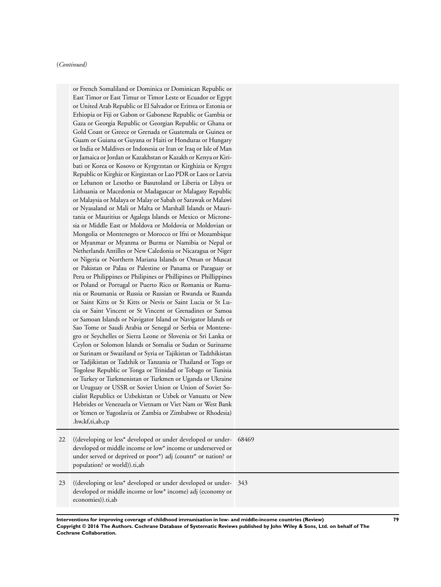or French Somaliland or Dominica or Dominican Republic or East Timor or East Timur or Timor Leste or Ecuador or Egypt or United Arab Republic or El Salvador or Eritrea or Estonia or Ethiopia or Fiji or Gabon or Gabonese Republic or Gambia or Gaza or Georgia Republic or Georgian Republic or Ghana or Gold Coast or Greece or Grenada or Guatemala or Guinea or Guam or Guiana or Guyana or Haiti or Honduras or Hungary or India or Maldives or Indonesia or Iran or Iraq or Isle of Man or Jamaica or Jordan or Kazakhstan or Kazakh or Kenya or Kiribati or Korea or Kosovo or Kyrgyzstan or Kirghizia or Kyrgyz Republic or Kirghiz or Kirgizstan or Lao PDR or Laos or Latvia or Lebanon or Lesotho or Basutoland or Liberia or Libya or Lithuania or Macedonia or Madagascar or Malagasy Republic or Malaysia or Malaya or Malay or Sabah or Sarawak or Malawi or Nyasaland or Mali or Malta or Marshall Islands or Mauritania or Mauritius or Agalega Islands or Mexico or Micronesia or Middle East or Moldova or Moldovia or Moldovian or Mongolia or Montenegro or Morocco or Ifni or Mozambique or Myanmar or Myanma or Burma or Namibia or Nepal or Netherlands Antilles or New Caledonia or Nicaragua or Niger or Nigeria or Northern Mariana Islands or Oman or Muscat or Pakistan or Palau or Palestine or Panama or Paraguay or Peru or Philippines or Philipines or Phillipines or Phillippines or Poland or Portugal or Puerto Rico or Romania or Rumania or Roumania or Russia or Russian or Rwanda or Ruanda or Saint Kitts or St Kitts or Nevis or Saint Lucia or St Lucia or Saint Vincent or St Vincent or Grenadines or Samoa or Samoan Islands or Navigator Island or Navigator Islands or Sao Tome or Saudi Arabia or Senegal or Serbia or Montenegro or Seychelles or Sierra Leone or Slovenia or Sri Lanka or Ceylon or Solomon Islands or Somalia or Sudan or Suriname or Surinam or Swaziland or Syria or Tajikistan or Tadzhikistan or Tadjikistan or Tadzhik or Tanzania or Thailand or Togo or Togolese Republic or Tonga or Trinidad or Tobago or Tunisia or Turkey or Turkmenistan or Turkmen or Uganda or Ukraine or Uruguay or USSR or Soviet Union or Union of Soviet Socialist Republics or Uzbekistan or Uzbek or Vanuatu or New Hebrides or Venezuela or Vietnam or Viet Nam or West Bank or Yemen or Yugoslavia or Zambia or Zimbabwe or Rhodesia) .hw,kf,ti,ab,cp

| 22 | ((developing or less* developed or under developed or under- 68469)<br>developed or middle income or low* income or underserved or<br>under served or deprived or poor*) adj (countr* or nation? or<br>population? or world)).ti,ab |  |
|----|-------------------------------------------------------------------------------------------------------------------------------------------------------------------------------------------------------------------------------------|--|
| 23 | ((developing or less* developed or under developed or under- 343<br>developed or middle income or low* income) adj (economy or<br>economies)).ti,ab                                                                                 |  |

**Interventions for improving coverage of childhood immunisation in low- and middle-income countries (Review) 79 Copyright © 2016 The Authors. Cochrane Database of Systematic Reviews published by John Wiley & Sons, Ltd. on behalf of The Cochrane Collaboration.**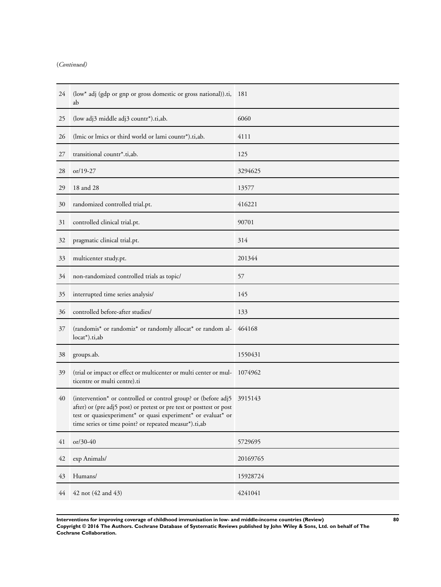| 24 | (low* adj (gdp or gnp or gross domestic or gross national)).ti,<br>ab                                                                                                                                                                                           | 181      |
|----|-----------------------------------------------------------------------------------------------------------------------------------------------------------------------------------------------------------------------------------------------------------------|----------|
| 25 | (low adj3 middle adj3 countr*).ti,ab.                                                                                                                                                                                                                           | 6060     |
| 26 | (lmic or lmics or third world or lami countr*).ti,ab.                                                                                                                                                                                                           | 4111     |
| 27 | transitional countr*.ti,ab.                                                                                                                                                                                                                                     | 125      |
| 28 | $or/19-27$                                                                                                                                                                                                                                                      | 3294625  |
| 29 | 18 and 28                                                                                                                                                                                                                                                       | 13577    |
| 30 | randomized controlled trial.pt.                                                                                                                                                                                                                                 | 416221   |
| 31 | controlled clinical trial.pt.                                                                                                                                                                                                                                   | 90701    |
| 32 | pragmatic clinical trial.pt.                                                                                                                                                                                                                                    | 314      |
| 33 | multicenter study.pt.                                                                                                                                                                                                                                           | 201344   |
| 34 | non-randomized controlled trials as topic/                                                                                                                                                                                                                      | 57       |
| 35 | interrupted time series analysis/                                                                                                                                                                                                                               | 145      |
| 36 | controlled before-after studies/                                                                                                                                                                                                                                | 133      |
| 37 | (randomis* or randomiz* or randomly allocat* or random al-<br>locat*).ti,ab                                                                                                                                                                                     | 464168   |
| 38 | groups.ab.                                                                                                                                                                                                                                                      | 1550431  |
| 39 | (trial or impact or effect or multicenter or multi center or mul- 1074962<br>ticentre or multi centre).ti                                                                                                                                                       |          |
| 40 | (intervention* or controlled or control group? or (before adj5<br>after) or (pre adj5 post) or pretest or pre test or posttest or post<br>test or quasiexperiment* or quasi experiment* or evaluat* or<br>time series or time point? or repeated measur*).ti,ab | 3915143  |
| 41 | $or/30-40$                                                                                                                                                                                                                                                      | 5729695  |
| 42 | exp Animals/                                                                                                                                                                                                                                                    | 20169765 |
| 43 | Humans/                                                                                                                                                                                                                                                         | 15928724 |
| 44 | 42 not (42 and 43)                                                                                                                                                                                                                                              | 4241041  |

**Interventions for improving coverage of childhood immunisation in low- and middle-income countries (Review) 80 Copyright © 2016 The Authors. Cochrane Database of Systematic Reviews published by John Wiley & Sons, Ltd. on behalf of The Cochrane Collaboration.**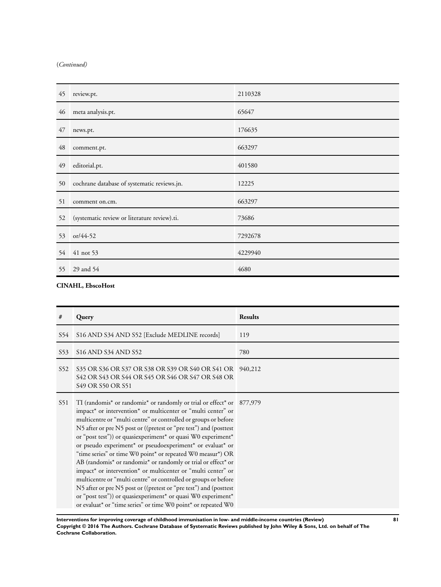| 45 | review.pt.                                   | 2110328 |
|----|----------------------------------------------|---------|
| 46 | meta analysis.pt.                            | 65647   |
| 47 | news.pt.                                     | 176635  |
| 48 | comment.pt.                                  | 663297  |
| 49 | editorial.pt.                                | 401580  |
| 50 | cochrane database of systematic reviews.jn.  | 12225   |
| 51 | comment on.cm.                               | 663297  |
| 52 | (systematic review or literature review).ti. | 73686   |
| 53 | $or/44-52$                                   | 7292678 |
| 54 | 41 not 53                                    | 4229940 |
| 55 | 29 and 54                                    | 4680    |

## **CINAHL, EbscoHost**

| #               | Query                                                                                                                                                                                                                                                                                                                                                                                                                                                                                                                                                                                                                                                                                                                                                                                                                                                                              | <b>Results</b> |
|-----------------|------------------------------------------------------------------------------------------------------------------------------------------------------------------------------------------------------------------------------------------------------------------------------------------------------------------------------------------------------------------------------------------------------------------------------------------------------------------------------------------------------------------------------------------------------------------------------------------------------------------------------------------------------------------------------------------------------------------------------------------------------------------------------------------------------------------------------------------------------------------------------------|----------------|
| S54             | S16 AND S34 AND S52 [Exclude MEDLINE records]                                                                                                                                                                                                                                                                                                                                                                                                                                                                                                                                                                                                                                                                                                                                                                                                                                      | 119            |
| S53             | <b>S16 AND S34 AND S52</b>                                                                                                                                                                                                                                                                                                                                                                                                                                                                                                                                                                                                                                                                                                                                                                                                                                                         | 780            |
| S <sub>52</sub> | S35 OR S36 OR S37 OR S38 OR S39 OR S40 OR S41 OR 940,212<br>\$42 OR \$43 OR \$44 OR \$45 OR \$46 OR \$47 OR \$48 OR<br>S49 OR S50 OR S51                                                                                                                                                                                                                                                                                                                                                                                                                                                                                                                                                                                                                                                                                                                                           |                |
| S51             | TI (randomis* or randomiz* or randomly or trial or effect* or 877,979<br>impact* or intervention* or multicenter or "multi center" or<br>multicentre or "multi centre" or controlled or groups or before<br>N5 after or pre N5 post or ((pretest or "pre test") and (posttest<br>or "post test")) or quasiexperiment* or quasi W0 experiment*<br>or pseudo experiment* or pseudoexperiment* or evaluat* or<br>"time series" or time W0 point* or repeated W0 measur*) OR<br>AB (randomis* or randomiz* or randomly or trial or effect* or<br>impact* or intervention* or multicenter or "multi center" or<br>multicentre or "multi centre" or controlled or groups or before<br>N5 after or pre N5 post or ((pretest or "pre test") and (posttest<br>or "post test")) or quasiexperiment* or quasi W0 experiment*<br>or evaluat* or "time series" or time W0 point* or repeated W0 |                |

**Interventions for improving coverage of childhood immunisation in low- and middle-income countries (Review) 81**

**Copyright © 2016 The Authors. Cochrane Database of Systematic Reviews published by John Wiley & Sons, Ltd. on behalf of The Cochrane Collaboration.**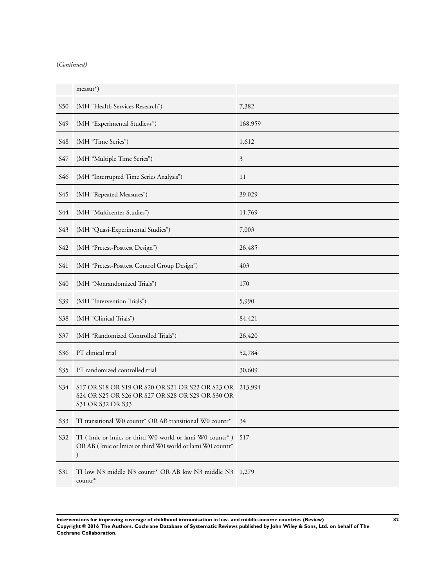|                 | $measure^*)$                                                                                                                           |         |
|-----------------|----------------------------------------------------------------------------------------------------------------------------------------|---------|
| S <sub>50</sub> | (MH "Health Services Research")                                                                                                        | 7,382   |
| S49             | (MH "Experimental Studies+")                                                                                                           | 168,959 |
| S48             | (MH "Time Series")                                                                                                                     | 1,612   |
| S47             | (MH "Multiple Time Series")                                                                                                            | 3       |
| S <sub>46</sub> | (MH "Interrupted Time Series Analysis")                                                                                                | 11      |
| S45             | (MH "Repeated Measures")                                                                                                               | 39,029  |
| S44             | (MH "Multicenter Studies")                                                                                                             | 11,769  |
| S43             | (MH "Quasi-Experimental Studies")                                                                                                      | 7,003   |
| S42             | (MH "Pretest-Posttest Design")                                                                                                         | 26,485  |
| S41             | (MH "Pretest-Posttest Control Group Design")                                                                                           | 403     |
| S <sub>40</sub> | (MH "Nonrandomized Trials")                                                                                                            | 170     |
| S39             | (MH "Intervention Trials")                                                                                                             | 5,990   |
| S38             | (MH "Clinical Trials")                                                                                                                 | 84,421  |
| S37             | (MH "Randomized Controlled Trials")                                                                                                    | 26,420  |
| S36             | PT clinical trial                                                                                                                      | 52,784  |
| S <sub>35</sub> | PT randomized controlled trial                                                                                                         | 30,609  |
| S34             | \$17 OR \$18 OR \$19 OR \$20 OR \$21 OR \$22 OR \$23 OR<br>S24 OR S25 OR S26 OR S27 OR S28 OR S29 OR S30 OR<br>S31 OR S32 OR S33       | 213,994 |
| S33             | TI transitional W0 countr* OR AB transitional W0 countr*                                                                               | 34      |
| S32             | TI ( lmic or lmics or third W0 world or lami W0 countr*)<br>OR AB (Imic or Imics or third W0 world or lami W0 countr*<br>$\mathcal{E}$ | 517     |
| S31             | TI low N3 middle N3 countr* OR AB low N3 middle N3 1,279<br>countr <sup>*</sup>                                                        |         |

**Interventions for improving coverage of childhood immunisation in low- and middle-income countries (Review) 82 Copyright © 2016 The Authors. Cochrane Database of Systematic Reviews published by John Wiley & Sons, Ltd. on behalf of The Cochrane Collaboration.**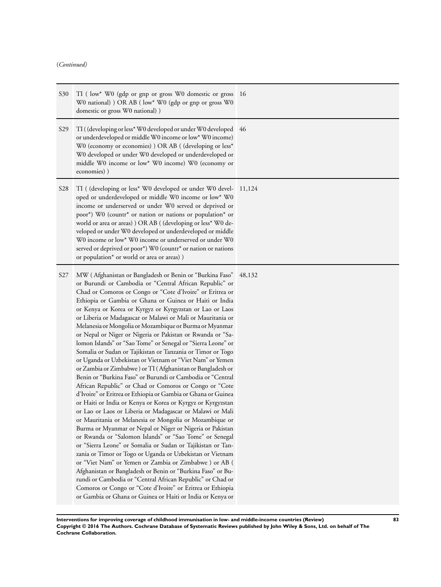| S <sub>30</sub> | TI (low* W0 (gdp or gnp or gross W0 domestic or gross 16<br>W0 national) ) OR AB ( low* W0 (gdp or gnp or gross W0<br>domestic or gross W0 national) )                                                                                                                                                                                                                                                                                                                                                                                                                                                                                                                                                                                                                                                                                                                                                                                                                                                                                                                                                                                                                                                                                                                                                                                                                                                                                                                                                                                                                                                                                                                                                                  |  |
|-----------------|-------------------------------------------------------------------------------------------------------------------------------------------------------------------------------------------------------------------------------------------------------------------------------------------------------------------------------------------------------------------------------------------------------------------------------------------------------------------------------------------------------------------------------------------------------------------------------------------------------------------------------------------------------------------------------------------------------------------------------------------------------------------------------------------------------------------------------------------------------------------------------------------------------------------------------------------------------------------------------------------------------------------------------------------------------------------------------------------------------------------------------------------------------------------------------------------------------------------------------------------------------------------------------------------------------------------------------------------------------------------------------------------------------------------------------------------------------------------------------------------------------------------------------------------------------------------------------------------------------------------------------------------------------------------------------------------------------------------------|--|
| S <sub>29</sub> | TI ((developing or less* W0 developed or under W0 developed 46<br>or underdeveloped or middle W0 income or low* W0 income)<br>W0 (economy or economies) ) OR AB ( (developing or less*<br>W0 developed or under W0 developed or underdeveloped or<br>middle W0 income or low* W0 income) W0 (economy or<br>economies))                                                                                                                                                                                                                                                                                                                                                                                                                                                                                                                                                                                                                                                                                                                                                                                                                                                                                                                                                                                                                                                                                                                                                                                                                                                                                                                                                                                                  |  |
| S <sub>28</sub> | TI ( (developing or less* W0 developed or under W0 devel- 11,124<br>oped or underdeveloped or middle W0 income or low* W0<br>income or underserved or under W0 served or deprived or<br>poor*) W0 (countr* or nation or nations or population* or<br>world or area or areas) ) OR AB ( (developing or less* W0 de-<br>veloped or under W0 developed or underdeveloped or middle<br>W0 income or low* W0 income or underserved or under W0<br>served or deprived or poor*) W0 (countr* or nation or nations<br>or population* or world or area or areas))                                                                                                                                                                                                                                                                                                                                                                                                                                                                                                                                                                                                                                                                                                                                                                                                                                                                                                                                                                                                                                                                                                                                                                |  |
| S <sub>27</sub> | MW (Afghanistan or Bangladesh or Benin or "Burkina Faso" 48,132<br>or Burundi or Cambodia or "Central African Republic" or<br>Chad or Comoros or Congo or "Cote d'Ivoire" or Eritrea or<br>Ethiopia or Gambia or Ghana or Guinea or Haiti or India<br>or Kenya or Korea or Kyrgyz or Kyrgyzstan or Lao or Laos<br>or Liberia or Madagascar or Malawi or Mali or Mauritania or<br>Melanesia or Mongolia or Mozambique or Burma or Myanmar<br>or Nepal or Niger or Nigeria or Pakistan or Rwanda or "Sa-<br>lomon Islands" or "Sao Tome" or Senegal or "Sierra Leone" or<br>Somalia or Sudan or Tajikistan or Tanzania or Timor or Togo<br>or Uganda or Uzbekistan or Vietnam or "Viet Nam" or Yemen<br>or Zambia or Zimbabwe) or TI (Afghanistan or Bangladesh or<br>Benin or "Burkina Faso" or Burundi or Cambodia or "Central<br>African Republic" or Chad or Comoros or Congo or "Cote<br>d'Ivoire" or Eritrea or Ethiopia or Gambia or Ghana or Guinea<br>or Haiti or India or Kenya or Korea or Kyrgyz or Kyrgyzstan<br>or Lao or Laos or Liberia or Madagascar or Malawi or Mali<br>or Mauritania or Melanesia or Mongolia or Mozambique or<br>Burma or Myanmar or Nepal or Niger or Nigeria or Pakistan<br>or Rwanda or "Salomon Islands" or "Sao Tome" or Senegal<br>or "Sierra Leone" or Somalia or Sudan or Tajikistan or Tan-<br>zania or Timor or Togo or Uganda or Uzbekistan or Vietnam<br>or "Viet Nam" or Yemen or Zambia or Zimbabwe ) or AB (<br>Afghanistan or Bangladesh or Benin or "Burkina Faso" or Bu-<br>rundi or Cambodia or "Central African Republic" or Chad or<br>Comoros or Congo or "Cote d'Ivoire" or Eritrea or Ethiopia<br>or Gambia or Ghana or Guinea or Haiti or India or Kenya or |  |

**Interventions for improving coverage of childhood immunisation in low- and middle-income countries (Review) 83 Copyright © 2016 The Authors. Cochrane Database of Systematic Reviews published by John Wiley & Sons, Ltd. on behalf of The Cochrane Collaboration.**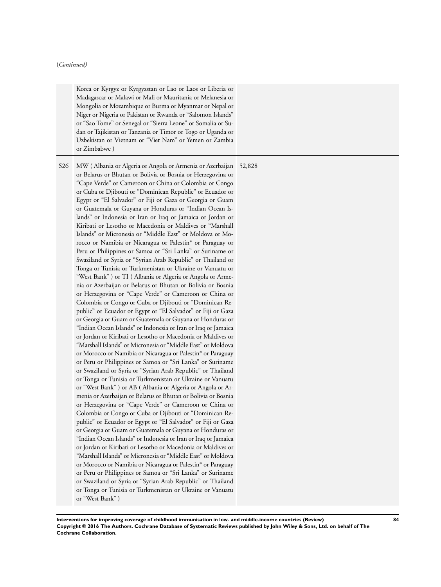Korea or Kyrgyz or Kyrgyzstan or Lao or Laos or Liberia or Madagascar or Malawi or Mali or Mauritania or Melanesia or Mongolia or Mozambique or Burma or Myanmar or Nepal or Niger or Nigeria or Pakistan or Rwanda or "Salomon Islands" or "Sao Tome" or Senegal or "Sierra Leone" or Somalia or Sudan or Tajikistan or Tanzania or Timor or Togo or Uganda or Uzbekistan or Vietnam or "Viet Nam" or Yemen or Zambia or Zimbabwe )

S26 MW ( Albania or Algeria or Angola or Armenia or Azerbaijan 52,828 or Belarus or Bhutan or Bolivia or Bosnia or Herzegovina or "Cape Verde" or Cameroon or China or Colombia or Congo or Cuba or Djibouti or "Dominican Republic" or Ecuador or Egypt or "El Salvador" or Fiji or Gaza or Georgia or Guam or Guatemala or Guyana or Honduras or "Indian Ocean Islands" or Indonesia or Iran or Iraq or Jamaica or Jordan or Kiribati or Lesotho or Macedonia or Maldives or "Marshall Islands" or Micronesia or "Middle East" or Moldova or Morocco or Namibia or Nicaragua or Palestin\* or Paraguay or Peru or Philippines or Samoa or "Sri Lanka" or Suriname or Swaziland or Syria or "Syrian Arab Republic" or Thailand or Tonga or Tunisia or Turkmenistan or Ukraine or Vanuatu or "West Bank" ) or TI ( Albania or Algeria or Angola or Armenia or Azerbaijan or Belarus or Bhutan or Bolivia or Bosnia or Herzegovina or "Cape Verde" or Cameroon or China or Colombia or Congo or Cuba or Djibouti or "Dominican Republic" or Ecuador or Egypt or "El Salvador" or Fiji or Gaza or Georgia or Guam or Guatemala or Guyana or Honduras or "Indian Ocean Islands" or Indonesia or Iran or Iraq or Jamaica or Jordan or Kiribati or Lesotho or Macedonia or Maldives or "Marshall Islands" or Micronesia or "Middle East" or Moldova or Morocco or Namibia or Nicaragua or Palestin\* or Paraguay or Peru or Philippines or Samoa or "Sri Lanka" or Suriname or Swaziland or Syria or "Syrian Arab Republic" or Thailand or Tonga or Tunisia or Turkmenistan or Ukraine or Vanuatu or "West Bank" ) or AB ( Albania or Algeria or Angola or Armenia or Azerbaijan or Belarus or Bhutan or Bolivia or Bosnia or Herzegovina or "Cape Verde" or Cameroon or China or Colombia or Congo or Cuba or Djibouti or "Dominican Republic" or Ecuador or Egypt or "El Salvador" or Fiji or Gaza or Georgia or Guam or Guatemala or Guyana or Honduras or "Indian Ocean Islands" or Indonesia or Iran or Iraq or Jamaica or Jordan or Kiribati or Lesotho or Macedonia or Maldives or "Marshall Islands" or Micronesia or "Middle East" or Moldova or Morocco or Namibia or Nicaragua or Palestin\* or Paraguay or Peru or Philippines or Samoa or "Sri Lanka" or Suriname or Swaziland or Syria or "Syrian Arab Republic" or Thailand or Tonga or Tunisia or Turkmenistan or Ukraine or Vanuatu or "West Bank" )

**Interventions for improving coverage of childhood immunisation in low- and middle-income countries (Review) 84 Copyright © 2016 The Authors. Cochrane Database of Systematic Reviews published by John Wiley & Sons, Ltd. on behalf of The Cochrane Collaboration.**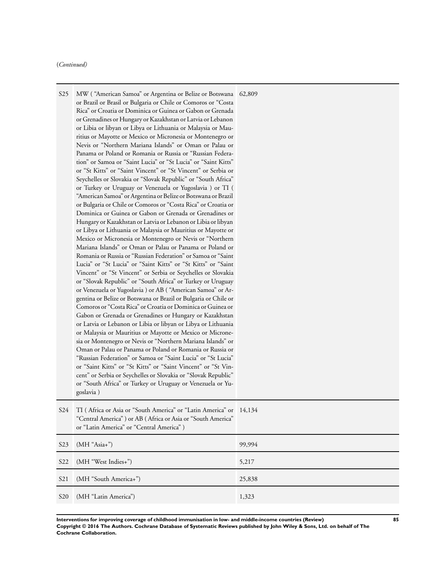| S <sub>25</sub>  | MW ("American Samoa" or Argentina or Belize or Botswana 62,809<br>or Brazil or Brasil or Bulgaria or Chile or Comoros or "Costa<br>Rica" or Croatia or Dominica or Guinea or Gabon or Grenada<br>or Grenadines or Hungary or Kazakhstan or Latvia or Lebanon<br>or Libia or libyan or Libya or Lithuania or Malaysia or Mau-<br>ritius or Mayotte or Mexico or Micronesia or Montenegro or<br>Nevis or "Northern Mariana Islands" or Oman or Palau or<br>Panama or Poland or Romania or Russia or "Russian Federa-<br>tion" or Samoa or "Saint Lucia" or "St Lucia" or "Saint Kitts"<br>or "St Kitts" or "Saint Vincent" or "St Vincent" or Serbia or<br>Seychelles or Slovakia or "Slovak Republic" or "South Africa"<br>or Turkey or Uruguay or Venezuela or Yugoslavia ) or TI (<br>"American Samoa" or Argentina or Belize or Botswana or Brazil<br>or Bulgaria or Chile or Comoros or "Costa Rica" or Croatia or<br>Dominica or Guinea or Gabon or Grenada or Grenadines or<br>Hungary or Kazakhstan or Latvia or Lebanon or Libia or libyan<br>or Libya or Lithuania or Malaysia or Mauritius or Mayotte or<br>Mexico or Micronesia or Montenegro or Nevis or "Northern<br>Mariana Islands" or Oman or Palau or Panama or Poland or<br>Romania or Russia or "Russian Federation" or Samoa or "Saint<br>Lucia" or "St Lucia" or "Saint Kitts" or "St Kitts" or "Saint<br>Vincent" or "St Vincent" or Serbia or Seychelles or Slovakia<br>or "Slovak Republic" or "South Africa" or Turkey or Uruguay<br>or Venezuela or Yugoslavia ) or AB ("American Samoa" or Ar-<br>gentina or Belize or Botswana or Brazil or Bulgaria or Chile or<br>Comoros or "Costa Rica" or Croatia or Dominica or Guinea or<br>Gabon or Grenada or Grenadines or Hungary or Kazakhstan<br>or Latvia or Lebanon or Libia or libyan or Libya or Lithuania<br>or Malaysia or Mauritius or Mayotte or Mexico or Microne-<br>sia or Montenegro or Nevis or "Northern Mariana Islands" or<br>Oman or Palau or Panama or Poland or Romania or Russia or<br>"Russian Federation" or Samoa or "Saint Lucia" or "St Lucia"<br>or "Saint Kitts" or "St Kitts" or "Saint Vincent" or "St Vin-<br>cent" or Serbia or Seychelles or Slovakia or "Slovak Republic"<br>or "South Africa" or Turkey or Uruguay or Venezuela or Yu-<br>goslavia) |        |
|------------------|---------------------------------------------------------------------------------------------------------------------------------------------------------------------------------------------------------------------------------------------------------------------------------------------------------------------------------------------------------------------------------------------------------------------------------------------------------------------------------------------------------------------------------------------------------------------------------------------------------------------------------------------------------------------------------------------------------------------------------------------------------------------------------------------------------------------------------------------------------------------------------------------------------------------------------------------------------------------------------------------------------------------------------------------------------------------------------------------------------------------------------------------------------------------------------------------------------------------------------------------------------------------------------------------------------------------------------------------------------------------------------------------------------------------------------------------------------------------------------------------------------------------------------------------------------------------------------------------------------------------------------------------------------------------------------------------------------------------------------------------------------------------------------------------------------------------------------------------------------------------------------------------------------------------------------------------------------------------------------------------------------------------------------------------------------------------------------------------------------------------------------------------------------------------------------------------------------------------------------------------------------------------------------------------------------------|--------|
| S24              | TI (Africa or Asia or "South America" or "Latin America" or 14,134<br>"Central America" ) or AB ( Africa or Asia or "South America"<br>or "Latin America" or "Central America")                                                                                                                                                                                                                                                                                                                                                                                                                                                                                                                                                                                                                                                                                                                                                                                                                                                                                                                                                                                                                                                                                                                                                                                                                                                                                                                                                                                                                                                                                                                                                                                                                                                                                                                                                                                                                                                                                                                                                                                                                                                                                                                               |        |
| S <sub>23</sub>  | (MH "Asia+")                                                                                                                                                                                                                                                                                                                                                                                                                                                                                                                                                                                                                                                                                                                                                                                                                                                                                                                                                                                                                                                                                                                                                                                                                                                                                                                                                                                                                                                                                                                                                                                                                                                                                                                                                                                                                                                                                                                                                                                                                                                                                                                                                                                                                                                                                                  | 99,994 |
| S <sub>2</sub> 2 | (MH "West Indies+")                                                                                                                                                                                                                                                                                                                                                                                                                                                                                                                                                                                                                                                                                                                                                                                                                                                                                                                                                                                                                                                                                                                                                                                                                                                                                                                                                                                                                                                                                                                                                                                                                                                                                                                                                                                                                                                                                                                                                                                                                                                                                                                                                                                                                                                                                           | 5,217  |
| S <sub>21</sub>  | (MH "South America+")                                                                                                                                                                                                                                                                                                                                                                                                                                                                                                                                                                                                                                                                                                                                                                                                                                                                                                                                                                                                                                                                                                                                                                                                                                                                                                                                                                                                                                                                                                                                                                                                                                                                                                                                                                                                                                                                                                                                                                                                                                                                                                                                                                                                                                                                                         | 25,838 |
| S <sub>20</sub>  | (MH "Latin America")                                                                                                                                                                                                                                                                                                                                                                                                                                                                                                                                                                                                                                                                                                                                                                                                                                                                                                                                                                                                                                                                                                                                                                                                                                                                                                                                                                                                                                                                                                                                                                                                                                                                                                                                                                                                                                                                                                                                                                                                                                                                                                                                                                                                                                                                                          | 1,323  |

**Interventions for improving coverage of childhood immunisation in low- and middle-income countries (Review) 85 Copyright © 2016 The Authors. Cochrane Database of Systematic Reviews published by John Wiley & Sons, Ltd. on behalf of The Cochrane Collaboration.**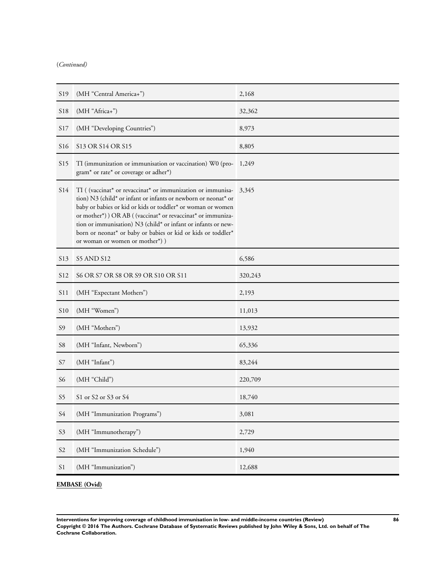| S <sub>19</sub> | (MH "Central America+")                                                                                                                                                                                                                                                                                                                                                                                                       | 2,168   |
|-----------------|-------------------------------------------------------------------------------------------------------------------------------------------------------------------------------------------------------------------------------------------------------------------------------------------------------------------------------------------------------------------------------------------------------------------------------|---------|
| S <sub>18</sub> | (MH "Africa+")                                                                                                                                                                                                                                                                                                                                                                                                                | 32,362  |
| S <sub>17</sub> | (MH "Developing Countries")                                                                                                                                                                                                                                                                                                                                                                                                   | 8,973   |
| S <sub>16</sub> | S13 OR S14 OR S15                                                                                                                                                                                                                                                                                                                                                                                                             | 8,805   |
| S <sub>15</sub> | TI (immunization or immunisation or vaccination) W0 (pro- 1,249<br>gram* or rate* or coverage or adher*)                                                                                                                                                                                                                                                                                                                      |         |
| <b>S14</b>      | TI ((vaccinat* or revaccinat* or immunization or immunisa-<br>tion) N3 (child* or infant or infants or newborn or neonat* or<br>baby or babies or kid or kids or toddler* or woman or women<br>or mother*) ) OR AB ((vaccinat* or revaccinat* or immuniza-<br>tion or immunisation) N3 (child* or infant or infants or new-<br>born or neonat* or baby or babies or kid or kids or toddler*<br>or woman or women or mother*)) | 3,345   |
| S <sub>13</sub> | <b>S5 AND S12</b>                                                                                                                                                                                                                                                                                                                                                                                                             | 6,586   |
| S <sub>12</sub> | S6 OR S7 OR S8 OR S9 OR S10 OR S11                                                                                                                                                                                                                                                                                                                                                                                            | 320,243 |
| <b>S11</b>      | (MH "Expectant Mothers")                                                                                                                                                                                                                                                                                                                                                                                                      | 2,193   |
| S <sub>10</sub> | (MH "Women")                                                                                                                                                                                                                                                                                                                                                                                                                  | 11,013  |
| S <sub>9</sub>  | (MH "Mothers")                                                                                                                                                                                                                                                                                                                                                                                                                | 13,932  |
| S <sub>8</sub>  | (MH "Infant, Newborn")                                                                                                                                                                                                                                                                                                                                                                                                        | 65,336  |
| S7              | (MH "Infant")                                                                                                                                                                                                                                                                                                                                                                                                                 | 83,244  |
| S <sub>6</sub>  | (MH "Child")                                                                                                                                                                                                                                                                                                                                                                                                                  | 220,709 |
| S <sub>5</sub>  | S1 or S2 or S3 or S4                                                                                                                                                                                                                                                                                                                                                                                                          | 18,740  |
| S4              | (MH "Immunization Programs")                                                                                                                                                                                                                                                                                                                                                                                                  | 3,081   |
| S3              | (MH "Immunotherapy")                                                                                                                                                                                                                                                                                                                                                                                                          | 2,729   |
| $\sqrt{S2}$     | (MH "Immunization Schedule")                                                                                                                                                                                                                                                                                                                                                                                                  | 1,940   |
| S1              | (MH "Immunization")                                                                                                                                                                                                                                                                                                                                                                                                           | 12,688  |

## **EMBASE (Ovid)**

**Interventions for improving coverage of childhood immunisation in low- and middle-income countries (Review) 86 Copyright © 2016 The Authors. Cochrane Database of Systematic Reviews published by John Wiley & Sons, Ltd. on behalf of The Cochrane Collaboration.**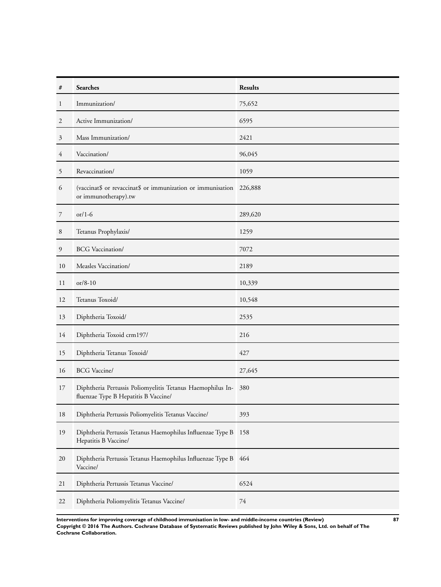| #  | <b>Searches</b>                                                                                    | <b>Results</b> |
|----|----------------------------------------------------------------------------------------------------|----------------|
| 1  | Immunization/                                                                                      | 75,652         |
| 2  | Active Immunization/                                                                               | 6595           |
| 3  | Mass Immunization/                                                                                 | 2421           |
| 4  | Vaccination/                                                                                       | 96,045         |
| 5  | Revaccination/                                                                                     | 1059           |
| 6  | (vaccinat\$ or revaccinat\$ or immunization or immunisation<br>or immunotherapy).tw                | 226,888        |
| 7  | $or/1-6$                                                                                           | 289,620        |
| 8  | Tetanus Prophylaxis/                                                                               | 1259           |
| 9  | <b>BCG</b> Vaccination/                                                                            | 7072           |
| 10 | Measles Vaccination/                                                                               | 2189           |
| 11 | $or/8-10$                                                                                          | 10,339         |
| 12 | Tetanus Toxoid/                                                                                    | 10,548         |
| 13 | Diphtheria Toxoid/                                                                                 | 2535           |
| 14 | Diphtheria Toxoid crm197/                                                                          | 216            |
| 15 | Diphtheria Tetanus Toxoid/                                                                         | 427            |
| 16 | <b>BCG</b> Vaccine/                                                                                | 27,645         |
| 17 | Diphtheria Pertussis Poliomyelitis Tetanus Haemophilus In-<br>fluenzae Type B Hepatitis B Vaccine/ | 380            |
| 18 | Diphtheria Pertussis Poliomyelitis Tetanus Vaccine/                                                | 393            |
| 19 | Diphtheria Pertussis Tetanus Haemophilus Influenzae Type B 158<br>Hepatitis B Vaccine/             |                |
| 20 | Diphtheria Pertussis Tetanus Haemophilus Influenzae Type B 464<br>Vaccine/                         |                |
| 21 | Diphtheria Pertussis Tetanus Vaccine/                                                              | 6524           |
| 22 | Diphtheria Poliomyelitis Tetanus Vaccine/                                                          | 74             |

**Interventions for improving coverage of childhood immunisation in low- and middle-income countries (Review) 87**

**Copyright © 2016 The Authors. Cochrane Database of Systematic Reviews published by John Wiley & Sons, Ltd. on behalf of The Cochrane Collaboration.**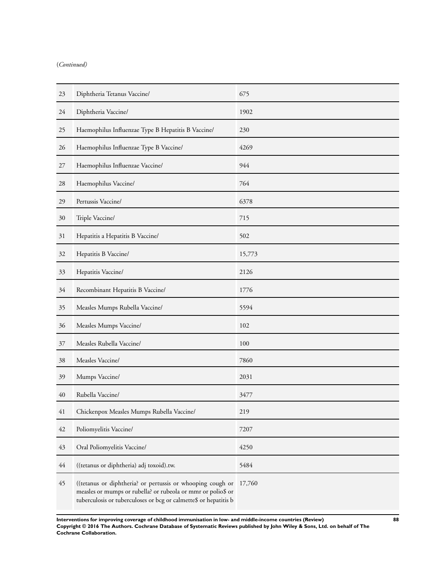| 23 | Diphtheria Tetanus Vaccine/                                                                                                                                                                    | 675    |
|----|------------------------------------------------------------------------------------------------------------------------------------------------------------------------------------------------|--------|
| 24 | Diphtheria Vaccine/                                                                                                                                                                            | 1902   |
| 25 | Haemophilus Influenzae Type B Hepatitis B Vaccine/                                                                                                                                             | 230    |
| 26 | Haemophilus Influenzae Type B Vaccine/                                                                                                                                                         | 4269   |
| 27 | Haemophilus Influenzae Vaccine/                                                                                                                                                                | 944    |
| 28 | Haemophilus Vaccine/                                                                                                                                                                           | 764    |
| 29 | Pertussis Vaccine/                                                                                                                                                                             | 6378   |
| 30 | Triple Vaccine/                                                                                                                                                                                | 715    |
| 31 | Hepatitis a Hepatitis B Vaccine/                                                                                                                                                               | 502    |
| 32 | Hepatitis B Vaccine/                                                                                                                                                                           | 15,773 |
| 33 | Hepatitis Vaccine/                                                                                                                                                                             | 2126   |
| 34 | Recombinant Hepatitis B Vaccine/                                                                                                                                                               | 1776   |
| 35 | Measles Mumps Rubella Vaccine/                                                                                                                                                                 | 5594   |
| 36 | Measles Mumps Vaccine/                                                                                                                                                                         | 102    |
| 37 | Measles Rubella Vaccine/                                                                                                                                                                       | 100    |
| 38 | Measles Vaccine/                                                                                                                                                                               | 7860   |
| 39 | Mumps Vaccine/                                                                                                                                                                                 | 2031   |
| 40 | Rubella Vaccine/                                                                                                                                                                               | 3477   |
| 41 | Chickenpox Measles Mumps Rubella Vaccine/                                                                                                                                                      | 219    |
| 42 | Poliomyelitis Vaccine/                                                                                                                                                                         | 7207   |
| 43 | Oral Poliomyelitis Vaccine/                                                                                                                                                                    | 4250   |
| 44 | ((tetanus or diphtheria) adj toxoid).tw.                                                                                                                                                       | 5484   |
| 45 | ((tetanus or diphtheria? or pertussis or whooping cough or<br>measles or mumps or rubella? or rubeola or mmr or polio\$ or<br>tuberculosis or tuberculoses or bcg or calmette\$ or hepatitis b | 17,760 |

**Interventions for improving coverage of childhood immunisation in low- and middle-income countries (Review) 88**

**Copyright © 2016 The Authors. Cochrane Database of Systematic Reviews published by John Wiley & Sons, Ltd. on behalf of The Cochrane Collaboration.**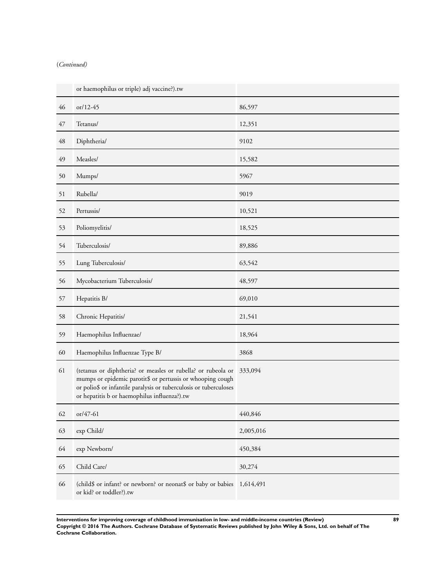|    | or haemophilus or triple) adj vaccine?).tw                                                                                                                                                                                                      |           |
|----|-------------------------------------------------------------------------------------------------------------------------------------------------------------------------------------------------------------------------------------------------|-----------|
| 46 | or/12-45                                                                                                                                                                                                                                        | 86,597    |
| 47 | Tetanus/                                                                                                                                                                                                                                        | 12,351    |
| 48 | Diphtheria/                                                                                                                                                                                                                                     | 9102      |
| 49 | Measles/                                                                                                                                                                                                                                        | 15,582    |
| 50 | Mumps/                                                                                                                                                                                                                                          | 5967      |
| 51 | Rubella/                                                                                                                                                                                                                                        | 9019      |
| 52 | Pertussis/                                                                                                                                                                                                                                      | 10,521    |
| 53 | Poliomyelitis/                                                                                                                                                                                                                                  | 18,525    |
| 54 | Tuberculosis/                                                                                                                                                                                                                                   | 89,886    |
| 55 | Lung Tuberculosis/                                                                                                                                                                                                                              | 63,542    |
| 56 | Mycobacterium Tuberculosis/                                                                                                                                                                                                                     | 48,597    |
| 57 | Hepatitis B/                                                                                                                                                                                                                                    | 69,010    |
| 58 | Chronic Hepatitis/                                                                                                                                                                                                                              | 21,541    |
| 59 | Haemophilus Influenzae/                                                                                                                                                                                                                         | 18,964    |
| 60 | Haemophilus Influenzae Type B/                                                                                                                                                                                                                  | 3868      |
| 61 | (tetanus or diphtheria? or measles or rubella? or rubeola or<br>mumps or epidemic parotit\$ or pertussis or whooping cough<br>or polio\$ or infantile paralysis or tuberculosis or tuberculoses<br>or hepatitis b or haemophilus influenza?).tw | 333,094   |
| 62 | $or/47-61$                                                                                                                                                                                                                                      | 440,846   |
| 63 | exp Child/                                                                                                                                                                                                                                      | 2,005,016 |
| 64 | exp Newborn/                                                                                                                                                                                                                                    | 450,384   |
| 65 | Child Care/                                                                                                                                                                                                                                     | 30,274    |
| 66 | (child\$ or infant? or newborn? or neonat\$ or baby or babies<br>or kid? or toddler?).tw                                                                                                                                                        | 1,614,491 |

**Interventions for improving coverage of childhood immunisation in low- and middle-income countries (Review) 89 Copyright © 2016 The Authors. Cochrane Database of Systematic Reviews published by John Wiley & Sons, Ltd. on behalf of The Cochrane Collaboration.**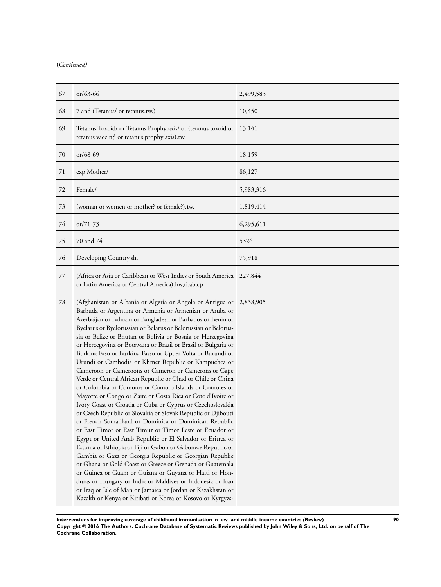| 67 | $or/63-66$                                                                                                                                                                                                                                                                                                                                                                                                                                                                                                   | 2,499,583 |
|----|--------------------------------------------------------------------------------------------------------------------------------------------------------------------------------------------------------------------------------------------------------------------------------------------------------------------------------------------------------------------------------------------------------------------------------------------------------------------------------------------------------------|-----------|
| 68 | 7 and (Tetanus/ or tetanus.tw.)                                                                                                                                                                                                                                                                                                                                                                                                                                                                              | 10,450    |
| 69 | Tetanus Toxoid/ or Tetanus Prophylaxis/ or (tetanus toxoid or 13,141<br>tetanus vaccin\$ or tetanus prophylaxis).tw                                                                                                                                                                                                                                                                                                                                                                                          |           |
| 70 | $or/68-69$                                                                                                                                                                                                                                                                                                                                                                                                                                                                                                   | 18,159    |
| 71 | exp Mother/                                                                                                                                                                                                                                                                                                                                                                                                                                                                                                  | 86,127    |
| 72 | Female/                                                                                                                                                                                                                                                                                                                                                                                                                                                                                                      | 5,983,316 |
| 73 | (woman or women or mother? or female?).tw.                                                                                                                                                                                                                                                                                                                                                                                                                                                                   | 1,819,414 |
| 74 | $or/71-73$                                                                                                                                                                                                                                                                                                                                                                                                                                                                                                   | 6,295,611 |
| 75 | 70 and 74                                                                                                                                                                                                                                                                                                                                                                                                                                                                                                    | 5326      |
| 76 | Developing Country.sh.                                                                                                                                                                                                                                                                                                                                                                                                                                                                                       | 75,918    |
| 77 | (Africa or Asia or Caribbean or West Indies or South America 227,844<br>or Latin America or Central America).hw,ti,ab,cp                                                                                                                                                                                                                                                                                                                                                                                     |           |
| 78 | (Afghanistan or Albania or Algeria or Angola or Antigua or<br>Barbuda or Argentina or Armenia or Armenian or Aruba or<br>Azerbaijan or Bahrain or Bangladesh or Barbados or Benin or<br>Byelarus or Byelorussian or Belarus or Belorussian or Belorus-<br>sia or Belize or Bhutan or Bolivia or Bosnia or Herzegovina<br>or Hercegovina or Botswana or Brazil or Brasil or Bulgaria or<br>Burkina Faso or Burkina Fasso or Upper Volta or Burundi or<br>Urundi or Cambodia or Khmer Republic or Kampuchea or | 2,838,905 |

**Interventions for improving coverage of childhood immunisation in low- and middle-income countries (Review) 90 Copyright © 2016 The Authors. Cochrane Database of Systematic Reviews published by John Wiley & Sons, Ltd. on behalf of The Cochrane Collaboration.**

Cameroon or Cameroons or Cameron or Camerons or Cape Verde or Central African Republic or Chad or Chile or China or Colombia or Comoros or Comoro Islands or Comores or Mayotte or Congo or Zaire or Costa Rica or Cote d'Ivoire or Ivory Coast or Croatia or Cuba or Cyprus or Czechoslovakia or Czech Republic or Slovakia or Slovak Republic or Djibouti or French Somaliland or Dominica or Dominican Republic or East Timor or East Timur or Timor Leste or Ecuador or Egypt or United Arab Republic or El Salvador or Eritrea or Estonia or Ethiopia or Fiji or Gabon or Gabonese Republic or Gambia or Gaza or Georgia Republic or Georgian Republic or Ghana or Gold Coast or Greece or Grenada or Guatemala or Guinea or Guam or Guiana or Guyana or Haiti or Honduras or Hungary or India or Maldives or Indonesia or Iran or Iraq or Isle of Man or Jamaica or Jordan or Kazakhstan or Kazakh or Kenya or Kiribati or Korea or Kosovo or Kyrgyzs-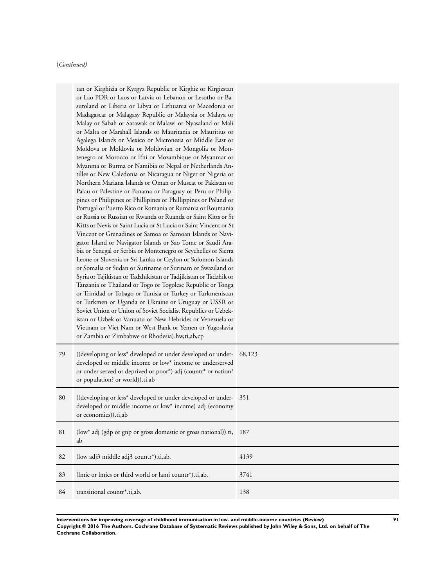|    | tan or Kirghizia or Kyrgyz Republic or Kirghiz or Kirgizstan<br>or Lao PDR or Laos or Latvia or Lebanon or Lesotho or Ba-<br>sutoland or Liberia or Libya or Lithuania or Macedonia or<br>Madagascar or Malagasy Republic or Malaysia or Malaya or<br>Malay or Sabah or Sarawak or Malawi or Nyasaland or Mali<br>or Malta or Marshall Islands or Mauritania or Mauritius or<br>Agalega Islands or Mexico or Micronesia or Middle East or<br>Moldova or Moldovia or Moldovian or Mongolia or Mon-<br>tenegro or Morocco or Ifni or Mozambique or Myanmar or<br>Myanma or Burma or Namibia or Nepal or Netherlands An-<br>tilles or New Caledonia or Nicaragua or Niger or Nigeria or<br>Northern Mariana Islands or Oman or Muscat or Pakistan or<br>Palau or Palestine or Panama or Paraguay or Peru or Philip-<br>pines or Philipines or Phillipines or Phillippines or Poland or<br>Portugal or Puerto Rico or Romania or Rumania or Roumania<br>or Russia or Russian or Rwanda or Ruanda or Saint Kitts or St<br>Kitts or Nevis or Saint Lucia or St Lucia or Saint Vincent or St<br>Vincent or Grenadines or Samoa or Samoan Islands or Navi-<br>gator Island or Navigator Islands or Sao Tome or Saudi Ara-<br>bia or Senegal or Serbia or Montenegro or Seychelles or Sierra<br>Leone or Slovenia or Sri Lanka or Ceylon or Solomon Islands<br>or Somalia or Sudan or Suriname or Surinam or Swaziland or<br>Syria or Tajikistan or Tadzhikistan or Tadjikistan or Tadzhik or<br>Tanzania or Thailand or Togo or Togolese Republic or Tonga<br>or Trinidad or Tobago or Tunisia or Turkey or Turkmenistan<br>or Turkmen or Uganda or Ukraine or Uruguay or USSR or<br>Soviet Union or Union of Soviet Socialist Republics or Uzbek-<br>istan or Uzbek or Vanuatu or New Hebrides or Venezuela or<br>Vietnam or Viet Nam or West Bank or Yemen or Yugoslavia<br>or Zambia or Zimbabwe or Rhodesia).hw,ti,ab,cp |      |
|----|----------------------------------------------------------------------------------------------------------------------------------------------------------------------------------------------------------------------------------------------------------------------------------------------------------------------------------------------------------------------------------------------------------------------------------------------------------------------------------------------------------------------------------------------------------------------------------------------------------------------------------------------------------------------------------------------------------------------------------------------------------------------------------------------------------------------------------------------------------------------------------------------------------------------------------------------------------------------------------------------------------------------------------------------------------------------------------------------------------------------------------------------------------------------------------------------------------------------------------------------------------------------------------------------------------------------------------------------------------------------------------------------------------------------------------------------------------------------------------------------------------------------------------------------------------------------------------------------------------------------------------------------------------------------------------------------------------------------------------------------------------------------------------------------------------------------------------------------------------------------------------------------------------------------|------|
| 79 | ((developing or less* developed or under developed or under- 68,123<br>developed or middle income or low* income or underserved<br>or under served or deprived or poor*) adj (countr* or nation?<br>or population? or world)).ti,ab                                                                                                                                                                                                                                                                                                                                                                                                                                                                                                                                                                                                                                                                                                                                                                                                                                                                                                                                                                                                                                                                                                                                                                                                                                                                                                                                                                                                                                                                                                                                                                                                                                                                                  |      |
| 80 | ((developing or less* developed or under developed or under- 351<br>developed or middle income or low* income) adj (economy<br>or economies)).ti,ab                                                                                                                                                                                                                                                                                                                                                                                                                                                                                                                                                                                                                                                                                                                                                                                                                                                                                                                                                                                                                                                                                                                                                                                                                                                                                                                                                                                                                                                                                                                                                                                                                                                                                                                                                                  |      |
| 81 | (low* adj (gdp or gnp or gross domestic or gross national)).ti,<br>ab                                                                                                                                                                                                                                                                                                                                                                                                                                                                                                                                                                                                                                                                                                                                                                                                                                                                                                                                                                                                                                                                                                                                                                                                                                                                                                                                                                                                                                                                                                                                                                                                                                                                                                                                                                                                                                                | 187  |
| 82 | (low adj3 middle adj3 countr*).ti,ab.                                                                                                                                                                                                                                                                                                                                                                                                                                                                                                                                                                                                                                                                                                                                                                                                                                                                                                                                                                                                                                                                                                                                                                                                                                                                                                                                                                                                                                                                                                                                                                                                                                                                                                                                                                                                                                                                                | 4139 |
| 83 | (lmic or lmics or third world or lami countr*).ti,ab.                                                                                                                                                                                                                                                                                                                                                                                                                                                                                                                                                                                                                                                                                                                                                                                                                                                                                                                                                                                                                                                                                                                                                                                                                                                                                                                                                                                                                                                                                                                                                                                                                                                                                                                                                                                                                                                                | 3741 |
| 84 | transitional countr*.ti,ab.                                                                                                                                                                                                                                                                                                                                                                                                                                                                                                                                                                                                                                                                                                                                                                                                                                                                                                                                                                                                                                                                                                                                                                                                                                                                                                                                                                                                                                                                                                                                                                                                                                                                                                                                                                                                                                                                                          | 138  |
|    |                                                                                                                                                                                                                                                                                                                                                                                                                                                                                                                                                                                                                                                                                                                                                                                                                                                                                                                                                                                                                                                                                                                                                                                                                                                                                                                                                                                                                                                                                                                                                                                                                                                                                                                                                                                                                                                                                                                      |      |

**Interventions for improving coverage of childhood immunisation in low- and middle-income countries (Review) 91 Copyright © 2016 The Authors. Cochrane Database of Systematic Reviews published by John Wiley & Sons, Ltd. on behalf of The Cochrane Collaboration.**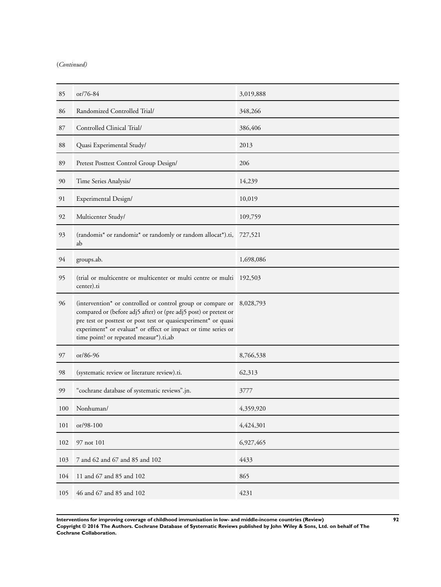| 85  | or/76-84                                                                                                                                                                                                                                                                                                     | 3,019,888 |
|-----|--------------------------------------------------------------------------------------------------------------------------------------------------------------------------------------------------------------------------------------------------------------------------------------------------------------|-----------|
| 86  | Randomized Controlled Trial/                                                                                                                                                                                                                                                                                 | 348,266   |
| 87  | Controlled Clinical Trial/                                                                                                                                                                                                                                                                                   | 386,406   |
| 88  | Quasi Experimental Study/                                                                                                                                                                                                                                                                                    | 2013      |
| 89  | Pretest Posttest Control Group Design/                                                                                                                                                                                                                                                                       | 206       |
| 90  | Time Series Analysis/                                                                                                                                                                                                                                                                                        | 14,239    |
| 91  | Experimental Design/                                                                                                                                                                                                                                                                                         | 10,019    |
| 92  | Multicenter Study/                                                                                                                                                                                                                                                                                           | 109,759   |
| 93  | (randomis* or randomiz* or randomly or random allocat*).ti,<br>ab                                                                                                                                                                                                                                            | 727,521   |
| 94  | groups.ab.                                                                                                                                                                                                                                                                                                   | 1,698,086 |
| 95  | (trial or multicentre or multicenter or multi centre or multi 192,503<br>center).ti                                                                                                                                                                                                                          |           |
| 96  | (intervention* or controlled or control group or compare or<br>compared or (before adj5 after) or (pre adj5 post) or pretest or<br>pre test or posttest or post test or quasiexperiment* or quasi<br>experiment* or evaluat* or effect or impact or time series or<br>time point? or repeated measur*).ti,ab | 8,028,793 |
| 97  | or/86-96                                                                                                                                                                                                                                                                                                     | 8,766,538 |
| 98  | (systematic review or literature review).ti.                                                                                                                                                                                                                                                                 | 62,313    |
| 99  | "cochrane database of systematic reviews".jn.                                                                                                                                                                                                                                                                | 3777      |
| 100 | Nonhuman/                                                                                                                                                                                                                                                                                                    | 4,359,920 |
| 101 | or/98-100                                                                                                                                                                                                                                                                                                    | 4,424,301 |
| 102 | 97 not 101                                                                                                                                                                                                                                                                                                   | 6,927,465 |
| 103 | 7 and 62 and 67 and 85 and 102                                                                                                                                                                                                                                                                               | 4433      |
| 104 | 11 and 67 and 85 and 102                                                                                                                                                                                                                                                                                     | 865       |
| 105 | 46 and 67 and 85 and 102                                                                                                                                                                                                                                                                                     | 4231      |

**Interventions for improving coverage of childhood immunisation in low- and middle-income countries (Review) 92 Copyright © 2016 The Authors. Cochrane Database of Systematic Reviews published by John Wiley & Sons, Ltd. on behalf of The Cochrane Collaboration.**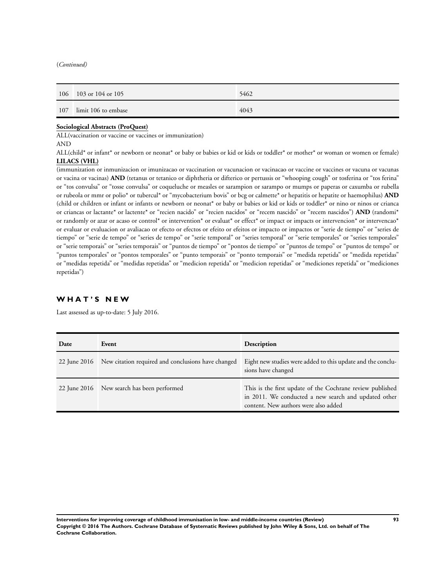| 106 | 103 or $104$ or $105$ | 5462 |
|-----|-----------------------|------|
| 107 | limit 106 to embase   | 4043 |

#### **Sociological Abstracts (ProQuest)**

ALL(vaccination or vaccine or vaccines or immunization) AND

ALL(child\* or infant\* or newborn or neonat\* or baby or babies or kid or kids or toddler\* or mother\* or woman or women or female) **LILACS (VHL)**

(immunization or inmunizacion or imunizacao or vaccination or vacunacion or vacinacao or vaccine or vaccines or vacuna or vacunas or vacina or vacinas) **AND** (tetanus or tetanico or diphtheria or difterico or pertussis or "whooping cough" or tosferina or "tos ferina" or "tos convulsa" or "tosse convulsa" or coqueluche or measles or sarampion or sarampo or mumps or paperas or caxumba or rubella or rubeola or mmr or polio\* or tubercul\* or "mycobacterium bovis" or bcg or calmette\* or hepatitis or hepatite or haemophilus) **AND** (child or children or infant or infants or newborn or neonat\* or baby or babies or kid or kids or toddler\* or nino or ninos or crianca or criancas or lactante\* or lactente\* or "recien nacido" or "recien nacidos" or "recem nascido" or "recem nascidos") **AND** (randomi\* or randomly or azar or acaso or control\* or intervention\* or evaluat\* or effect\* or impact or impacts or intervencion\* or intervencao\* or evaluar or evaluacion or avaliacao or efecto or efectos or efeito or efeitos or impacto or impactos or "serie de tiempo" or "series de tiempo" or "serie de tempo" or "series de tempo" or "serie temporal" or "series temporal" or "serie temporales" or "series temporales" or "serie temporais" or "series temporais" or "puntos de tiempo" or "pontos de tiempo" or "puntos de tempo" or "puntos de tempo" or "puntos temporales" or "pontos temporales" or "punto temporais" or "ponto temporais" or "medida repetida" or "medida repetidas" or "medidas repetida" or "medidas repetidas" or "medicion repetida" or "medicion repetidas" or "mediciones repetida" or "mediciones repetidas")

### **W H A T ' S N E W**

Last assessed as up-to-date: 5 July 2016.

| Date | Event                                                           | Description                                                                                                                                               |
|------|-----------------------------------------------------------------|-----------------------------------------------------------------------------------------------------------------------------------------------------------|
|      | 22 June 2016 New citation required and conclusions have changed | Eight new studies were added to this update and the conclu-<br>sions have changed                                                                         |
|      | 22 June 2016 New search has been performed                      | This is the first update of the Cochrane review published<br>in 2011. We conducted a new search and updated other<br>content. New authors were also added |

**Interventions for improving coverage of childhood immunisation in low- and middle-income countries (Review) 93 Copyright © 2016 The Authors. Cochrane Database of Systematic Reviews published by John Wiley & Sons, Ltd. on behalf of The Cochrane Collaboration.**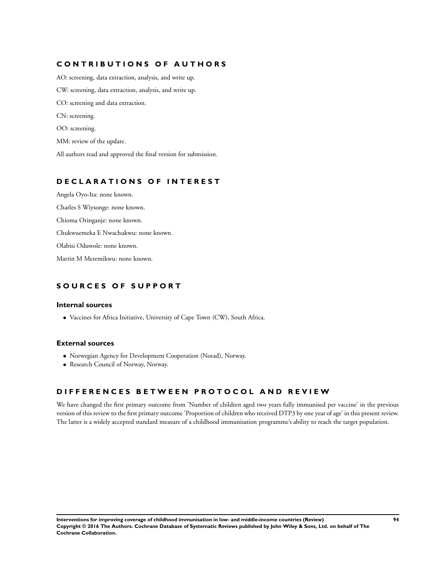## **C O N T R I B U T I O N S O F A U T H O R S**

AO: screening, data extraction, analysis, and write up. CW: screening, data extraction, analysis, and write up. CO: screening and data extraction. CN: screening. OO: screening. MM: review of the update. All authors read and approved the final version for submission.

# **D E C L A R A T I O N S O F I N T E R E S T**

Angela Oyo-Ita: none known. Charles S Wiysonge: none known. Chioma Oringanje: none known. Chukwuemeka E Nwachukwu: none known. Olabisi Oduwole: none known. Martin M Meremikwu: none known.

# **S O U R C E S O F S U P P O R T**

### **Internal sources**

• Vaccines for Africa Initiative, University of Cape Town (CW), South Africa.

#### **External sources**

- Norwegian Agency for Development Cooperation (Norad), Norway.
- Research Council of Norway, Norway.

# **D I F F E R E N C E S B E T W E E N P R O T O C O L A N D R E V I E W**

We have changed the first primary outcome from 'Number of children aged two years fully immunised per vaccine' in the previous version of this review to the first primary outcome 'Proportion of children who received DTP3 by one year of age' in this present review. The latter is a widely accepted standard measure of a childhood immunisation programme's ability to reach the target population.